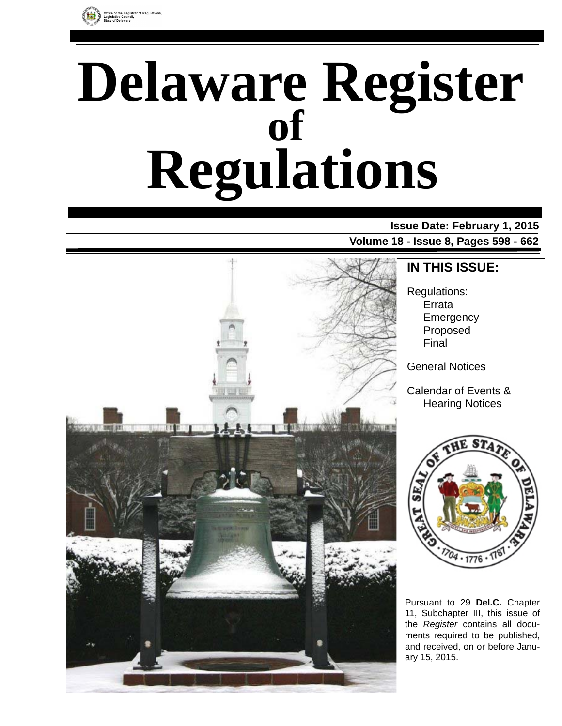

# **Delaware Register Regulations of**

### **Issue Date: February 1, 2015 Volume 18 - Issue 8, Pages 598 - 662**



### **IN THIS ISSUE:**

Regulations: Errata Emergency Proposed Final

General Notices

Calendar of Events & Hearing Notices



Pursuant to 29 **Del.C.** Chapter 11, Subchapter III, this issue of the *Register* contains all documents required to be published, and received, on or before January 15, 2015.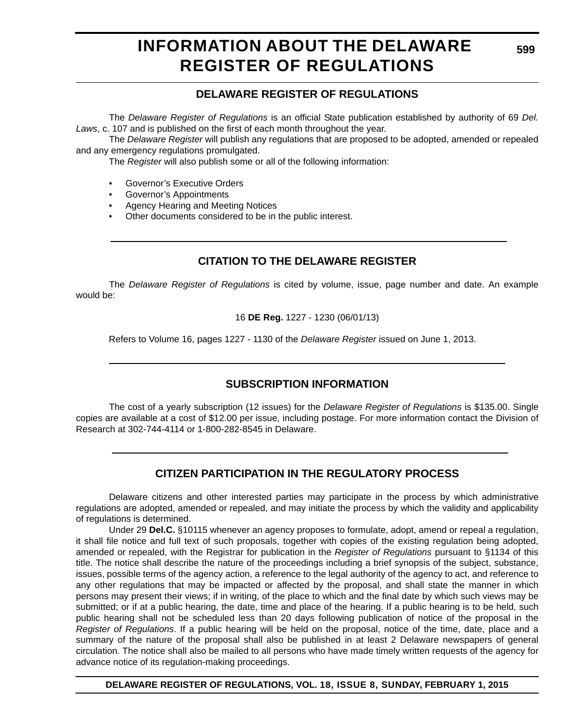### **INFORMATION ABOUT THE DELAWARE REGISTER OF REGULATIONS**

### **DELAWARE REGISTER OF REGULATIONS**

The *Delaware Register of Regulations* is an official State publication established by authority of 69 *Del. Laws*, c. 107 and is published on the first of each month throughout the year.

The *Delaware Register* will publish any regulations that are proposed to be adopted, amended or repealed and any emergency regulations promulgated.

The *Register* will also publish some or all of the following information:

- Governor's Executive Orders
- Governor's Appointments
- Agency Hearing and Meeting Notices
- Other documents considered to be in the public interest.

### **CITATION TO THE DELAWARE REGISTER**

The *Delaware Register of Regulations* is cited by volume, issue, page number and date. An example would be:

16 **DE Reg.** 1227 - 1230 (06/01/13)

Refers to Volume 16, pages 1227 - 1130 of the *Delaware Register* issued on June 1, 2013.

### **SUBSCRIPTION INFORMATION**

The cost of a yearly subscription (12 issues) for the *Delaware Register of Regulations* is \$135.00. Single copies are available at a cost of \$12.00 per issue, including postage. For more information contact the Division of Research at 302-744-4114 or 1-800-282-8545 in Delaware.

### **CITIZEN PARTICIPATION IN THE REGULATORY PROCESS**

Delaware citizens and other interested parties may participate in the process by which administrative regulations are adopted, amended or repealed, and may initiate the process by which the validity and applicability of regulations is determined.

Under 29 **Del.C.** §10115 whenever an agency proposes to formulate, adopt, amend or repeal a regulation, it shall file notice and full text of such proposals, together with copies of the existing regulation being adopted, amended or repealed, with the Registrar for publication in the *Register of Regulations* pursuant to §1134 of this title. The notice shall describe the nature of the proceedings including a brief synopsis of the subject, substance, issues, possible terms of the agency action, a reference to the legal authority of the agency to act, and reference to any other regulations that may be impacted or affected by the proposal, and shall state the manner in which persons may present their views; if in writing, of the place to which and the final date by which such views may be submitted; or if at a public hearing, the date, time and place of the hearing. If a public hearing is to be held, such public hearing shall not be scheduled less than 20 days following publication of notice of the proposal in the *Register of Regulations*. If a public hearing will be held on the proposal, notice of the time, date, place and a summary of the nature of the proposal shall also be published in at least 2 Delaware newspapers of general circulation. The notice shall also be mailed to all persons who have made timely written requests of the agency for advance notice of its regulation-making proceedings.

**DELAWARE REGISTER OF REGULATIONS, VOL. 18, ISSUE 8, SUNDAY, FEBRUARY 1, 2015**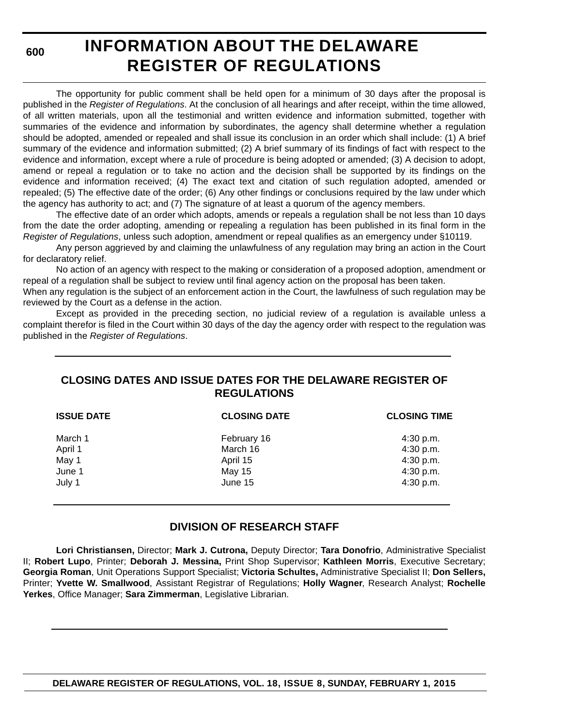**600**

# **INFORMATION ABOUT THE DELAWARE REGISTER OF REGULATIONS**

The opportunity for public comment shall be held open for a minimum of 30 days after the proposal is published in the *Register of Regulations*. At the conclusion of all hearings and after receipt, within the time allowed, of all written materials, upon all the testimonial and written evidence and information submitted, together with summaries of the evidence and information by subordinates, the agency shall determine whether a regulation should be adopted, amended or repealed and shall issue its conclusion in an order which shall include: (1) A brief summary of the evidence and information submitted; (2) A brief summary of its findings of fact with respect to the evidence and information, except where a rule of procedure is being adopted or amended; (3) A decision to adopt, amend or repeal a regulation or to take no action and the decision shall be supported by its findings on the evidence and information received; (4) The exact text and citation of such regulation adopted, amended or repealed; (5) The effective date of the order; (6) Any other findings or conclusions required by the law under which the agency has authority to act; and (7) The signature of at least a quorum of the agency members.

The effective date of an order which adopts, amends or repeals a regulation shall be not less than 10 days from the date the order adopting, amending or repealing a regulation has been published in its final form in the *Register of Regulations*, unless such adoption, amendment or repeal qualifies as an emergency under §10119.

Any person aggrieved by and claiming the unlawfulness of any regulation may bring an action in the Court for declaratory relief.

No action of an agency with respect to the making or consideration of a proposed adoption, amendment or repeal of a regulation shall be subject to review until final agency action on the proposal has been taken.

When any regulation is the subject of an enforcement action in the Court, the lawfulness of such regulation may be reviewed by the Court as a defense in the action.

Except as provided in the preceding section, no judicial review of a regulation is available unless a complaint therefor is filed in the Court within 30 days of the day the agency order with respect to the regulation was published in the *Register of Regulations*.

### **CLOSING DATES AND ISSUE DATES FOR THE DELAWARE REGISTER OF REGULATIONS**

| <b>ISSUE DATE</b> | <b>CLOSING DATE</b> | <b>CLOSING TIME</b> |
|-------------------|---------------------|---------------------|
| March 1           | February 16         | 4:30 p.m.           |
| April 1           | March 16            | 4:30 p.m.           |
| May 1             | April 15            | 4:30 p.m.           |
| June 1            | May 15              | 4:30 p.m.           |
| July 1            | June 15             | 4:30 p.m.           |

### **DIVISION OF RESEARCH STAFF**

**Lori Christiansen,** Director; **Mark J. Cutrona,** Deputy Director; **Tara Donofrio**, Administrative Specialist II; **Robert Lupo**, Printer; **Deborah J. Messina,** Print Shop Supervisor; **Kathleen Morris**, Executive Secretary; **Georgia Roman**, Unit Operations Support Specialist; **Victoria Schultes,** Administrative Specialist II; **Don Sellers,** Printer; **Yvette W. Smallwood**, Assistant Registrar of Regulations; **Holly Wagner**, Research Analyst; **Rochelle Yerkes**, Office Manager; **Sara Zimmerman**, Legislative Librarian.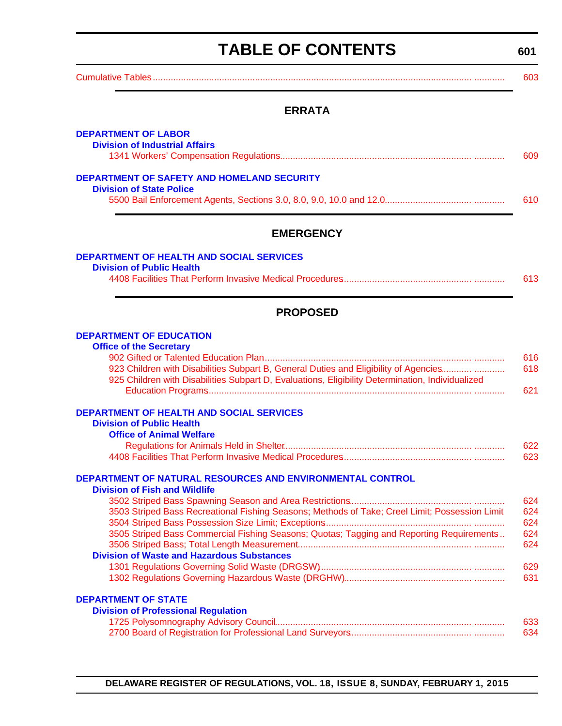<span id="page-3-0"></span>

| <b>TABLE OF CONTENTS</b>                                                                                                                                                                 | 601        |
|------------------------------------------------------------------------------------------------------------------------------------------------------------------------------------------|------------|
|                                                                                                                                                                                          | 603        |
| <b>ERRATA</b>                                                                                                                                                                            |            |
| <b>DEPARTMENT OF LABOR</b>                                                                                                                                                               |            |
| <b>Division of Industrial Affairs</b>                                                                                                                                                    | 609        |
| <b>DEPARTMENT OF SAFETY AND HOMELAND SECURITY</b>                                                                                                                                        |            |
| <b>Division of State Police</b>                                                                                                                                                          | 610        |
| <b>EMERGENCY</b>                                                                                                                                                                         |            |
| <b>DEPARTMENT OF HEALTH AND SOCIAL SERVICES</b>                                                                                                                                          |            |
| <b>Division of Public Health</b>                                                                                                                                                         | 613        |
| <b>PROPOSED</b>                                                                                                                                                                          |            |
| <b>DEPARTMENT OF EDUCATION</b>                                                                                                                                                           |            |
| <b>Office of the Secretary</b>                                                                                                                                                           | 616        |
| 923 Children with Disabilities Subpart B, General Duties and Eligibility of Agencies<br>925 Children with Disabilities Subpart D, Evaluations, Eligibility Determination, Individualized | 618<br>621 |
| <b>DEPARTMENT OF HEALTH AND SOCIAL SERVICES</b>                                                                                                                                          |            |
| <b>Division of Public Health</b><br><b>Office of Animal Welfare</b>                                                                                                                      |            |

#### [Regulations for Animals Held in Shelter.......................................................................... ............ 622](#page-24-0) [4408 Facilities That Perform Invasive Medical Procedures................................................... ............ 623](#page-25-0)

#### **[DEPARTMENT OF NATURAL RESOURCES AND ENVIRONMENTAL CONTROL](http://www.dnrec.delaware.gov/fw/Pages/FWPortal.aspx)**

#### **Division of Fish and Wildlife**

|                                                                                                | 624 |
|------------------------------------------------------------------------------------------------|-----|
| 3503 Striped Bass Recreational Fishing Seasons; Methods of Take; Creel Limit; Possession Limit | 624 |
|                                                                                                | 624 |
| 3505 Striped Bass Commercial Fishing Seasons; Quotas; Tagging and Reporting Requirements       | 624 |
|                                                                                                | 624 |
| <b>Division of Waste and Hazardous Substances</b>                                              |     |
|                                                                                                | 629 |
|                                                                                                | 631 |
|                                                                                                |     |

### **DEPARTMENT OF STATE**

| ANIMENT VI JIAIL                           |     |
|--------------------------------------------|-----|
| <b>Division of Professional Regulation</b> |     |
|                                            | 633 |
|                                            | 634 |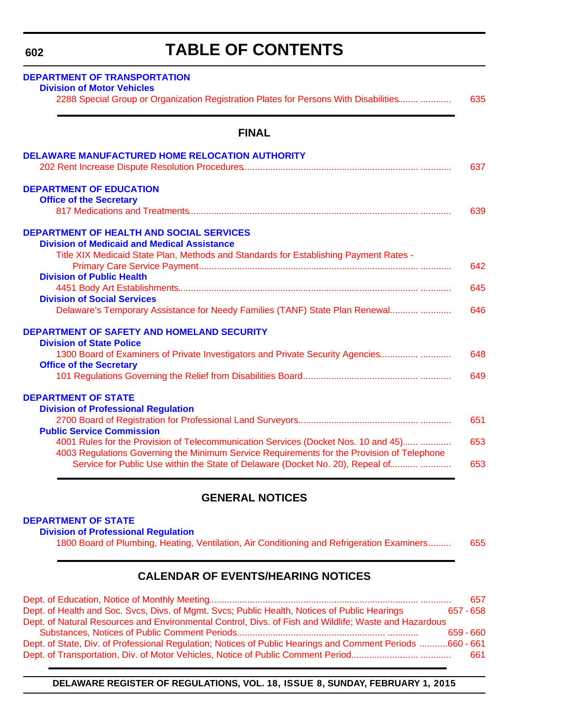### **TABLE OF CONTENTS**

<span id="page-4-0"></span>

| <b>DEPARTMENT OF TRANSPORTATION</b><br><b>Division of Motor Vehicles</b>                                                                                                                                                                                           |            |
|--------------------------------------------------------------------------------------------------------------------------------------------------------------------------------------------------------------------------------------------------------------------|------------|
| 2288 Special Group or Organization Registration Plates for Persons With Disabilities                                                                                                                                                                               | 635        |
| <b>FINAL</b>                                                                                                                                                                                                                                                       |            |
| <b>DELAWARE MANUFACTURED HOME RELOCATION AUTHORITY</b>                                                                                                                                                                                                             | 637        |
| <b>DEPARTMENT OF EDUCATION</b><br><b>Office of the Secretary</b>                                                                                                                                                                                                   | 639        |
| <b>DEPARTMENT OF HEALTH AND SOCIAL SERVICES</b><br><b>Division of Medicaid and Medical Assistance</b><br>Title XIX Medicaid State Plan, Methods and Standards for Establishing Payment Rates -                                                                     |            |
| <b>Division of Public Health</b>                                                                                                                                                                                                                                   | 642        |
| <b>Division of Social Services</b>                                                                                                                                                                                                                                 | 645        |
| Delaware's Temporary Assistance for Needy Families (TANF) State Plan Renewal                                                                                                                                                                                       | 646        |
| <b>DEPARTMENT OF SAFETY AND HOMELAND SECURITY</b><br><b>Division of State Police</b>                                                                                                                                                                               |            |
| 1300 Board of Examiners of Private Investigators and Private Security Agencies<br><b>Office of the Secretary</b>                                                                                                                                                   | 648        |
|                                                                                                                                                                                                                                                                    | 649        |
| <b>DEPARTMENT OF STATE</b><br><b>Division of Professional Regulation</b>                                                                                                                                                                                           |            |
| <b>Public Service Commission</b>                                                                                                                                                                                                                                   | 651        |
| 4001 Rules for the Provision of Telecommunication Services (Docket Nos. 10 and 45)<br>4003 Regulations Governing the Minimum Service Requirements for the Provision of Telephone<br>Service for Public Use within the State of Delaware (Docket No. 20), Repeal of | 653<br>653 |
|                                                                                                                                                                                                                                                                    |            |

### **GENERAL NOTICES**

#### **DEPARTMENT OF STATE**

**[Division of Professional Regulation](http://dpr.delaware.gov/)**

[1800 Board of Plumbing, Heating, Ventilation, Air Conditioning and Refrigeration Examiners......... 655](#page-57-0)

### **CALENDAR OF EVENTS/HEARING NOTICES**

|                                                                                                           | 657         |
|-----------------------------------------------------------------------------------------------------------|-------------|
| Dept. of Health and Soc. Svcs, Divs. of Mgmt. Svcs; Public Health, Notices of Public Hearings             | 657 - 658   |
| Dept. of Natural Resources and Environmental Control, Divs. of Fish and Wildlife; Waste and Hazardous     |             |
|                                                                                                           | $659 - 660$ |
| Dept. of State, Div. of Professional Regulation; Notices of Public Hearings and Comment Periods 660 - 661 |             |
|                                                                                                           | 661         |

**DELAWARE REGISTER OF REGULATIONS, VOL. 18, ISSUE 8, SUNDAY, FEBRUARY 1, 2015**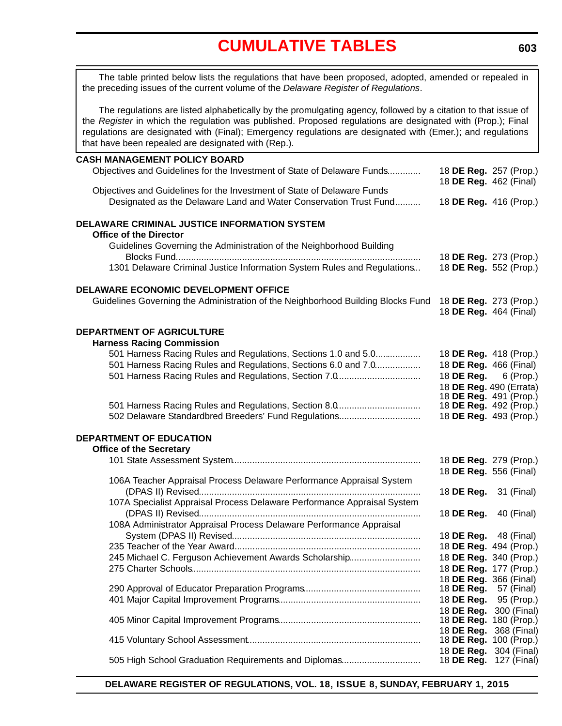<span id="page-5-0"></span>The table printed below lists the regulations that have been proposed, adopted, amended or repealed in the preceding issues of the current volume of the *Delaware Register of Regulations*.

The regulations are listed alphabetically by the promulgating agency, followed by a citation to that issue of the *Register* in which the regulation was published. Proposed regulations are designated with (Prop.); Final regulations are designated with (Final); Emergency regulations are designated with (Emer.); and regulations that have been repealed are designated with (Rep.).

#### **CASH MANAGEMENT POLICY BOARD**

| CASH MANASLMLNI FULICI DUAND<br>Objectives and Guidelines for the Investment of State of Delaware Funds | 18 DE Reg. 257 (Prop.)                                  |                                       |
|---------------------------------------------------------------------------------------------------------|---------------------------------------------------------|---------------------------------------|
| Objectives and Guidelines for the Investment of State of Delaware Funds                                 | 18 DE Reg. 462 (Final)                                  |                                       |
| Designated as the Delaware Land and Water Conservation Trust Fund                                       | 18 DE Reg. 416 (Prop.)                                  |                                       |
| DELAWARE CRIMINAL JUSTICE INFORMATION SYSTEM                                                            |                                                         |                                       |
| <b>Office of the Director</b>                                                                           |                                                         |                                       |
| Guidelines Governing the Administration of the Neighborhood Building                                    | 18 DE Reg. 273 (Prop.)                                  |                                       |
| 1301 Delaware Criminal Justice Information System Rules and Regulations                                 | 18 DE Reg. 552 (Prop.)                                  |                                       |
| DELAWARE ECONOMIC DEVELOPMENT OFFICE                                                                    |                                                         |                                       |
| Guidelines Governing the Administration of the Neighborhood Building Blocks Fund                        | 18 DE Reg. 273 (Prop.)<br>18 DE Reg. 464 (Final)        |                                       |
| <b>DEPARTMENT OF AGRICULTURE</b>                                                                        |                                                         |                                       |
| <b>Harness Racing Commission</b>                                                                        |                                                         |                                       |
| 501 Harness Racing Rules and Regulations, Sections 1.0 and 5.0                                          | 18 DE Reg. 418 (Prop.)                                  |                                       |
| 501 Harness Racing Rules and Regulations, Sections 6.0 and 7.0                                          | 18 DE Reg. 466 (Final)                                  |                                       |
| 501 Harness Racing Rules and Regulations, Section 7.0                                                   | 18 <b>DE Reg.</b> 6 (Prop.)                             |                                       |
|                                                                                                         | 18 DE Reg. 490 (Errata)<br>18 DE Reg. 491 (Prop.)       |                                       |
| 501 Harness Racing Rules and Regulations, Section 8.0                                                   | 18 DE Reg. 492 (Prop.)                                  |                                       |
| 502 Delaware Standardbred Breeders' Fund Regulations                                                    | 18 DE Reg. 493 (Prop.)                                  |                                       |
| DEPARTMENT OF EDUCATION                                                                                 |                                                         |                                       |
| <b>Office of the Secretary</b>                                                                          |                                                         |                                       |
|                                                                                                         | 18 DE Reg. 279 (Prop.)<br>18 DE Reg. 556 (Final)        |                                       |
| 106A Teacher Appraisal Process Delaware Performance Appraisal System                                    |                                                         |                                       |
|                                                                                                         | 18 DE Reg.                                              | 31 (Final)                            |
| 107A Specialist Appraisal Process Delaware Performance Appraisal System                                 |                                                         |                                       |
|                                                                                                         | 18 DE Reg.                                              | 40 (Final)                            |
| 108A Administrator Appraisal Process Delaware Performance Appraisal                                     |                                                         |                                       |
|                                                                                                         | 18 <b>DE Reg.</b> 48 (Final)                            |                                       |
|                                                                                                         | 18 DE Reg. 494 (Prop.)                                  |                                       |
| 245 Michael C. Ferguson Achievement Awards Scholarship                                                  | 18 DE Reg. 340 (Prop.)                                  |                                       |
|                                                                                                         | 18 DE Reg. 177 (Prop.)<br>18 <b>DE Reg.</b> 366 (Final) |                                       |
|                                                                                                         | 18 DE Reg.                                              | 57 (Final)                            |
|                                                                                                         | 18 DE Reg.                                              | 95 (Prop.)                            |
|                                                                                                         | 18 DE Reg.                                              | 300 (Final)                           |
|                                                                                                         | 18 DE Reg. 180 (Prop.)                                  |                                       |
|                                                                                                         | 18 DE Reg.                                              | 368 (Final)<br>18 DE Reg. 100 (Prop.) |
|                                                                                                         | 18 DE Reg.                                              | 304 (Final)                           |
| 505 High School Graduation Requirements and Diplomas                                                    | 18 DE Reg.                                              | 127 (Final)                           |
|                                                                                                         |                                                         |                                       |

**DELAWARE REGISTER OF REGULATIONS, VOL. 18, ISSUE 8, SUNDAY, FEBRUARY 1, 2015**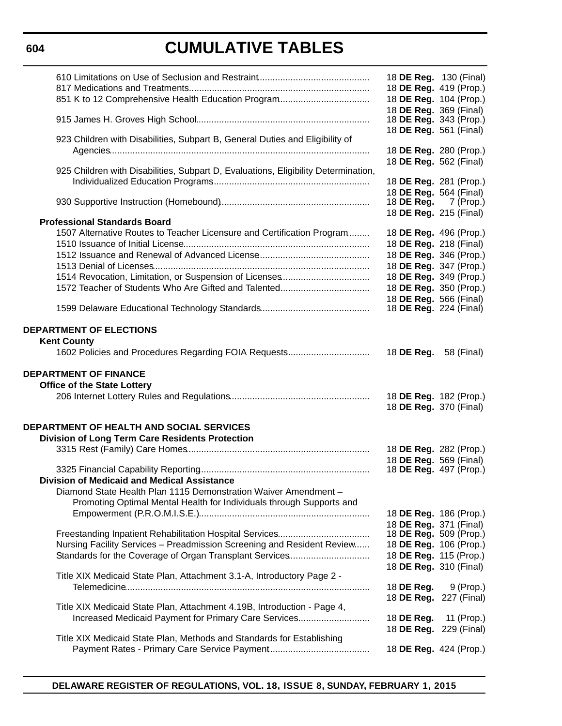### **604**

# **CUMULATIVE TABLES**

|                                                                                    | 18 DE Reg. 130 (Final)                           |
|------------------------------------------------------------------------------------|--------------------------------------------------|
|                                                                                    | 18 DE Reg. 419 (Prop.)                           |
|                                                                                    | 18 DE Reg. 104 (Prop.)                           |
|                                                                                    | 18 DE Reg. 369 (Final)                           |
|                                                                                    | 18 <b>DE Reg.</b> 343 (Prop.)                    |
|                                                                                    | 18 DE Reg. 561 (Final)                           |
| 923 Children with Disabilities, Subpart B, General Duties and Eligibility of       |                                                  |
|                                                                                    | 18 DE Reg. 280 (Prop.)                           |
|                                                                                    | 18 DE Reg. 562 (Final)                           |
| 925 Children with Disabilities, Subpart D, Evaluations, Eligibility Determination, |                                                  |
|                                                                                    | 18 DE Reg. 281 (Prop.)                           |
|                                                                                    | 18 DE Reg. 564 (Final)                           |
|                                                                                    | 18 <b>DE Reg.</b> 7 (Prop.)                      |
| <b>Professional Standards Board</b>                                                | 18 DE Reg. 215 (Final)                           |
| 1507 Alternative Routes to Teacher Licensure and Certification Program             | 18 DE Reg. 496 (Prop.)                           |
|                                                                                    | 18 DE Reg. 218 (Final)                           |
|                                                                                    | 18 DE Reg. 346 (Prop.)                           |
|                                                                                    | 18 DE Reg. 347 (Prop.)                           |
|                                                                                    | 18 DE Reg. 349 (Prop.)                           |
|                                                                                    | 18 DE Reg. 350 (Prop.)                           |
|                                                                                    | 18 DE Reg. 566 (Final)                           |
|                                                                                    | 18 <b>DE Reg.</b> 224 (Final)                    |
|                                                                                    |                                                  |
| <b>DEPARTMENT OF ELECTIONS</b>                                                     |                                                  |
| <b>Kent County</b>                                                                 |                                                  |
|                                                                                    | 18 DE Reg.<br>58 (Final)                         |
| <b>DEPARTMENT OF FINANCE</b><br><b>Office of the State Lottery</b>                 | 18 DE Reg. 182 (Prop.)<br>18 DE Reg. 370 (Final) |
|                                                                                    |                                                  |
|                                                                                    |                                                  |
| DEPARTMENT OF HEALTH AND SOCIAL SERVICES                                           |                                                  |
| Division of Long Term Care Residents Protection                                    |                                                  |
|                                                                                    | 18 DE Reg. 282 (Prop.)                           |
|                                                                                    | 18 DE Reg. 569 (Final)                           |
| Division of Medicaid and Medical Assistance                                        | 18 DE Reg. 497 (Prop.)                           |
| Diamond State Health Plan 1115 Demonstration Waiver Amendment -                    |                                                  |
|                                                                                    |                                                  |
| Promoting Optimal Mental Health for Individuals through Supports and               |                                                  |
|                                                                                    | 18 DE Reg. 186 (Prop.)<br>18 DE Reg. 371 (Final) |
|                                                                                    | 18 DE Reg. 509 (Prop.)                           |
| Nursing Facility Services - Preadmission Screening and Resident Review             | 18 DE Reg. 106 (Prop.)                           |
| Standards for the Coverage of Organ Transplant Services                            | 18 DE Reg. 115 (Prop.)                           |
|                                                                                    | 18 DE Reg. 310 (Final)                           |
| Title XIX Medicaid State Plan, Attachment 3.1-A, Introductory Page 2 -             |                                                  |
|                                                                                    | 18 DE Reg.<br>$9$ (Prop.)                        |
|                                                                                    | 18 DE Reg. 227 (Final)                           |
| Title XIX Medicaid State Plan, Attachment 4.19B, Introduction - Page 4,            |                                                  |
| Increased Medicaid Payment for Primary Care Services                               | 11 (Prop.)<br>18 DE Reg.                         |
|                                                                                    | 18 DE Reg. 229 (Final)                           |
| Title XIX Medicaid State Plan, Methods and Standards for Establishing              | 18 DE Reg. 424 (Prop.)                           |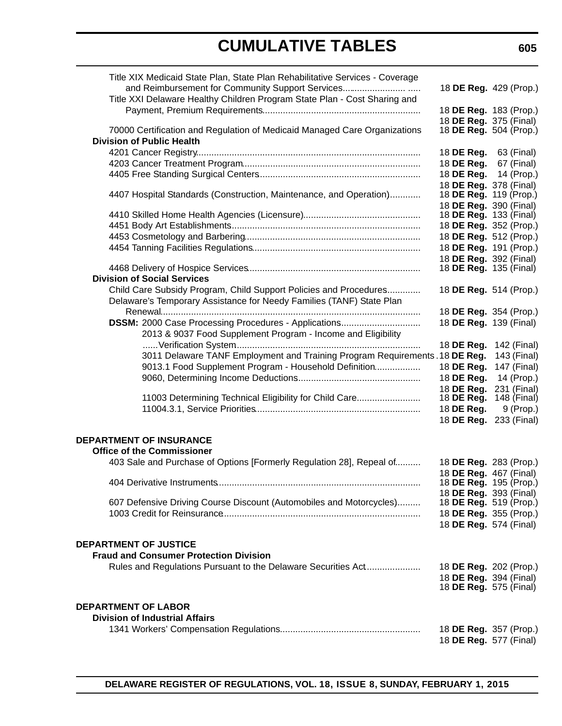| Title XIX Medicaid State Plan, State Plan Rehabilitative Services - Coverage |  |            |                                                         |
|------------------------------------------------------------------------------|--|------------|---------------------------------------------------------|
| and Reimbursement for Community Support Services                             |  |            | 18 DE Reg. 429 (Prop.)                                  |
| Title XXI Delaware Healthy Children Program State Plan - Cost Sharing and    |  |            |                                                         |
|                                                                              |  |            | 18 DE Reg. 183 (Prop.)                                  |
|                                                                              |  |            | 18 DE Reg. 375 (Final)                                  |
| 70000 Certification and Regulation of Medicaid Managed Care Organizations    |  |            | 18 DE Reg. 504 (Prop.)                                  |
| <b>Division of Public Health</b>                                             |  |            |                                                         |
|                                                                              |  | 18 DE Reg. | 63 (Final)                                              |
|                                                                              |  | 18 DE Reg. | 67 (Final)                                              |
|                                                                              |  | 18 DE Req. |                                                         |
|                                                                              |  |            | 14 (Prop.)                                              |
| 4407 Hospital Standards (Construction, Maintenance, and Operation)           |  |            | 18 DE Reg. 378 (Final)<br>18 DE Reg. 119 (Prop.)        |
|                                                                              |  |            |                                                         |
|                                                                              |  |            | 18 DE Reg. 390 (Final)<br>18 <b>DE Reg.</b> 133 (Final) |
|                                                                              |  |            |                                                         |
|                                                                              |  |            | 18 DE Reg. 352 (Prop.)                                  |
|                                                                              |  |            | 18 DE Reg. 512 (Prop.)                                  |
|                                                                              |  |            | 18 DE Reg. 191 (Prop.)                                  |
|                                                                              |  |            | 18 DE Reg. 392 (Final)                                  |
|                                                                              |  |            | 18 <b>DE Reg.</b> 135 (Final)                           |
| <b>Division of Social Services</b>                                           |  |            |                                                         |
| Child Care Subsidy Program, Child Support Policies and Procedures            |  |            | 18 DE Reg. 514 (Prop.)                                  |
| Delaware's Temporary Assistance for Needy Families (TANF) State Plan         |  |            |                                                         |
|                                                                              |  |            | 18 DE Reg. 354 (Prop.)                                  |
| DSSM: 2000 Case Processing Procedures - Applications                         |  |            | 18 DE Reg. 139 (Final)                                  |
| 2013 & 9037 Food Supplement Program - Income and Eligibility                 |  |            |                                                         |
|                                                                              |  | 18 DE Reg. | 142 (Final)                                             |
| 3011 Delaware TANF Employment and Training Program Requirements. 18 DE Reg.  |  |            | 143 (Final)                                             |
|                                                                              |  |            |                                                         |
| 9013.1 Food Supplement Program - Household Definition                        |  | 18 DE Reg. | 147 (Final)                                             |
|                                                                              |  | 18 DE Reg. | 14 (Prop.)                                              |
|                                                                              |  | 18 DE Reg. | 231 (Final)                                             |
| 11003 Determining Technical Eligibility for Child Care                       |  | 18 DE Reg. | 148 (Final)                                             |
|                                                                              |  | 18 DE Reg. | 9 (Prop.)                                               |
|                                                                              |  | 18 DE Reg. | 233 (Final)                                             |
|                                                                              |  |            |                                                         |
| <b>DEPARTMENT OF INSURANCE</b>                                               |  |            |                                                         |
| <b>Office of the Commissioner</b>                                            |  |            |                                                         |
| 403 Sale and Purchase of Options [Formerly Regulation 28], Repeal of         |  |            | 18 DE Reg. 283 (Prop.)                                  |
|                                                                              |  |            | 18 DE Reg. 467 (Final)                                  |
| 404 Derivative Instruments                                                   |  |            | 18 DE Reg. 195 (Prop.)                                  |
|                                                                              |  |            | 18 DE Reg. 393 (Final)                                  |
| 607 Defensive Driving Course Discount (Automobiles and Motorcycles)          |  |            | 18 DE Reg. 519 (Prop.)                                  |
|                                                                              |  |            | 18 DE Reg. 355 (Prop.)                                  |
|                                                                              |  |            | 18 DE Reg. 574 (Final)                                  |
|                                                                              |  |            |                                                         |
| <b>DEPARTMENT OF JUSTICE</b>                                                 |  |            |                                                         |
| <b>Fraud and Consumer Protection Division</b>                                |  |            |                                                         |
| Rules and Regulations Pursuant to the Delaware Securities Act                |  |            | 18 DE Reg. 202 (Prop.)                                  |
|                                                                              |  |            | 18 DE Reg. 394 (Final)                                  |
|                                                                              |  |            | 18 <b>DE Reg.</b> 575 (Final)                           |
|                                                                              |  |            |                                                         |
| <b>DEPARTMENT OF LABOR</b>                                                   |  |            |                                                         |
| <b>Division of Industrial Affairs</b>                                        |  |            |                                                         |
|                                                                              |  |            | 18 DE Reg. 357 (Prop.)                                  |
|                                                                              |  |            | 18 <b>DE Reg.</b> 577 (Final)                           |
|                                                                              |  |            |                                                         |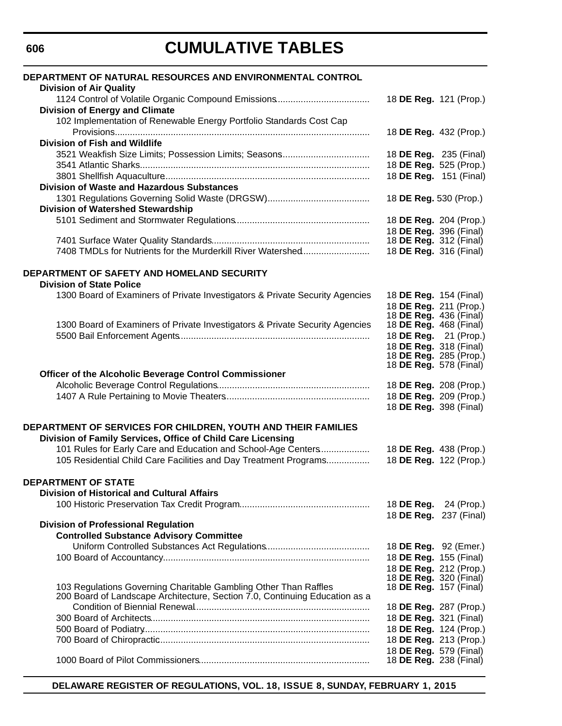| DEPARTMENT OF NATURAL RESOURCES AND ENVIRONMENTAL CONTROL<br><b>Division of Air Quality</b>                                                     |                                                                                   |                                      |
|-------------------------------------------------------------------------------------------------------------------------------------------------|-----------------------------------------------------------------------------------|--------------------------------------|
| <b>Division of Energy and Climate</b><br>102 Implementation of Renewable Energy Portfolio Standards Cost Cap                                    | 18 DE Reg. 121 (Prop.)                                                            |                                      |
| Division of Fish and Wildlife                                                                                                                   | 18 DE Reg. 432 (Prop.)                                                            |                                      |
| 3521 Weakfish Size Limits; Possession Limits; Seasons                                                                                           | 18 DE Reg. 235 (Final)<br>18 DE Reg. 525 (Prop.)                                  |                                      |
| <b>Division of Waste and Hazardous Substances</b>                                                                                               | 18 DE Reg. 151 (Final)                                                            |                                      |
| <b>Division of Watershed Stewardship</b>                                                                                                        | 18 DE Reg. 530 (Prop.)<br>18 DE Reg. 204 (Prop.)                                  |                                      |
|                                                                                                                                                 | 18 DE Reg. 396 (Final)<br>18 <b>DE Reg.</b> 312 (Final)                           |                                      |
| 7408 TMDLs for Nutrients for the Murderkill River Watershed                                                                                     | 18 DE Reg. 316 (Final)                                                            |                                      |
| DEPARTMENT OF SAFETY AND HOMELAND SECURITY<br><b>Division of State Police</b>                                                                   |                                                                                   |                                      |
| 1300 Board of Examiners of Private Investigators & Private Security Agencies                                                                    | 18 DE Reg. 154 (Final)<br>18 DE Reg. 211 (Prop.)<br>18 <b>DE Reg.</b> 436 (Final) |                                      |
| 1300 Board of Examiners of Private Investigators & Private Security Agencies                                                                    | 18 DE Reg. 468 (Final)<br>18 DE Reg. 21 (Prop.)<br>18 DE Reg. 318 (Final)         |                                      |
|                                                                                                                                                 | 18 DE Reg. 285 (Prop.)<br>18 <b>DE Reg.</b> 578 (Final)                           |                                      |
| Officer of the Alcoholic Beverage Control Commissioner                                                                                          |                                                                                   |                                      |
|                                                                                                                                                 | 18 DE Reg. 208 (Prop.)                                                            |                                      |
|                                                                                                                                                 | 18 DE Reg. 209 (Prop.)<br>18 DE Reg. 398 (Final)                                  |                                      |
| DEPARTMENT OF SERVICES FOR CHILDREN, YOUTH AND THEIR FAMILIES<br>Division of Family Services, Office of Child Care Licensing                    |                                                                                   |                                      |
| 101 Rules for Early Care and Education and School-Age Centers<br>105 Residential Child Care Facilities and Day Treatment Programs               | 18 DE Reg. 438 (Prop.)<br>18 DE Reg. 122 (Prop.)                                  |                                      |
| <b>DEPARTMENT OF STATE</b><br><b>Division of Historical and Cultural Affairs</b>                                                                |                                                                                   |                                      |
|                                                                                                                                                 | 18 DE Reg.                                                                        | 24 (Prop.)<br>18 DE Reg. 237 (Final) |
| <b>Division of Professional Regulation</b><br><b>Controlled Substance Advisory Committee</b>                                                    | 18 DE Reg. 92 (Emer.)                                                             |                                      |
|                                                                                                                                                 | 18 DE Reg. 155 (Final)<br>18 DE Reg. 212 (Prop.)                                  |                                      |
| 103 Regulations Governing Charitable Gambling Other Than Raffles<br>200 Board of Landscape Architecture, Section 7.0, Continuing Education as a | 18 DE Reg. 320 (Final)<br>18 <b>DE Reg.</b> 157 (Final)                           |                                      |
|                                                                                                                                                 | 18 DE Reg. 287 (Prop.)<br>18 DE Reg. 321 (Final)                                  |                                      |
|                                                                                                                                                 | 18 DE Reg. 124 (Prop.)<br>18 DE Reg. 213 (Prop.)<br>18 DE Reg. 579 (Final)        |                                      |
|                                                                                                                                                 | 18 DE Reg. 238 (Final)                                                            |                                      |

**DELAWARE REGISTER OF REGULATIONS, VOL. 18, ISSUE 8, SUNDAY, FEBRUARY 1, 2015**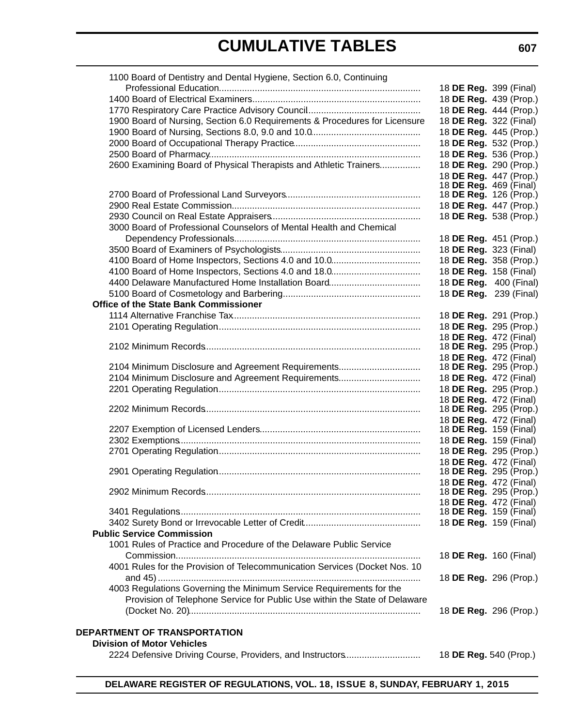| 1100 Board of Dentistry and Dental Hygiene, Section 6.0, Continuing        |                                                         |  |
|----------------------------------------------------------------------------|---------------------------------------------------------|--|
|                                                                            | 18 DE Reg. 399 (Final)                                  |  |
|                                                                            | 18 DE Reg. 439 (Prop.)                                  |  |
|                                                                            | 18 DE Reg. 444 (Prop.)                                  |  |
| 1900 Board of Nursing, Section 6.0 Requirements & Procedures for Licensure | 18 DE Reg. 322 (Final)                                  |  |
|                                                                            | 18 DE Reg. 445 (Prop.)                                  |  |
|                                                                            | 18 DE Reg. 532 (Prop.)                                  |  |
|                                                                            | 18 DE Reg. 536 (Prop.)                                  |  |
| 2600 Examining Board of Physical Therapists and Athletic Trainers          | 18 DE Reg. 290 (Prop.)                                  |  |
|                                                                            | 18 DE Reg. 447 (Prop.)                                  |  |
|                                                                            | 18 <b>DE Reg.</b> 469 (Final)                           |  |
|                                                                            | 18 <b>DE Reg.</b> 126 (Prop.)                           |  |
|                                                                            | 18 DE Reg. 447 (Prop.)                                  |  |
|                                                                            | 18 DE Reg. 538 (Prop.)                                  |  |
| 3000 Board of Professional Counselors of Mental Health and Chemical        |                                                         |  |
|                                                                            | 18 DE Reg. 451 (Prop.)                                  |  |
|                                                                            | 18 DE Reg. 323 (Final)                                  |  |
|                                                                            | 18 DE Reg. 358 (Prop.)                                  |  |
|                                                                            | 18 DE Reg. 158 (Final)                                  |  |
|                                                                            | 18 DE Reg. 400 (Final)                                  |  |
|                                                                            | 18 DE Reg. 239 (Final)                                  |  |
| <b>Office of the State Bank Commissioner</b>                               |                                                         |  |
|                                                                            | 18 DE Reg. 291 (Prop.)                                  |  |
|                                                                            | 18 DE Reg. 295 (Prop.)                                  |  |
|                                                                            | 18 DE Reg. 472 (Final)                                  |  |
|                                                                            | 18 DE Reg. 295 (Prop.)                                  |  |
|                                                                            | 18 DE Reg. 472 (Final)                                  |  |
| 2104 Minimum Disclosure and Agreement Requirements                         | 18 DE Reg. 295 (Prop.)                                  |  |
| 2104 Minimum Disclosure and Agreement Requirements                         | 18 DE Reg. 472 (Final)                                  |  |
|                                                                            | 18 DE Reg. 295 (Prop.)                                  |  |
|                                                                            | 18 DE Reg. 472 (Final)                                  |  |
|                                                                            | 18 DE Reg. 295 (Prop.)                                  |  |
|                                                                            | 18 DE Reg. 472 (Final)                                  |  |
|                                                                            | 18 <b>DE Reg.</b> 159 (Final)                           |  |
|                                                                            | 18 DE Reg. 159 (Final)                                  |  |
|                                                                            | 18 DE Reg. 295 (Prop.)                                  |  |
|                                                                            | 18 DE Reg. 472 (Final)<br>18 <b>DE Reg.</b> 295 (Prop.) |  |
|                                                                            | 18 DE Reg. 472 (Final)                                  |  |
|                                                                            | 18 <b>DE Reg.</b> 295 (Prop.)                           |  |
|                                                                            | 18 DE Reg. 472 (Final)                                  |  |
|                                                                            | 18 <b>DE Reg.</b> 159 (Final)                           |  |
|                                                                            | 18 DE Reg. 159 (Final)                                  |  |
| <b>Public Service Commission</b>                                           |                                                         |  |
| 1001 Rules of Practice and Procedure of the Delaware Public Service        |                                                         |  |
|                                                                            | 18 DE Reg. 160 (Final)                                  |  |
| 4001 Rules for the Provision of Telecommunication Services (Docket Nos. 10 |                                                         |  |
|                                                                            | 18 DE Reg. 296 (Prop.)                                  |  |
| 4003 Regulations Governing the Minimum Service Requirements for the        |                                                         |  |
| Provision of Telephone Service for Public Use within the State of Delaware |                                                         |  |
|                                                                            | 18 DE Reg. 296 (Prop.)                                  |  |
|                                                                            |                                                         |  |
| DEPARTMENT OF TRANSPORTATION                                               |                                                         |  |
| <b>Division of Motor Vehicles</b>                                          |                                                         |  |
| 2224 Defensive Driving Course, Providers, and Instructors                  | 18 DE Reg. 540 (Prop.)                                  |  |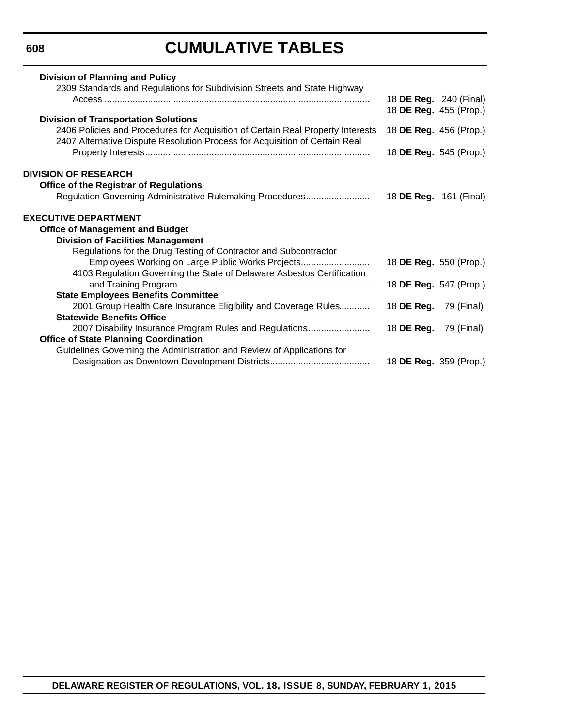**608**

# **CUMULATIVE TABLES**

| <b>Division of Planning and Policy</b>                                                                                                                         |                              |                               |
|----------------------------------------------------------------------------------------------------------------------------------------------------------------|------------------------------|-------------------------------|
| 2309 Standards and Regulations for Subdivision Streets and State Highway                                                                                       |                              |                               |
|                                                                                                                                                                |                              | 18 <b>DE Reg.</b> 240 (Final) |
|                                                                                                                                                                |                              | 18 DE Reg. 455 (Prop.)        |
| <b>Division of Transportation Solutions</b>                                                                                                                    |                              |                               |
| 2406 Policies and Procedures for Acquisition of Certain Real Property Interests<br>2407 Alternative Dispute Resolution Process for Acquisition of Certain Real |                              | 18 DE Reg. 456 (Prop.)        |
|                                                                                                                                                                |                              | 18 DE Reg. 545 (Prop.)        |
|                                                                                                                                                                |                              |                               |
| <b>DIVISION OF RESEARCH</b>                                                                                                                                    |                              |                               |
| <b>Office of the Registrar of Regulations</b>                                                                                                                  |                              |                               |
| Regulation Governing Administrative Rulemaking Procedures                                                                                                      | 18 DE Reg. 161 (Final)       |                               |
| <b>EXECUTIVE DEPARTMENT</b>                                                                                                                                    |                              |                               |
| <b>Office of Management and Budget</b>                                                                                                                         |                              |                               |
| <b>Division of Facilities Management</b>                                                                                                                       |                              |                               |
| Regulations for the Drug Testing of Contractor and Subcontractor                                                                                               |                              |                               |
| Employees Working on Large Public Works Projects                                                                                                               |                              | 18 DE Reg. 550 (Prop.)        |
| 4103 Regulation Governing the State of Delaware Asbestos Certification                                                                                         |                              |                               |
|                                                                                                                                                                |                              | 18 DE Reg. 547 (Prop.)        |
| <b>State Employees Benefits Committee</b>                                                                                                                      |                              |                               |
| 2001 Group Health Care Insurance Eligibility and Coverage Rules                                                                                                | 18 <b>DE Reg.</b> 79 (Final) |                               |
| <b>Statewide Benefits Office</b>                                                                                                                               |                              |                               |
| 2007 Disability Insurance Program Rules and Regulations                                                                                                        | 18 <b>DE Reg.</b> 79 (Final) |                               |
| <b>Office of State Planning Coordination</b>                                                                                                                   |                              |                               |
| Guidelines Governing the Administration and Review of Applications for                                                                                         |                              |                               |
|                                                                                                                                                                |                              | 18 DE Reg. 359 (Prop.)        |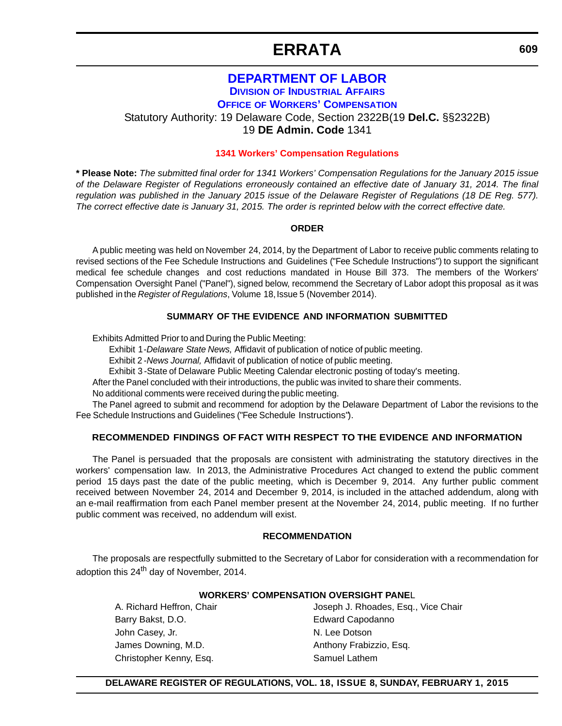#### **[DEPARTMENT OF LABOR](http://dia.delawareworks.com/) DIVISION OF INDUSTRIAL AFFAIRS**

**OFFICE OF WORKERS' COMPENSATION**

<span id="page-11-0"></span>Statutory Authority: 19 Delaware Code, Section 2322B(19 **Del.C.** §§2322B) 19 **DE Admin. Code** 1341

**[1341 Workers' Compensation Regulations](#page-3-0)**

**\* Please Note:** *The submitted final order for 1341 Workers' Compensation Regulations for the January 2015 issue of the Delaware Register of Regulations erroneously contained an effective date of January 31, 2014. The final regulation was published in the January 2015 issue of the Delaware Register of Regulations (18 DE Reg. 577). The correct effective date is January 31, 2015. The order is reprinted below with the correct effective date.*

#### **ORDER**

A public meeting was held on November 24, 2014, by the Department of Labor to receive public comments relating to revised sections of the Fee Schedule Instructions and Guidelines ("Fee Schedule Instructions") to support the significant medical fee schedule changes and cost reductions mandated in House Bill 373. The members of the Workers' Compensation Oversight Panel ("Panel"), signed below, recommend the Secretary of Labor adopt this proposal as it was published in the *Register of Regulations*, Volume 18, Issue 5 (November 2014).

#### **SUMMARY OF THE EVIDENCE AND INFORMATION SUBMITTED**

Exhibits Admitted Prior to and During the Public Meeting:

Exhibit 1 -*Delaware State News,* Affidavit of publication of notice of public meeting.

Exhibit 2 -*News Journal,* Affidavit of publication of notice of public meeting.

Exhibit 3 -State of Delaware Public Meeting Calendar electronic posting of today's meeting.

After the Panel concluded with their introductions, the public was invited to share their comments.

No additional comments were received during the public meeting.

The Panel agreed to submit and recommend for adoption by the Delaware Department of Labor the revisions to the Fee Schedule Instructions and Guidelines ("Fee Schedule Instructions").

#### **RECOMMENDED FINDINGS OF FACT WITH RESPECT TO THE EVIDENCE AND INFORMATION**

The Panel is persuaded that the proposals are consistent with administrating the statutory directives in the workers' compensation law. In 2013, the Administrative Procedures Act changed to extend the public comment period 15 days past the date of the public meeting, which is December 9, 2014. Any further public comment received between November 24, 2014 and December 9, 2014, is included in the attached addendum, along with an e-mail reaffirmation from each Panel member present at the November 24, 2014, public meeting. If no further public comment was received, no addendum will exist.

#### **RECOMMENDATION**

The proposals are respectfully submitted to the Secretary of Labor for consideration with a recommendation for adoption this 24<sup>th</sup> day of November, 2014.

#### **WORKERS' COMPENSATION OVERSIGHT PANE**L

Barry Bakst, D.O. **Edward Capodanno** John Casey, Jr. N. Lee Dotson James Downing, M.D. **Anthony Frabizzio, Esq.** Anthony Frabizzio, Esq. Christopher Kenny, Esq. Samuel Lathem

A. Richard Heffron, Chair **Joseph J. Rhoades, Esq., Vice Chair**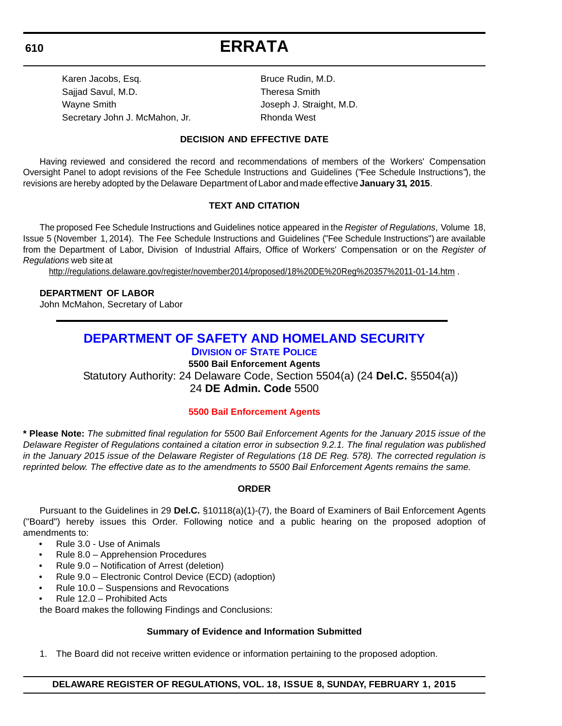<span id="page-12-0"></span>Karen Jacobs, Esq. Bruce Rudin, M.D. Sajjad Savul, M.D. Sajjad Savul, M.D. Wayne Smith Variance Controller Mayne Smith Joseph J. Straight, M.D. Secretary John J. McMahon, Jr. Rhonda West

#### **DECISION AND EFFECTIVE DATE**

Having reviewed and considered the record and recommendations of members of the Workers' Compensation Oversight Panel to adopt revisions of the Fee Schedule Instructions and Guidelines ("Fee Schedule Instructions"), the revisions are hereby adopted by the Delaware Department of Labor and made effective **January 31, 2015**.

#### **TEXT AND CITATION**

The proposed Fee Schedule Instructions and Guidelines notice appeared in the *Register of Regulations*, Volume 18, Issue 5 (November 1, 2014). The Fee Schedule Instructions and Guidelines ("Fee Schedule Instructions") are available from the Department of Labor, Division of Industrial Affairs, Office of Workers' Compensation or on the *Register of Regulations* web site at

[http://regulations.delaware.gov/register/november2014/proposed/18%20DE%20Reg%203](http://regulations.delaware.gov/register/november2014/proposed/18%20DE%20Reg%20357%2011-01-14.htm)*5*7%2011-01-14.htm .

#### **DEPARTMENT OF LABOR**

John McMahon, Secretary of Labor

#### **[DEPARTMENT OF SAFETY AND HOMELAND SECURITY](http://dsp.delaware.gov/) DIVISION OF STATE POLICE**

**5500 Bail Enforcement Agents**

Statutory Authority: 24 Delaware Code, Section 5504(a) (24 **Del.C.** §5504(a))

24 **DE Admin. Code** 5500

#### **[5500 Bail Enforcement Agents](#page-3-0)**

**\* Please Note:** *The submitted final regulation for 5500 Bail Enforcement Agents for the January 2015 issue of the Delaware Register of Regulations contained a citation error in subsection 9.2.1. The final regulation was published in the January 2015 issue of the Delaware Register of Regulations (18 DE Reg. 578). The corrected regulation is reprinted below. The effective date as to the amendments to 5500 Bail Enforcement Agents remains the same.*

#### **ORDER**

Pursuant to the Guidelines in 29 **Del.C.** §10118(a)(1)-(7), the Board of Examiners of Bail Enforcement Agents ("Board") hereby issues this Order. Following notice and a public hearing on the proposed adoption of amendments to:

- Rule 3.0 Use of Animals
- Rule 8.0 Apprehension Procedures
- Rule 9.0 Notification of Arrest (deletion)
- Rule 9.0 Electronic Control Device (ECD) (adoption)
- Rule 10.0 Suspensions and Revocations
- Rule 12.0 Prohibited Acts

the Board makes the following Findings and Conclusions:

#### **Summary of Evidence and Information Submitted**

1. The Board did not receive written evidence or information pertaining to the proposed adoption.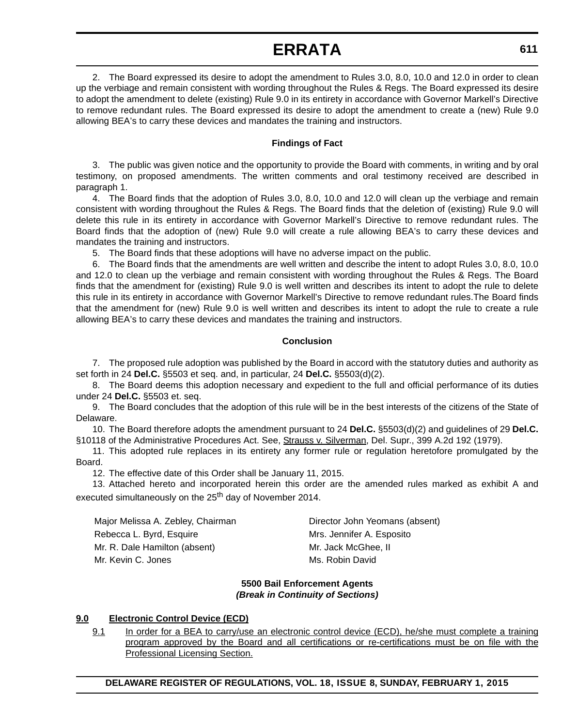2. The Board expressed its desire to adopt the amendment to Rules 3.0, 8.0, 10.0 and 12.0 in order to clean up the verbiage and remain consistent with wording throughout the Rules & Regs. The Board expressed its desire to adopt the amendment to delete (existing) Rule 9.0 in its entirety in accordance with Governor Markell's Directive to remove redundant rules. The Board expressed its desire to adopt the amendment to create a (new) Rule 9.0 allowing BEA's to carry these devices and mandates the training and instructors.

#### **Findings of Fact**

3. The public was given notice and the opportunity to provide the Board with comments, in writing and by oral testimony, on proposed amendments. The written comments and oral testimony received are described in paragraph 1.

4. The Board finds that the adoption of Rules 3.0, 8.0, 10.0 and 12.0 will clean up the verbiage and remain consistent with wording throughout the Rules & Regs. The Board finds that the deletion of (existing) Rule 9.0 will delete this rule in its entirety in accordance with Governor Markell's Directive to remove redundant rules. The Board finds that the adoption of (new) Rule 9.0 will create a rule allowing BEA's to carry these devices and mandates the training and instructors.

5. The Board finds that these adoptions will have no adverse impact on the public.

6. The Board finds that the amendments are well written and describe the intent to adopt Rules 3.0, 8.0, 10.0 and 12.0 to clean up the verbiage and remain consistent with wording throughout the Rules & Regs. The Board finds that the amendment for (existing) Rule 9.0 is well written and describes its intent to adopt the rule to delete this rule in its entirety in accordance with Governor Markell's Directive to remove redundant rules.The Board finds that the amendment for (new) Rule 9.0 is well written and describes its intent to adopt the rule to create a rule allowing BEA's to carry these devices and mandates the training and instructors.

#### **Conclusion**

7. The proposed rule adoption was published by the Board in accord with the statutory duties and authority as set forth in 24 **Del.C.** §5503 et seq. and, in particular, 24 **Del.C.** §5503(d)(2).

8. The Board deems this adoption necessary and expedient to the full and official performance of its duties under 24 **Del.C.** §5503 et. seq.

9. The Board concludes that the adoption of this rule will be in the best interests of the citizens of the State of Delaware.

10. The Board therefore adopts the amendment pursuant to 24 **Del.C.** §5503(d)(2) and guidelines of 29 **Del.C.** §10118 of the Administrative Procedures Act. See, Strauss v. Silverman, Del. Supr., 399 A.2d 192 (1979).

11. This adopted rule replaces in its entirety any former rule or regulation heretofore promulgated by the Board.

12. The effective date of this Order shall be January 11, 2015.

13. Attached hereto and incorporated herein this order are the amended rules marked as exhibit A and executed simultaneously on the 25<sup>th</sup> day of November 2014.

Major Melissa A. Zebley, Chairman Director John Yeomans (absent) Rebecca L. Byrd, Esquire Mrs. Jennifer A. Esposito Mr. R. Dale Hamilton (absent) Mr. Jack McGhee, II Mr. Kevin C. Jones **Mr. Kevin C. Jones** Ms. Robin David

#### **5500 Bail Enforcement Agents** *(Break in Continuity of Sections)*

#### **9.0 Electronic Control Device (ECD)**

9.1 In order for a BEA to carry/use an electronic control device (ECD), he/she must complete a training program approved by the Board and all certifications or re-certifications must be on file with the Professional Licensing Section.

**DELAWARE REGISTER OF REGULATIONS, VOL. 18, ISSUE 8, SUNDAY, FEBRUARY 1, 2015**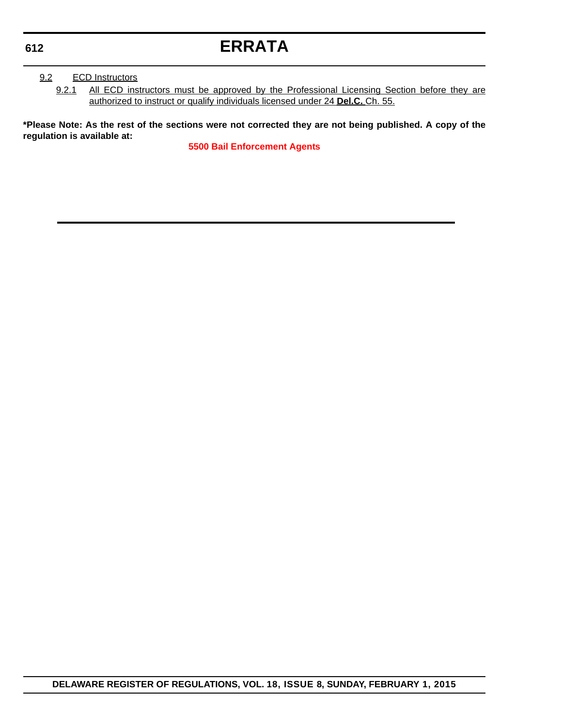#### 9.2 ECD Instructors

9.2.1 All ECD instructors must be approved by the Professional Licensing Section before they are authorized to instruct or qualify individuals licensed under 24 **Del.C.** Ch. 55.

**\*Please Note: As the rest of the sections were not corrected they are not being published. A copy of the regulation is available at:**

**[5500 Bail Enforcement Agents](http://regulations.delaware.gov/register/february2015/errata/18 DE Reg 610 02-01-15.htm)**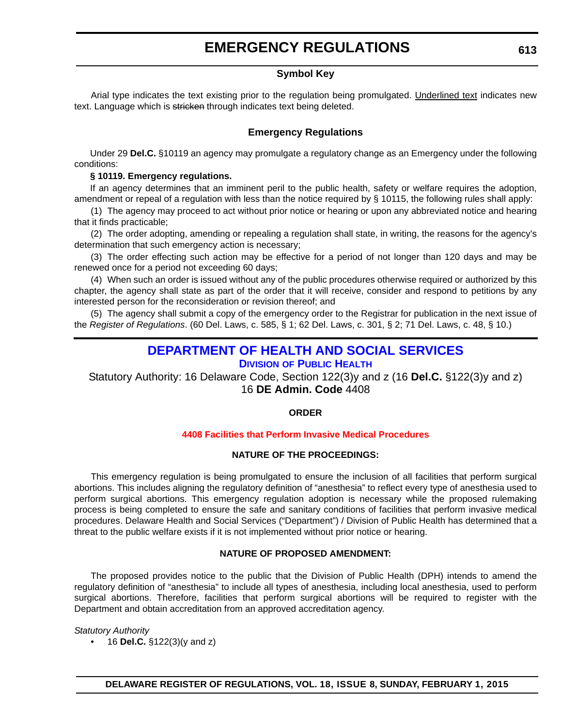### **EMERGENCY REGULATIONS**

#### **Symbol Key**

<span id="page-15-0"></span>Arial type indicates the text existing prior to the regulation being promulgated. Underlined text indicates new text. Language which is stricken through indicates text being deleted.

#### **Emergency Regulations**

Under 29 **Del.C.** §10119 an agency may promulgate a regulatory change as an Emergency under the following conditions:

#### **§ 10119. Emergency regulations.**

If an agency determines that an imminent peril to the public health, safety or welfare requires the adoption, amendment or repeal of a regulation with less than the notice required by § 10115, the following rules shall apply:

(1) The agency may proceed to act without prior notice or hearing or upon any abbreviated notice and hearing that it finds practicable;

(2) The order adopting, amending or repealing a regulation shall state, in writing, the reasons for the agency's determination that such emergency action is necessary;

(3) The order effecting such action may be effective for a period of not longer than 120 days and may be renewed once for a period not exceeding 60 days;

(4) When such an order is issued without any of the public procedures otherwise required or authorized by this chapter, the agency shall state as part of the order that it will receive, consider and respond to petitions by any interested person for the reconsideration or revision thereof; and

(5) The agency shall submit a copy of the emergency order to the Registrar for publication in the next issue of the *Register of Regulations*. (60 Del. Laws, c. 585, § 1; 62 Del. Laws, c. 301, § 2; 71 Del. Laws, c. 48, § 10.)

### **[DEPARTMENT OF HEALTH AND SOCIAL SERVICES](http://www.dhss.delaware.gov/dhss/dph/index.html)**

### **DIVISION OF PUBLIC HEALTH**

Statutory Authority: 16 Delaware Code, Section 122(3)y and z (16 **Del.C.** §122(3)y and z) 16 **DE Admin. Code** 4408

#### **ORDER**

#### **[4408 Facilities that Perform Invasive Medical Procedures](#page-3-0)**

#### **NATURE OF THE PROCEEDINGS:**

This emergency regulation is being promulgated to ensure the inclusion of all facilities that perform surgical abortions. This includes aligning the regulatory definition of "anesthesia" to reflect every type of anesthesia used to perform surgical abortions. This emergency regulation adoption is necessary while the proposed rulemaking process is being completed to ensure the safe and sanitary conditions of facilities that perform invasive medical procedures. Delaware Health and Social Services ("Department") / Division of Public Health has determined that a threat to the public welfare exists if it is not implemented without prior notice or hearing.

#### **NATURE OF PROPOSED AMENDMENT:**

The proposed provides notice to the public that the Division of Public Health (DPH) intends to amend the regulatory definition of "anesthesia" to include all types of anesthesia, including local anesthesia, used to perform surgical abortions. Therefore, facilities that perform surgical abortions will be required to register with the Department and obtain accreditation from an approved accreditation agency.

#### *Statutory Authority*

• 16 **Del.C.** §122(3)(y and z)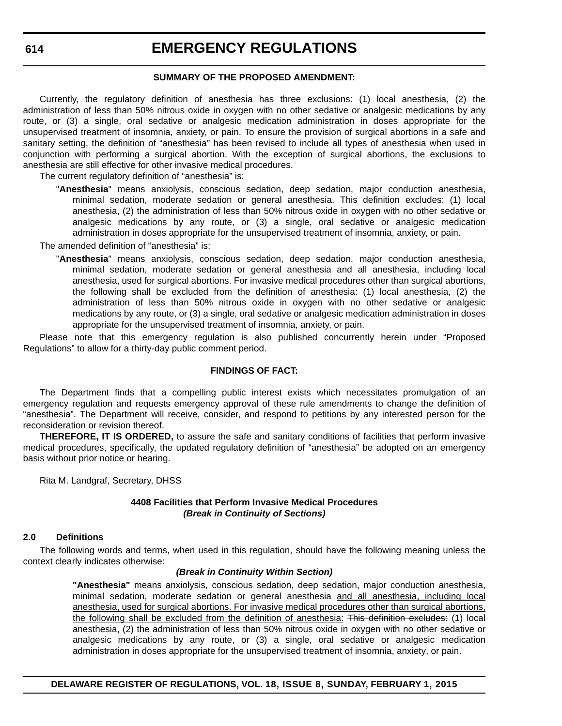### **EMERGENCY REGULATIONS**

#### **SUMMARY OF THE PROPOSED AMENDMENT:**

Currently, the regulatory definition of anesthesia has three exclusions: (1) local anesthesia, (2) the administration of less than 50% nitrous oxide in oxygen with no other sedative or analgesic medications by any route, or (3) a single, oral sedative or analgesic medication administration in doses appropriate for the unsupervised treatment of insomnia, anxiety, or pain. To ensure the provision of surgical abortions in a safe and sanitary setting, the definition of "anesthesia" has been revised to include all types of anesthesia when used in conjunction with performing a surgical abortion. With the exception of surgical abortions, the exclusions to anesthesia are still effective for other invasive medical procedures.

The current regulatory definition of "anesthesia" is:

"**Anesthesia**" means anxiolysis, conscious sedation, deep sedation, major conduction anesthesia, minimal sedation, moderate sedation or general anesthesia. This definition excludes: (1) local anesthesia, (2) the administration of less than 50% nitrous oxide in oxygen with no other sedative or analgesic medications by any route, or (3) a single, oral sedative or analgesic medication administration in doses appropriate for the unsupervised treatment of insomnia, anxiety, or pain.

The amended definition of "anesthesia" is:

"**Anesthesia**" means anxiolysis, conscious sedation, deep sedation, major conduction anesthesia, minimal sedation, moderate sedation or general anesthesia and all anesthesia, including local anesthesia, used for surgical abortions. For invasive medical procedures other than surgical abortions, the following shall be excluded from the definition of anesthesia: (1) local anesthesia, (2) the administration of less than 50% nitrous oxide in oxygen with no other sedative or analgesic medications by any route, or (3) a single, oral sedative or analgesic medication administration in doses appropriate for the unsupervised treatment of insomnia, anxiety, or pain.

Please note that this emergency regulation is also published concurrently herein under "Proposed Regulations" to allow for a thirty-day public comment period.

#### **FINDINGS OF FACT:**

The Department finds that a compelling public interest exists which necessitates promulgation of an emergency regulation and requests emergency approval of these rule amendments to change the definition of "anesthesia". The Department will receive, consider, and respond to petitions by any interested person for the reconsideration or revision thereof.

**THEREFORE, IT IS ORDERED,** to assure the safe and sanitary conditions of facilities that perform invasive medical procedures, specifically, the updated regulatory definition of "anesthesia" be adopted on an emergency basis without prior notice or hearing.

Rita M. Landgraf, Secretary, DHSS

#### **4408 Facilities that Perform Invasive Medical Procedures** *(Break in Continuity of Sections)*

#### **2.0 Definitions**

The following words and terms, when used in this regulation, should have the following meaning unless the context clearly indicates otherwise:

#### *(Break in Continuity Within Section)*

**"Anesthesia"** means anxiolysis, conscious sedation, deep sedation, major conduction anesthesia, minimal sedation, moderate sedation or general anesthesia and all anesthesia, including local anesthesia, used for surgical abortions. For invasive medical procedures other than surgical abortions, the following shall be excluded from the definition of anesthesia: This definition excludes: (1) local anesthesia, (2) the administration of less than 50% nitrous oxide in oxygen with no other sedative or analgesic medications by any route, or (3) a single, oral sedative or analgesic medication administration in doses appropriate for the unsupervised treatment of insomnia, anxiety, or pain.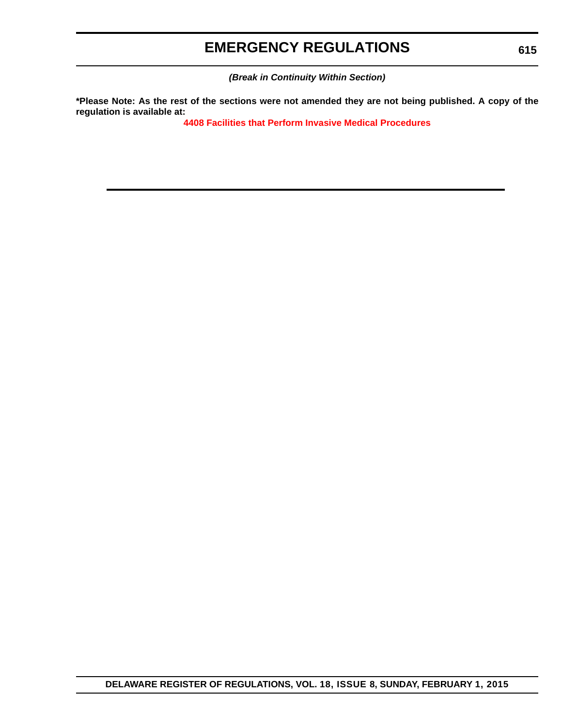### **EMERGENCY REGULATIONS**

*(Break in Continuity Within Section)*

**\*Please Note: As the rest of the sections were not amended they are not being published. A copy of the regulation is available at:**

**[4408 Facilities that Perform Invasive Medical Procedures](http://regulations.delaware.gov/register/february2015/emergency/18 DE Reg 613 02-01-15.htm)**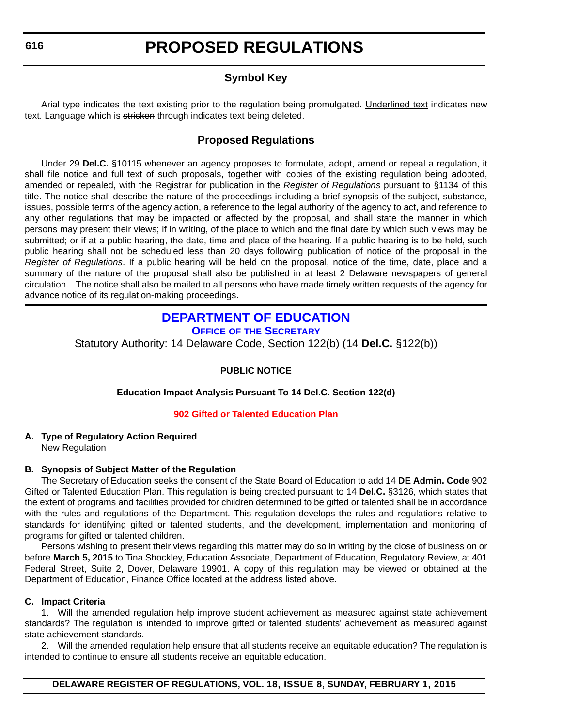### **Symbol Key**

<span id="page-18-0"></span>Arial type indicates the text existing prior to the regulation being promulgated. Underlined text indicates new text. Language which is stricken through indicates text being deleted.

### **Proposed Regulations**

Under 29 **Del.C.** §10115 whenever an agency proposes to formulate, adopt, amend or repeal a regulation, it shall file notice and full text of such proposals, together with copies of the existing regulation being adopted, amended or repealed, with the Registrar for publication in the *Register of Regulations* pursuant to §1134 of this title. The notice shall describe the nature of the proceedings including a brief synopsis of the subject, substance, issues, possible terms of the agency action, a reference to the legal authority of the agency to act, and reference to any other regulations that may be impacted or affected by the proposal, and shall state the manner in which persons may present their views; if in writing, of the place to which and the final date by which such views may be submitted; or if at a public hearing, the date, time and place of the hearing. If a public hearing is to be held, such public hearing shall not be scheduled less than 20 days following publication of notice of the proposal in the *Register of Regulations*. If a public hearing will be held on the proposal, notice of the time, date, place and a summary of the nature of the proposal shall also be published in at least 2 Delaware newspapers of general circulation. The notice shall also be mailed to all persons who have made timely written requests of the agency for advance notice of its regulation-making proceedings.

### **[DEPARTMENT OF EDUCATION](http://www.doe.k12.de.us/site/default.aspx?PageID=1)**

**OFFICE OF THE SECRETARY**

Statutory Authority: 14 Delaware Code, Section 122(b) (14 **Del.C.** §122(b))

#### **PUBLIC NOTICE**

#### **Education Impact Analysis Pursuant To 14 Del.C. Section 122(d)**

#### **[902 Gifted or Talented Education Plan](#page-3-0)**

#### **A. Type of Regulatory Action Required**

New Regulation

#### **B. Synopsis of Subject Matter of the Regulation**

The Secretary of Education seeks the consent of the State Board of Education to add 14 **DE Admin. Code** 902 Gifted or Talented Education Plan. This regulation is being created pursuant to 14 **Del.C.** §3126, which states that the extent of programs and facilities provided for children determined to be gifted or talented shall be in accordance with the rules and regulations of the Department. This regulation develops the rules and regulations relative to standards for identifying gifted or talented students, and the development, implementation and monitoring of programs for gifted or talented children.

Persons wishing to present their views regarding this matter may do so in writing by the close of business on or before **March 5, 2015** to Tina Shockley, Education Associate, Department of Education, Regulatory Review, at 401 Federal Street, Suite 2, Dover, Delaware 19901. A copy of this regulation may be viewed or obtained at the Department of Education, Finance Office located at the address listed above.

#### **C. Impact Criteria**

1. Will the amended regulation help improve student achievement as measured against state achievement standards? The regulation is intended to improve gifted or talented students' achievement as measured against state achievement standards.

2. Will the amended regulation help ensure that all students receive an equitable education? The regulation is intended to continue to ensure all students receive an equitable education.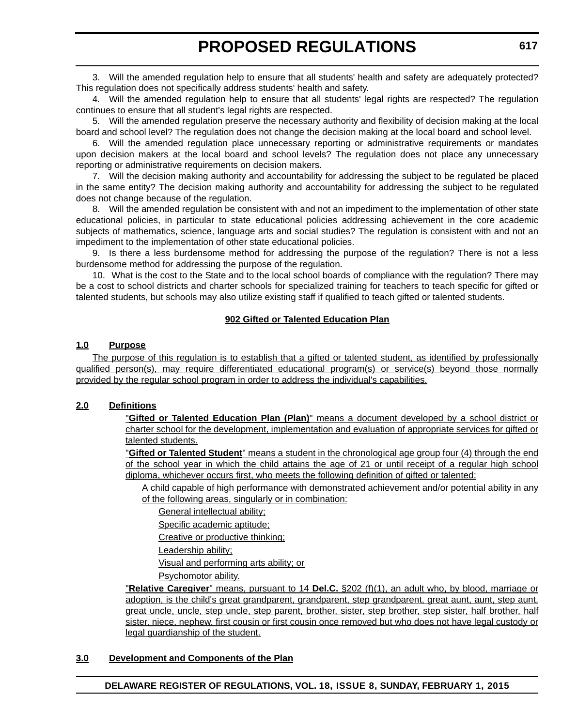3. Will the amended regulation help to ensure that all students' health and safety are adequately protected? This regulation does not specifically address students' health and safety.

4. Will the amended regulation help to ensure that all students' legal rights are respected? The regulation continues to ensure that all student's legal rights are respected.

5. Will the amended regulation preserve the necessary authority and flexibility of decision making at the local board and school level? The regulation does not change the decision making at the local board and school level.

6. Will the amended regulation place unnecessary reporting or administrative requirements or mandates upon decision makers at the local board and school levels? The regulation does not place any unnecessary reporting or administrative requirements on decision makers.

7. Will the decision making authority and accountability for addressing the subject to be regulated be placed in the same entity? The decision making authority and accountability for addressing the subject to be regulated does not change because of the regulation.

8. Will the amended regulation be consistent with and not an impediment to the implementation of other state educational policies, in particular to state educational policies addressing achievement in the core academic subjects of mathematics, science, language arts and social studies? The regulation is consistent with and not an impediment to the implementation of other state educational policies.

9. Is there a less burdensome method for addressing the purpose of the regulation? There is not a less burdensome method for addressing the purpose of the regulation.

10. What is the cost to the State and to the local school boards of compliance with the regulation? There may be a cost to school districts and charter schools for specialized training for teachers to teach specific for gifted or talented students, but schools may also utilize existing staff if qualified to teach gifted or talented students.

#### **902 Gifted or Talented Education Plan**

#### **1.0 Purpose**

The purpose of this regulation is to establish that a gifted or talented student, as identified by professionally qualified person(s), may require differentiated educational program(s) or service(s) beyond those normally provided by the regular school program in order to address the individual's capabilities.

#### **2.0 Definitions**

"**Gifted or Talented Education Plan (Plan)**" means a document developed by a school district or charter school for the development, implementation and evaluation of appropriate services for gifted or talented students.

"**Gifted or Talented Student**" means a student in the chronological age group four (4) through the end of the school year in which the child attains the age of 21 or until receipt of a regular high school diploma, whichever occurs first, who meets the following definition of gifted or talented:

A child capable of high performance with demonstrated achievement and/or potential ability in any of the following areas, singularly or in combination:

General intellectual ability;

Specific academic aptitude;

Creative or productive thinking;

Leadership ability;

Visual and performing arts ability; or

Psychomotor ability.

"**Relative Caregiver**" means, pursuant to 14 **Del.C.** §202 (f)(1), an adult who, by blood, marriage or adoption, is the child's great grandparent, grandparent, step grandparent, great aunt, aunt, step aunt, great uncle, uncle, step uncle, step parent, brother, sister, step brother, step sister, half brother, half sister, niece, nephew, first cousin or first cousin once removed but who does not have legal custody or legal guardianship of the student.

#### **3.0 Development and Components of the Plan**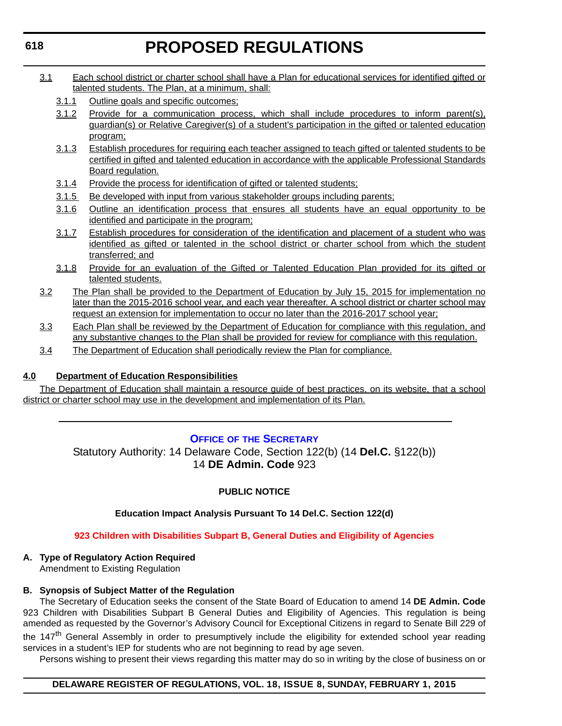- <span id="page-20-0"></span>3.1 Each school district or charter school shall have a Plan for educational services for identified gifted or talented students. The Plan, at a minimum, shall:
	- 3.1.1 Outline goals and specific outcomes;
	- 3.1.2 Provide for a communication process, which shall include procedures to inform parent(s), guardian(s) or Relative Caregiver(s) of a student's participation in the gifted or talented education program;
	- 3.1.3 Establish procedures for requiring each teacher assigned to teach gifted or talented students to be certified in gifted and talented education in accordance with the applicable Professional Standards Board regulation.
	- 3.1.4 Provide the process for identification of gifted or talented students;
	- 3.1.5 Be developed with input from various stakeholder groups including parents;
	- 3.1.6 Outline an identification process that ensures all students have an equal opportunity to be identified and participate in the program;
	- 3.1.7 Establish procedures for consideration of the identification and placement of a student who was identified as gifted or talented in the school district or charter school from which the student transferred; and
	- 3.1.8 Provide for an evaluation of the Gifted or Talented Education Plan provided for its gifted or talented students.
- 3.2 The Plan shall be provided to the Department of Education by July 15, 2015 for implementation no later than the 2015-2016 school year, and each year thereafter. A school district or charter school may request an extension for implementation to occur no later than the 2016-2017 school year;
- 3.3 Each Plan shall be reviewed by the Department of Education for compliance with this regulation, and any substantive changes to the Plan shall be provided for review for compliance with this regulation.
- 3.4 The Department of Education shall periodically review the Plan for compliance.

#### **4.0 Department of Education Responsibilities**

The Department of Education shall maintain a resource guide of best practices, on its website, that a school district or charter school may use in the development and implementation of its Plan.

#### **OFFICE OF [THE SECRETARY](http://www.doe.k12.de.us/site/default.aspx?PageID=1)**

Statutory Authority: 14 Delaware Code, Section 122(b) (14 **Del.C.** §122(b)) 14 **DE Admin. Code** 923

#### **PUBLIC NOTICE**

#### **Education Impact Analysis Pursuant To 14 Del.C. Section 122(d)**

#### **[923 Children with Disabilities Subpart B, General Duties and Eligibility of Agencies](#page-3-0)**

#### **A. Type of Regulatory Action Required**

Amendment to Existing Regulation

#### **B. Synopsis of Subject Matter of the Regulation**

The Secretary of Education seeks the consent of the State Board of Education to amend 14 **DE Admin. Code** 923 Children with Disabilities Subpart B General Duties and Eligibility of Agencies. This regulation is being amended as requested by the Governor's Advisory Council for Exceptional Citizens in regard to Senate Bill 229 of the 147<sup>th</sup> General Assembly in order to presumptively include the eligibility for extended school year reading services in a student's IEP for students who are not beginning to read by age seven.

Persons wishing to present their views regarding this matter may do so in writing by the close of business on or

#### **DELAWARE REGISTER OF REGULATIONS, VOL. 18, ISSUE 8, SUNDAY, FEBRUARY 1, 2015**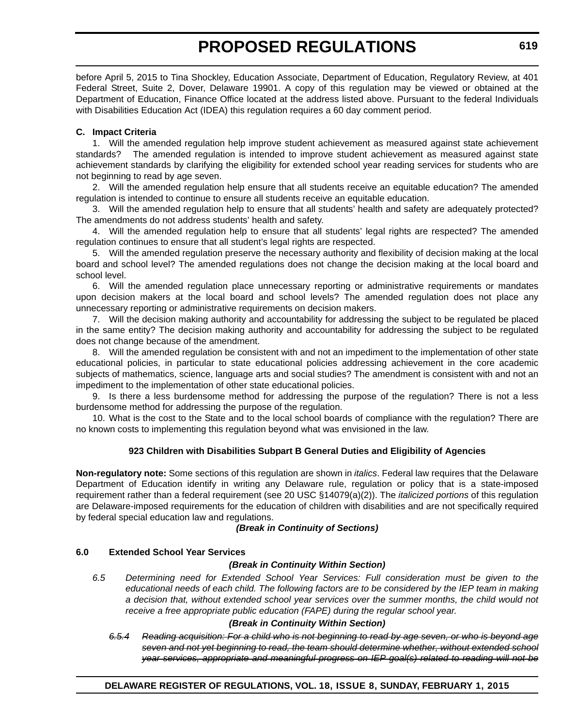before April 5, 2015 to Tina Shockley, Education Associate, Department of Education, Regulatory Review, at 401 Federal Street, Suite 2, Dover, Delaware 19901. A copy of this regulation may be viewed or obtained at the Department of Education, Finance Office located at the address listed above. Pursuant to the federal Individuals with Disabilities Education Act (IDEA) this regulation requires a 60 day comment period.

#### **C. Impact Criteria**

1. Will the amended regulation help improve student achievement as measured against state achievement standards? The amended regulation is intended to improve student achievement as measured against state achievement standards by clarifying the eligibility for extended school year reading services for students who are not beginning to read by age seven.

2. Will the amended regulation help ensure that all students receive an equitable education? The amended regulation is intended to continue to ensure all students receive an equitable education.

3. Will the amended regulation help to ensure that all students' health and safety are adequately protected? The amendments do not address students' health and safety.

4. Will the amended regulation help to ensure that all students' legal rights are respected? The amended regulation continues to ensure that all student's legal rights are respected.

5. Will the amended regulation preserve the necessary authority and flexibility of decision making at the local board and school level? The amended regulations does not change the decision making at the local board and school level.

6. Will the amended regulation place unnecessary reporting or administrative requirements or mandates upon decision makers at the local board and school levels? The amended regulation does not place any unnecessary reporting or administrative requirements on decision makers.

7. Will the decision making authority and accountability for addressing the subject to be regulated be placed in the same entity? The decision making authority and accountability for addressing the subject to be regulated does not change because of the amendment.

8. Will the amended regulation be consistent with and not an impediment to the implementation of other state educational policies, in particular to state educational policies addressing achievement in the core academic subjects of mathematics, science, language arts and social studies? The amendment is consistent with and not an impediment to the implementation of other state educational policies.

9. Is there a less burdensome method for addressing the purpose of the regulation? There is not a less burdensome method for addressing the purpose of the regulation.

10. What is the cost to the State and to the local school boards of compliance with the regulation? There are no known costs to implementing this regulation beyond what was envisioned in the law.

#### **923 Children with Disabilities Subpart B General Duties and Eligibility of Agencies**

**Non-regulatory note:** Some sections of this regulation are shown in *italics*. Federal law requires that the Delaware Department of Education identify in writing any Delaware rule, regulation or policy that is a state-imposed requirement rather than a federal requirement (see 20 USC §14079(a)(2)). The *italicized portions* of this regulation are Delaware-imposed requirements for the education of children with disabilities and are not specifically required by federal special education law and regulations.

#### *(Break in Continuity of Sections)*

#### **6.0 Extended School Year Services**

#### *(Break in Continuity Within Section)*

*6.5 Determining need for Extended School Year Services: Full consideration must be given to the educational needs of each child. The following factors are to be considered by the IEP team in making a decision that, without extended school year services over the summer months, the child would not receive a free appropriate public education (FAPE) during the regular school year.*

#### *(Break in Continuity Within Section)*

*6.5.4 Reading acquisition: For a child who is not beginning to read by age seven, or who is beyond age seven and not yet beginning to read, the team should determine whether, without extended school year services, appropriate and meaningful progress on IEP goal(s) related to reading will not be*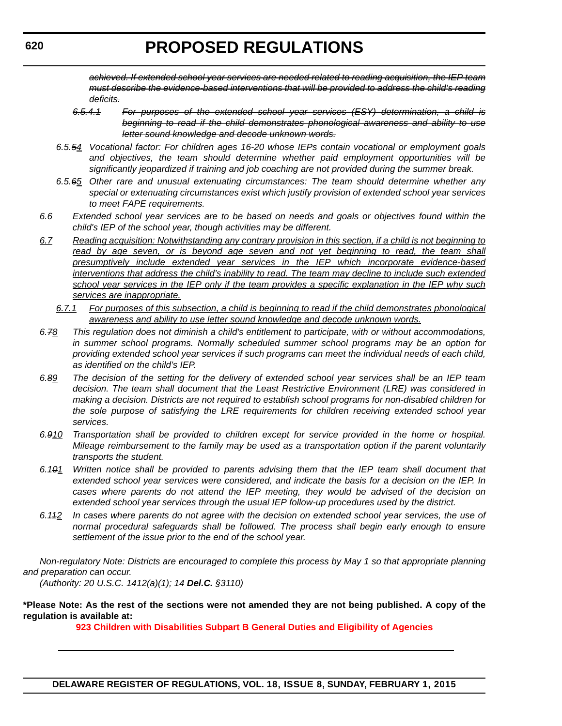*achieved. If extended school year services are needed related to reading acquisition, the IEP team must describe the evidence-based interventions that will be provided to address the child's reading deficits.*

- *6.5.4.1 For purposes of the extended school year services (ESY) determination, a child is beginning to read if the child demonstrates phonological awareness and ability to use letter sound knowledge and decode unknown words.*
- *6.5.54 Vocational factor: For children ages 16-20 whose IEPs contain vocational or employment goals and objectives, the team should determine whether paid employment opportunities will be significantly jeopardized if training and job coaching are not provided during the summer break.*
- *6.5.65 Other rare and unusual extenuating circumstances: The team should determine whether any special or extenuating circumstances exist which justify provision of extended school year services to meet FAPE requirements.*
- *6.6 Extended school year services are to be based on needs and goals or objectives found within the child's IEP of the school year, though activities may be different.*
- *6.7 Reading acquisition: Notwithstanding any contrary provision in this section, if a child is not beginning to* read by age seven, or is beyond age seven and not yet beginning to read, the team shall *presumptively include extended year services in the IEP which incorporate evidence-based interventions that address the child's inability to read. The team may decline to include such extended school year services in the IEP only if the team provides a specific explanation in the IEP why such services are inappropriate.*
	- *6.7.1 For purposes of this subsection, a child is beginning to read if the child demonstrates phonological awareness and ability to use letter sound knowledge and decode unknown words.*
- *6.78 This regulation does not diminish a child's entitlement to participate, with or without accommodations, in summer school programs. Normally scheduled summer school programs may be an option for providing extended school year services if such programs can meet the individual needs of each child, as identified on the child's IEP.*
- *6.89 The decision of the setting for the delivery of extended school year services shall be an IEP team decision. The team shall document that the Least Restrictive Environment (LRE) was considered in making a decision. Districts are not required to establish school programs for non-disabled children for the sole purpose of satisfying the LRE requirements for children receiving extended school year services.*
- *6.910 Transportation shall be provided to children except for service provided in the home or hospital. Mileage reimbursement to the family may be used as a transportation option if the parent voluntarily transports the student.*
- *6.101 Written notice shall be provided to parents advising them that the IEP team shall document that extended school year services were considered, and indicate the basis for a decision on the IEP. In cases where parents do not attend the IEP meeting, they would be advised of the decision on extended school year services through the usual IEP follow-up procedures used by the district.*
- *6.112 In cases where parents do not agree with the decision on extended school year services, the use of normal procedural safeguards shall be followed. The process shall begin early enough to ensure settlement of the issue prior to the end of the school year.*

*Non-regulatory Note: Districts are encouraged to complete this process by May 1 so that appropriate planning and preparation can occur.*

*(Authority: 20 U.S.C. 1412(a)(1); 14 Del.C. §3110)*

**\*Please Note: As the rest of the sections were not amended they are not being published. A copy of the regulation is available at:**

**[923 Children with Disabilities Subpart B General Duties and Eligibility of Agencies](http://regulations.delaware.gov/register/february2015/proposed/18 DE Reg 618 02-01-15.htm)**

**620**

**DELAWARE REGISTER OF REGULATIONS, VOL. 18, ISSUE 8, SUNDAY, FEBRUARY 1, 2015**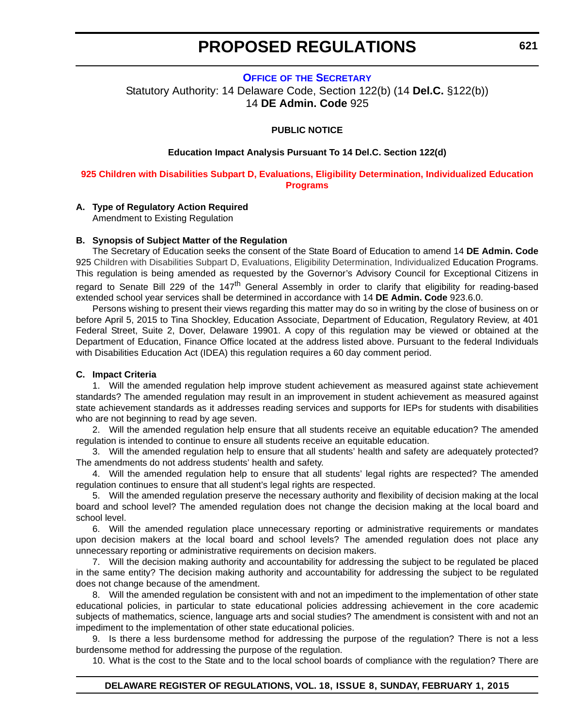#### <span id="page-23-0"></span>**OFFICE OF [THE SECRETARY](http://www.doe.k12.de.us/site/default.aspx?PageID=1)** Statutory Authority: 14 Delaware Code, Section 122(b) (14 **Del.C.** §122(b)) 14 **DE Admin. Code** 925

#### **PUBLIC NOTICE**

#### **Education Impact Analysis Pursuant To 14 Del.C. Section 122(d)**

#### **[925 Children with Disabilities Subpart D, Evaluations, Eligibility Determination, Individualized Education](#page-3-0)  Programs**

#### **A. Type of Regulatory Action Required**

Amendment to Existing Regulation

#### **B. Synopsis of Subject Matter of the Regulation**

The Secretary of Education seeks the consent of the State Board of Education to amend 14 **DE Admin. Code** 925 Children with Disabilities Subpart D, Evaluations, Eligibility Determination, Individualized Education Programs. This regulation is being amended as requested by the Governor's Advisory Council for Exceptional Citizens in regard to Senate Bill 229 of the 147<sup>th</sup> General Assembly in order to clarify that eligibility for reading-based extended school year services shall be determined in accordance with 14 **DE Admin. Code** 923.6.0.

Persons wishing to present their views regarding this matter may do so in writing by the close of business on or before April 5, 2015 to Tina Shockley, Education Associate, Department of Education, Regulatory Review, at 401 Federal Street, Suite 2, Dover, Delaware 19901. A copy of this regulation may be viewed or obtained at the Department of Education, Finance Office located at the address listed above. Pursuant to the federal Individuals with Disabilities Education Act (IDEA) this regulation requires a 60 day comment period.

#### **C. Impact Criteria**

1. Will the amended regulation help improve student achievement as measured against state achievement standards? The amended regulation may result in an improvement in student achievement as measured against state achievement standards as it addresses reading services and supports for IEPs for students with disabilities who are not beginning to read by age seven.

2. Will the amended regulation help ensure that all students receive an equitable education? The amended regulation is intended to continue to ensure all students receive an equitable education.

3. Will the amended regulation help to ensure that all students' health and safety are adequately protected? The amendments do not address students' health and safety.

4. Will the amended regulation help to ensure that all students' legal rights are respected? The amended regulation continues to ensure that all student's legal rights are respected.

5. Will the amended regulation preserve the necessary authority and flexibility of decision making at the local board and school level? The amended regulation does not change the decision making at the local board and school level.

6. Will the amended regulation place unnecessary reporting or administrative requirements or mandates upon decision makers at the local board and school levels? The amended regulation does not place any unnecessary reporting or administrative requirements on decision makers.

7. Will the decision making authority and accountability for addressing the subject to be regulated be placed in the same entity? The decision making authority and accountability for addressing the subject to be regulated does not change because of the amendment.

8. Will the amended regulation be consistent with and not an impediment to the implementation of other state educational policies, in particular to state educational policies addressing achievement in the core academic subjects of mathematics, science, language arts and social studies? The amendment is consistent with and not an impediment to the implementation of other state educational policies.

9. Is there a less burdensome method for addressing the purpose of the regulation? There is not a less burdensome method for addressing the purpose of the regulation.

10. What is the cost to the State and to the local school boards of compliance with the regulation? There are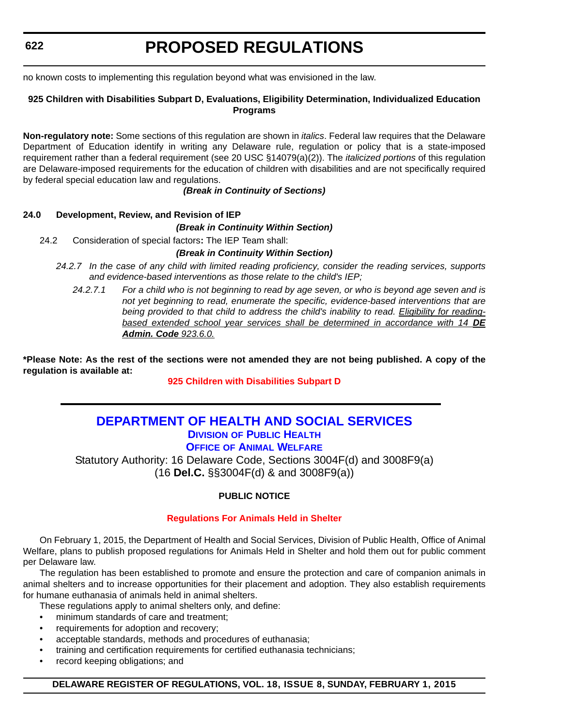#### <span id="page-24-0"></span>**622**

# **PROPOSED REGULATIONS**

no known costs to implementing this regulation beyond what was envisioned in the law.

#### **925 Children with Disabilities Subpart D, Evaluations, Eligibility Determination, Individualized Education Programs**

**Non-regulatory note:** Some sections of this regulation are shown in *italics*. Federal law requires that the Delaware Department of Education identify in writing any Delaware rule, regulation or policy that is a state-imposed requirement rather than a federal requirement (see 20 USC §14079(a)(2)). The *italicized portions* of this regulation are Delaware-imposed requirements for the education of children with disabilities and are not specifically required by federal special education law and regulations.

#### *(Break in Continuity of Sections)*

#### **24.0 Development, Review, and Revision of IEP**

#### *(Break in Continuity Within Section)*

24.2 Consideration of special factors**:** The IEP Team shall:

#### *(Break in Continuity Within Section)*

- *24.2.7 In the case of any child with limited reading proficiency, consider the reading services, supports and evidence-based interventions as those relate to the child's IEP;*
	- *24.2.7.1 For a child who is not beginning to read by age seven, or who is beyond age seven and is not yet beginning to read, enumerate the specific, evidence-based interventions that are being provided to that child to address the child's inability to read. Eligibility for readingbased extended school year services shall be determined in accordance with 14 DE Admin. Code 923.6.0.*

**\*Please Note: As the rest of the sections were not amended they are not being published. A copy of the regulation is available at:**

**[925 Children with Disabilities Subpart D](http://regulations.delaware.gov/register/february2015/proposed/18 DE Reg 621 02-01-15.htm)**

#### **[DEPARTMENT OF HEALTH AND SOCIAL SERVICES](http://www.dhss.delaware.gov/dhss/dph/index.html) DIVISION OF PUBLIC HEALTH**

**OFFICE OF ANIMAL WELFARE**

Statutory Authority: 16 Delaware Code, Sections 3004F(d) and 3008F9(a) (16 **Del.C.** §§3004F(d) & and 3008F9(a))

#### **PUBLIC NOTICE**

#### **[Regulations For Animals Held in Shelter](#page-3-0)**

On February 1, 2015, the Department of Health and Social Services, Division of Public Health, Office of Animal Welfare, plans to publish proposed regulations for Animals Held in Shelter and hold them out for public comment per Delaware law.

The regulation has been established to promote and ensure the protection and care of companion animals in animal shelters and to increase opportunities for their placement and adoption. They also establish requirements for humane euthanasia of animals held in animal shelters.

These regulations apply to animal shelters only, and define:

- minimum standards of care and treatment;
- requirements for adoption and recovery;
- acceptable standards, methods and procedures of euthanasia;
- training and certification requirements for certified euthanasia technicians;
- record keeping obligations; and

#### **DELAWARE REGISTER OF REGULATIONS, VOL. 18, ISSUE 8, SUNDAY, FEBRUARY 1, 2015**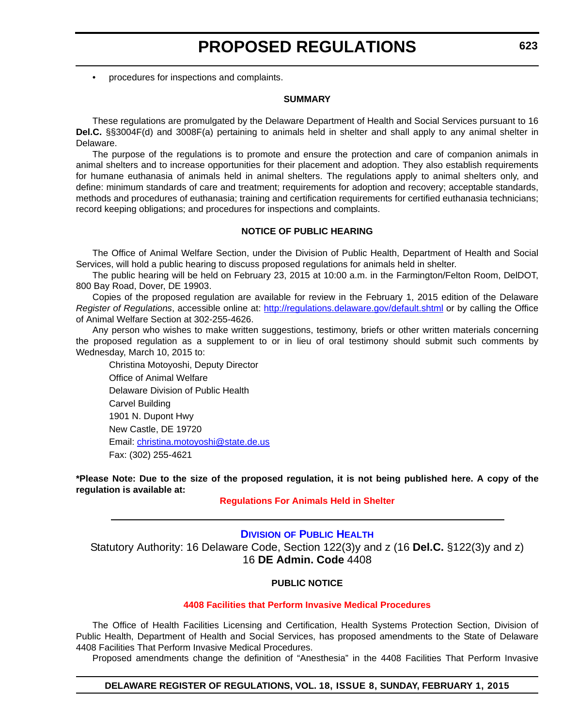<span id="page-25-0"></span>• procedures for inspections and complaints.

#### **SUMMARY**

These regulations are promulgated by the Delaware Department of Health and Social Services pursuant to 16 **Del.C.** §§3004F(d) and 3008F(a) pertaining to animals held in shelter and shall apply to any animal shelter in Delaware.

The purpose of the regulations is to promote and ensure the protection and care of companion animals in animal shelters and to increase opportunities for their placement and adoption. They also establish requirements for humane euthanasia of animals held in animal shelters. The regulations apply to animal shelters only, and define: minimum standards of care and treatment; requirements for adoption and recovery; acceptable standards, methods and procedures of euthanasia; training and certification requirements for certified euthanasia technicians; record keeping obligations; and procedures for inspections and complaints.

#### **NOTICE OF PUBLIC HEARING**

The Office of Animal Welfare Section, under the Division of Public Health, Department of Health and Social Services, will hold a public hearing to discuss proposed regulations for animals held in shelter.

The public hearing will be held on February 23, 2015 at 10:00 a.m. in the Farmington/Felton Room, DelDOT, 800 Bay Road, Dover, DE 19903.

Copies of the proposed regulation are available for review in the February 1, 2015 edition of the Delaware *Register of Regulations*, accessible online at: http://regulations.delaware.gov/default.shtml or by calling the Office of Animal Welfare Section at 302-255-4626.

Any person who wishes to make written suggestions, testimony, briefs or other written materials concerning the proposed regulation as a supplement to or in lieu of oral testimony should submit such comments by Wednesday, March 10, 2015 to:

Christina Motoyoshi, Deputy Director Office of Animal Welfare Delaware Division of Public Health Carvel Building 1901 N. Dupont Hwy New Castle, DE 19720 Email: christina.motoyoshi@state.de.us Fax: (302) 255-4621

**\*Please Note: Due to the size of the proposed regulation, it is not being published here. A copy of the regulation is available at:**

#### **[Regulations For Animals Held in Shelter](http://regulations.delaware.gov/register/february2015/proposed/18 DE Reg 622 02-01-15.htm)**

#### **DIVISION [OF PUBLIC HEALTH](http://www.dhss.delaware.gov/dhss/dph/index.html)**

Statutory Authority: 16 Delaware Code, Section 122(3)y and z (16 **Del.C.** §122(3)y and z) 16 **DE Admin. Code** 4408

#### **PUBLIC NOTICE**

#### **[4408 Facilities that Perform Invasive Medical Procedures](#page-3-0)**

The Office of Health Facilities Licensing and Certification, Health Systems Protection Section, Division of Public Health, Department of Health and Social Services, has proposed amendments to the State of Delaware 4408 Facilities That Perform Invasive Medical Procedures.

Proposed amendments change the definition of "Anesthesia" in the 4408 Facilities That Perform Invasive

#### **DELAWARE REGISTER OF REGULATIONS, VOL. 18, ISSUE 8, SUNDAY, FEBRUARY 1, 2015**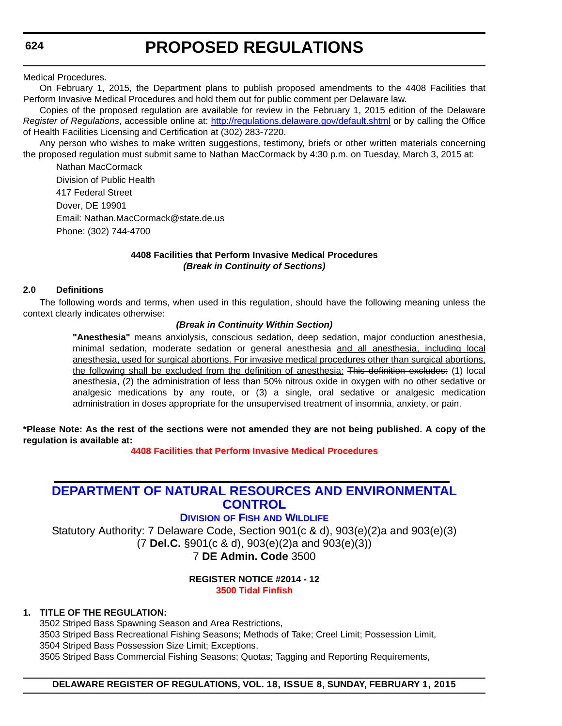<span id="page-26-0"></span>**624**

# **PROPOSED REGULATIONS**

Medical Procedures.

On February 1, 2015, the Department plans to publish proposed amendments to the 4408 Facilities that Perform Invasive Medical Procedures and hold them out for public comment per Delaware law.

Copies of the proposed regulation are available for review in the February 1, 2015 edition of the Delaware *Register of Regulations*, accessible online at: http://regulations.delaware.gov/default.shtml or by calling the Office of Health Facilities Licensing and Certification at (302) 283-7220.

Any person who wishes to make written suggestions, testimony, briefs or other written materials concerning the proposed regulation must submit same to Nathan MacCormack by 4:30 p.m. on Tuesday, March 3, 2015 at:

Nathan MacCormack Division of Public Health 417 Federal Street Dover, DE 19901 Email: Nathan.MacCormack@state.de.us Phone: (302) 744-4700

#### **4408 Facilities that Perform Invasive Medical Procedures** *(Break in Continuity of Sections)*

#### **2.0 Definitions**

The following words and terms, when used in this regulation, should have the following meaning unless the context clearly indicates otherwise:

#### *(Break in Continuity Within Section)*

**"Anesthesia"** means anxiolysis, conscious sedation, deep sedation, major conduction anesthesia, minimal sedation, moderate sedation or general anesthesia and all anesthesia, including local anesthesia, used for surgical abortions. For invasive medical procedures other than surgical abortions, the following shall be excluded from the definition of anesthesia: This definition excludes: (1) local anesthesia, (2) the administration of less than 50% nitrous oxide in oxygen with no other sedative or analgesic medications by any route, or (3) a single, oral sedative or analgesic medication administration in doses appropriate for the unsupervised treatment of insomnia, anxiety, or pain.

**\*Please Note: As the rest of the sections were not amended they are not being published. A copy of the regulation is available at:**

**[4408 Facilities that Perform Invasive Medical Procedures](http://regulations.delaware.gov/register/february2015/proposed/18 DE Reg 623 02-01-15.htm)**

### **[DEPARTMENT OF NATURAL RESOURCES AND ENVIRONMENTAL](http://www.dnrec.delaware.gov/fw/Pages/FWPortal.aspx)  CONTROL**

### **DIVISION OF FISH AND WILDLIFE**

Statutory Authority: 7 Delaware Code, Section 901(c & d), 903(e)(2)a and 903(e)(3) (7 **Del.C.** §901(c & d), 903(e)(2)a and 903(e)(3)) 7 **DE Admin. Code** 3500

#### **REGISTER NOTICE #2014 - 12 [3500 Tidal Finfish](#page-3-0)**

#### **1. TITLE OF THE REGULATION:**

3502 Striped Bass Spawning Season and Area Restrictions, 3503 Striped Bass Recreational Fishing Seasons; Methods of Take; Creel Limit; Possession Limit, 3504 Striped Bass Possession Size Limit; Exceptions, 3505 Striped Bass Commercial Fishing Seasons; Quotas; Tagging and Reporting Requirements,

#### **DELAWARE REGISTER OF REGULATIONS, VOL. 18, ISSUE 8, SUNDAY, FEBRUARY 1, 2015**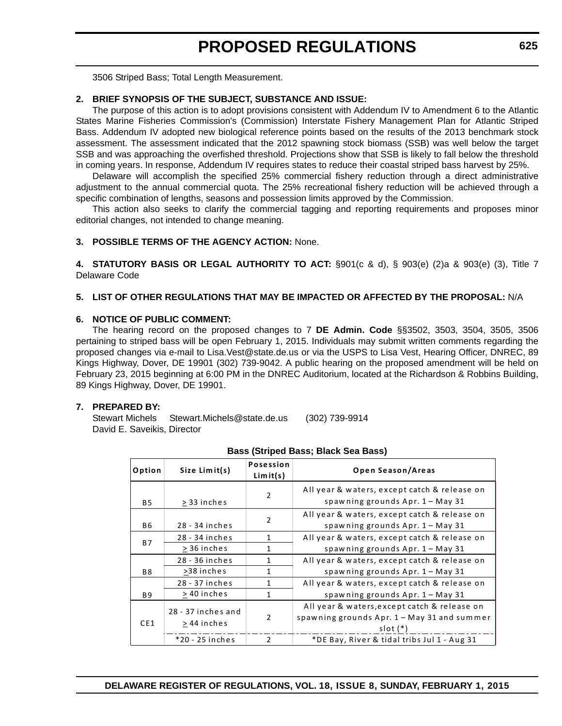3506 Striped Bass; Total Length Measurement.

#### **2. BRIEF SYNOPSIS OF THE SUBJECT, SUBSTANCE AND ISSUE:**

The purpose of this action is to adopt provisions consistent with Addendum IV to Amendment 6 to the Atlantic States Marine Fisheries Commission's (Commission) Interstate Fishery Management Plan for Atlantic Striped Bass. Addendum IV adopted new biological reference points based on the results of the 2013 benchmark stock assessment. The assessment indicated that the 2012 spawning stock biomass (SSB) was well below the target SSB and was approaching the overfished threshold. Projections show that SSB is likely to fall below the threshold in coming years. In response, Addendum IV requires states to reduce their coastal striped bass harvest by 25%.

Delaware will accomplish the specified 25% commercial fishery reduction through a direct administrative adjustment to the annual commercial quota. The 25% recreational fishery reduction will be achieved through a specific combination of lengths, seasons and possession limits approved by the Commission.

This action also seeks to clarify the commercial tagging and reporting requirements and proposes minor editorial changes, not intended to change meaning.

#### **3. POSSIBLE TERMS OF THE AGENCY ACTION:** None.

**4. STATUTORY BASIS OR LEGAL AUTHORITY TO ACT:** §901(c & d), § 903(e) (2)a & 903(e) (3), Title 7 Delaware Code

#### **5. LIST OF OTHER REGULATIONS THAT MAY BE IMPACTED OR AFFECTED BY THE PROPOSAL:** N/A

#### **6. NOTICE OF PUBLIC COMMENT:**

The hearing record on the proposed changes to 7 **DE Admin. Code** §§3502, 3503, 3504, 3505, 3506 pertaining to striped bass will be open February 1, 2015. Individuals may submit written comments regarding the proposed changes via e-mail to Lisa.Vest@state.de.us or via the USPS to Lisa Vest, Hearing Officer, DNREC, 89 Kings Highway, Dover, DE 19901 (302) 739-9042. A public hearing on the proposed amendment will be held on February 23, 2015 beginning at 6:00 PM in the DNREC Auditorium, located at the Richardson & Robbins Building, 89 Kings Highway, Dover, DE 19901.

#### **7. PREPARED BY:**

Stewart Michels Stewart.Michels@state.de.us (302) 739-9914 David E. Saveikis, Director

| Option    | Size Limit(s)                     | <b>Posession</b><br>Limit(s) | Open Season/Areas                                                                                         |
|-----------|-----------------------------------|------------------------------|-----------------------------------------------------------------------------------------------------------|
| <b>B5</b> | > 33 inches                       | $\overline{2}$               | All year & waters, except catch & release on<br>spawning grounds $Apr. 1 - May 31$                        |
| <b>B6</b> | 28 - 34 inches                    | $\overline{2}$               | All year & waters, except catch & release on<br>spawning grounds $Apr. 1 - May 31$                        |
|           | 28 - 34 inches                    | $\mathbf{1}$                 | All year & waters, except catch & release on                                                              |
| <b>B7</b> | > 36 inches                       | 1                            | spawning grounds Apr. 1 - May 31                                                                          |
|           | 28 - 36 inches                    | 1                            | All year & waters, except catch & release on                                                              |
| <b>B8</b> | >38 inches                        | 1                            | spawning grounds $Apr. 1 - May 31$                                                                        |
|           | 28 - 37 inches                    | 1                            | All year & waters, except catch & release on                                                              |
| <b>B9</b> | > 40 inches                       | $\mathbf{1}$                 | spawning grounds $Apr. 1 - May 31$                                                                        |
| CE1       | 28 - 37 inches and<br>> 44 inches | $\overline{2}$               | All year & waters, except catch & release on<br>spawning grounds Apr. 1 - May 31 and summer<br>$slot (*)$ |
|           | *20 - 25 inches                   | $\mathcal{P}$                | *DE Bay, River & tidal tribs Jul 1 - Aug 31                                                               |

#### **Bass (Striped Bass; Black Sea Bass)**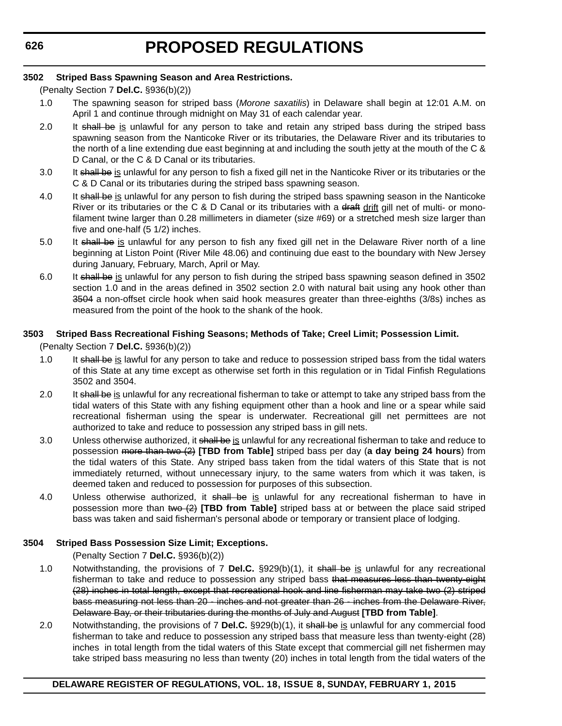#### **3502 Striped Bass Spawning Season and Area Restrictions.**

(Penalty Section 7 **Del.C.** §936(b)(2))

- 1.0 The spawning season for striped bass (*Morone saxatilis*) in Delaware shall begin at 12:01 A.M. on April 1 and continue through midnight on May 31 of each calendar year.
- 2.0 It shall be is unlawful for any person to take and retain any striped bass during the striped bass spawning season from the Nanticoke River or its tributaries, the Delaware River and its tributaries to the north of a line extending due east beginning at and including the south jetty at the mouth of the C & D Canal, or the C & D Canal or its tributaries.
- 3.0 It shall be is unlawful for any person to fish a fixed gill net in the Nanticoke River or its tributaries or the C & D Canal or its tributaries during the striped bass spawning season.
- 4.0 It shall be is unlawful for any person to fish during the striped bass spawning season in the Nanticoke River or its tributaries or the C & D Canal or its tributaries with a draft  $drift$  gill net of multi- or mono-</u> filament twine larger than 0.28 millimeters in diameter (size #69) or a stretched mesh size larger than five and one-half (5 1/2) inches.
- 5.0 It shall be is unlawful for any person to fish any fixed gill net in the Delaware River north of a line beginning at Liston Point (River Mile 48.06) and continuing due east to the boundary with New Jersey during January, February, March, April or May.
- 6.0 It shall be is unlawful for any person to fish during the striped bass spawning season defined in 3502 section 1.0 and in the areas defined in 3502 section 2.0 with natural bait using any hook other than 3504 a non-offset circle hook when said hook measures greater than three-eighths (3/8s) inches as measured from the point of the hook to the shank of the hook.

#### **3503 Striped Bass Recreational Fishing Seasons; Methods of Take; Creel Limit; Possession Limit.**

(Penalty Section 7 **Del.C.** §936(b)(2))

- 1.0 It shall be is lawful for any person to take and reduce to possession striped bass from the tidal waters of this State at any time except as otherwise set forth in this regulation or in Tidal Finfish Regulations 3502 and 3504.
- 2.0 It shall be is unlawful for any recreational fisherman to take or attempt to take any striped bass from the tidal waters of this State with any fishing equipment other than a hook and line or a spear while said recreational fisherman using the spear is underwater. Recreational gill net permittees are not authorized to take and reduce to possession any striped bass in gill nets.
- 3.0 Unless otherwise authorized, it shall be is unlawful for any recreational fisherman to take and reduce to possession more than two (2) **[TBD from Table]** striped bass per day (**a day being 24 hours**) from the tidal waters of this State. Any striped bass taken from the tidal waters of this State that is not immediately returned, without unnecessary injury, to the same waters from which it was taken, is deemed taken and reduced to possession for purposes of this subsection.
- 4.0 Unless otherwise authorized, it shall be is unlawful for any recreational fisherman to have in possession more than two (2) **[TBD from Table]** striped bass at or between the place said striped bass was taken and said fisherman's personal abode or temporary or transient place of lodging.

#### **3504 Striped Bass Possession Size Limit; Exceptions.**

(Penalty Section 7 **Del.C.** §936(b)(2))

- 1.0 Notwithstanding, the provisions of 7 **Del.C.** §929(b)(1), it shall be is unlawful for any recreational fisherman to take and reduce to possession any striped bass that measures less than twenty eight (28) inches in total length, except that recreational hook and line fisherman may take two (2) striped bass measuring not less than 20 - inches and not greater than 26 - inches from the Delaware River, Delaware Bay, or their tributaries during the months of July and August **[TBD from Table]**.
- 2.0 Notwithstanding, the provisions of 7 **Del.C.** §929(b)(1), it shall be is unlawful for any commercial food fisherman to take and reduce to possession any striped bass that measure less than twenty-eight (28) inches in total length from the tidal waters of this State except that commercial gill net fishermen may take striped bass measuring no less than twenty (20) inches in total length from the tidal waters of the

#### **DELAWARE REGISTER OF REGULATIONS, VOL. 18, ISSUE 8, SUNDAY, FEBRUARY 1, 2015**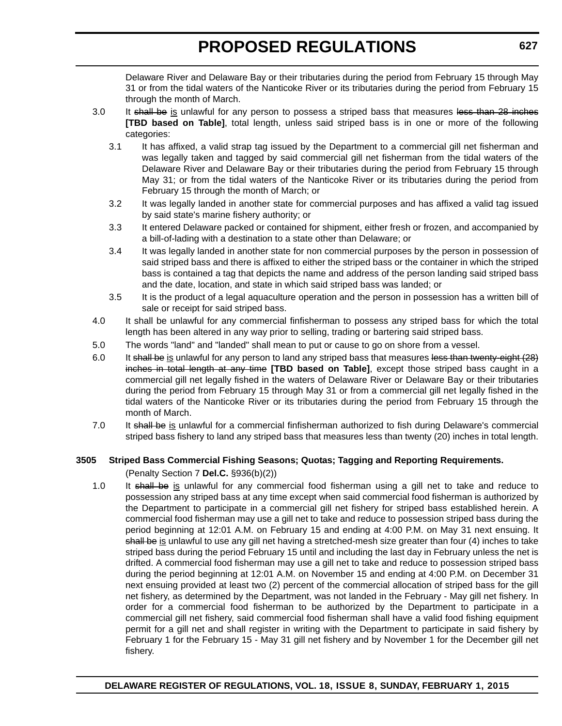Delaware River and Delaware Bay or their tributaries during the period from February 15 through May 31 or from the tidal waters of the Nanticoke River or its tributaries during the period from February 15 through the month of March.

- 3.0 It shall be is unlawful for any person to possess a striped bass that measures less than 28 inches **[TBD based on Table]**, total length, unless said striped bass is in one or more of the following categories:
	- 3.1 It has affixed, a valid strap tag issued by the Department to a commercial gill net fisherman and was legally taken and tagged by said commercial gill net fisherman from the tidal waters of the Delaware River and Delaware Bay or their tributaries during the period from February 15 through May 31; or from the tidal waters of the Nanticoke River or its tributaries during the period from February 15 through the month of March; or
	- 3.2 It was legally landed in another state for commercial purposes and has affixed a valid tag issued by said state's marine fishery authority; or
	- 3.3 It entered Delaware packed or contained for shipment, either fresh or frozen, and accompanied by a bill-of-lading with a destination to a state other than Delaware; or
	- 3.4 It was legally landed in another state for non commercial purposes by the person in possession of said striped bass and there is affixed to either the striped bass or the container in which the striped bass is contained a tag that depicts the name and address of the person landing said striped bass and the date, location, and state in which said striped bass was landed; or
	- 3.5 It is the product of a legal aquaculture operation and the person in possession has a written bill of sale or receipt for said striped bass.
- 4.0 It shall be unlawful for any commercial finfisherman to possess any striped bass for which the total length has been altered in any way prior to selling, trading or bartering said striped bass.
- 5.0 The words "land" and "landed" shall mean to put or cause to go on shore from a vessel.
- 6.0 It shall be is unlawful for any person to land any striped bass that measures less than twenty-eight (28) inches in total length at any time **[TBD based on Table]**, except those striped bass caught in a commercial gill net legally fished in the waters of Delaware River or Delaware Bay or their tributaries during the period from February 15 through May 31 or from a commercial gill net legally fished in the tidal waters of the Nanticoke River or its tributaries during the period from February 15 through the month of March.
- 7.0 It shall be is unlawful for a commercial finfisherman authorized to fish during Delaware's commercial striped bass fishery to land any striped bass that measures less than twenty (20) inches in total length.

#### **3505 Striped Bass Commercial Fishing Seasons; Quotas; Tagging and Reporting Requirements.**

(Penalty Section 7 **Del.C.** §936(b)(2))

1.0 It shall be is unlawful for any commercial food fisherman using a gill net to take and reduce to possession any striped bass at any time except when said commercial food fisherman is authorized by the Department to participate in a commercial gill net fishery for striped bass established herein. A commercial food fisherman may use a gill net to take and reduce to possession striped bass during the period beginning at 12:01 A.M. on February 15 and ending at 4:00 P.M. on May 31 next ensuing. It shall be is unlawful to use any gill net having a stretched-mesh size greater than four (4) inches to take striped bass during the period February 15 until and including the last day in February unless the net is drifted. A commercial food fisherman may use a gill net to take and reduce to possession striped bass during the period beginning at 12:01 A.M. on November 15 and ending at 4:00 P.M. on December 31 next ensuing provided at least two (2) percent of the commercial allocation of striped bass for the gill net fishery, as determined by the Department, was not landed in the February - May gill net fishery. In order for a commercial food fisherman to be authorized by the Department to participate in a commercial gill net fishery, said commercial food fisherman shall have a valid food fishing equipment permit for a gill net and shall register in writing with the Department to participate in said fishery by February 1 for the February 15 - May 31 gill net fishery and by November 1 for the December gill net fishery.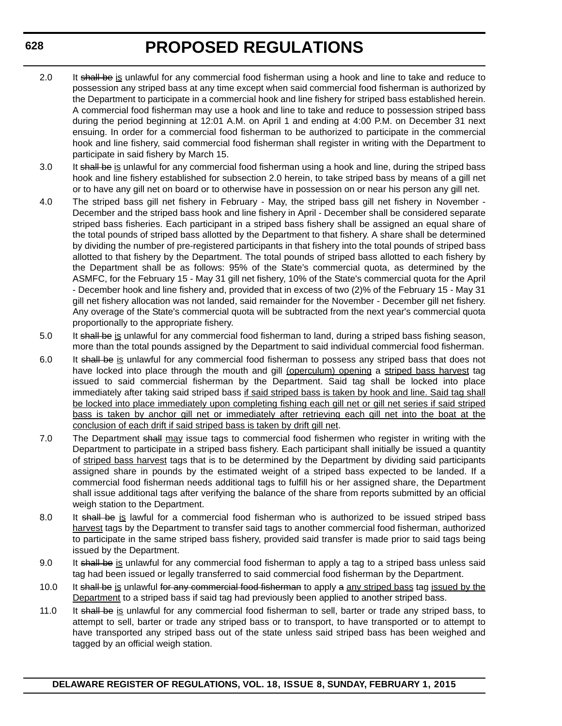- 2.0 It shall be is unlawful for any commercial food fisherman using a hook and line to take and reduce to possession any striped bass at any time except when said commercial food fisherman is authorized by the Department to participate in a commercial hook and line fishery for striped bass established herein. A commercial food fisherman may use a hook and line to take and reduce to possession striped bass during the period beginning at 12:01 A.M. on April 1 and ending at 4:00 P.M. on December 31 next ensuing. In order for a commercial food fisherman to be authorized to participate in the commercial hook and line fishery, said commercial food fisherman shall register in writing with the Department to participate in said fishery by March 15.
- 3.0 It shall be is unlawful for any commercial food fisherman using a hook and line, during the striped bass hook and line fishery established for subsection 2.0 herein, to take striped bass by means of a gill net or to have any gill net on board or to otherwise have in possession on or near his person any gill net.
- 4.0 The striped bass gill net fishery in February May, the striped bass gill net fishery in November December and the striped bass hook and line fishery in April - December shall be considered separate striped bass fisheries. Each participant in a striped bass fishery shall be assigned an equal share of the total pounds of striped bass allotted by the Department to that fishery. A share shall be determined by dividing the number of pre-registered participants in that fishery into the total pounds of striped bass allotted to that fishery by the Department. The total pounds of striped bass allotted to each fishery by the Department shall be as follows: 95% of the State's commercial quota, as determined by the ASMFC, for the February 15 - May 31 gill net fishery, 10% of the State's commercial quota for the April - December hook and line fishery and, provided that in excess of two (2)% of the February 15 - May 31 gill net fishery allocation was not landed, said remainder for the November - December gill net fishery. Any overage of the State's commercial quota will be subtracted from the next year's commercial quota proportionally to the appropriate fishery.
- 5.0 It shall be is unlawful for any commercial food fisherman to land, during a striped bass fishing season, more than the total pounds assigned by the Department to said individual commercial food fisherman.
- 6.0 It shall be is unlawful for any commercial food fisherman to possess any striped bass that does not have locked into place through the mouth and gill (operculum) opening a striped bass harvest tag issued to said commercial fisherman by the Department. Said tag shall be locked into place immediately after taking said striped bass if said striped bass is taken by hook and line. Said tag shall be locked into place immediately upon completing fishing each gill net or gill net series if said striped bass is taken by anchor gill net or immediately after retrieving each gill net into the boat at the conclusion of each drift if said striped bass is taken by drift gill net.
- 7.0 The Department shall may issue tags to commercial food fishermen who register in writing with the Department to participate in a striped bass fishery. Each participant shall initially be issued a quantity of striped bass harvest tags that is to be determined by the Department by dividing said participants assigned share in pounds by the estimated weight of a striped bass expected to be landed. If a commercial food fisherman needs additional tags to fulfill his or her assigned share, the Department shall issue additional tags after verifying the balance of the share from reports submitted by an official weigh station to the Department.
- 8.0 It shall be is lawful for a commercial food fisherman who is authorized to be issued striped bass harvest tags by the Department to transfer said tags to another commercial food fisherman, authorized to participate in the same striped bass fishery, provided said transfer is made prior to said tags being issued by the Department.
- 9.0 It shall be is unlawful for any commercial food fisherman to apply a tag to a striped bass unless said tag had been issued or legally transferred to said commercial food fisherman by the Department.
- 10.0 It shall be is unlawful for any commercial food fisherman to apply a any striped bass tag issued by the Department to a striped bass if said tag had previously been applied to another striped bass.
- 11.0 It shall be is unlawful for any commercial food fisherman to sell, barter or trade any striped bass, to attempt to sell, barter or trade any striped bass or to transport, to have transported or to attempt to have transported any striped bass out of the state unless said striped bass has been weighed and tagged by an official weigh station.

#### **DELAWARE REGISTER OF REGULATIONS, VOL. 18, ISSUE 8, SUNDAY, FEBRUARY 1, 2015**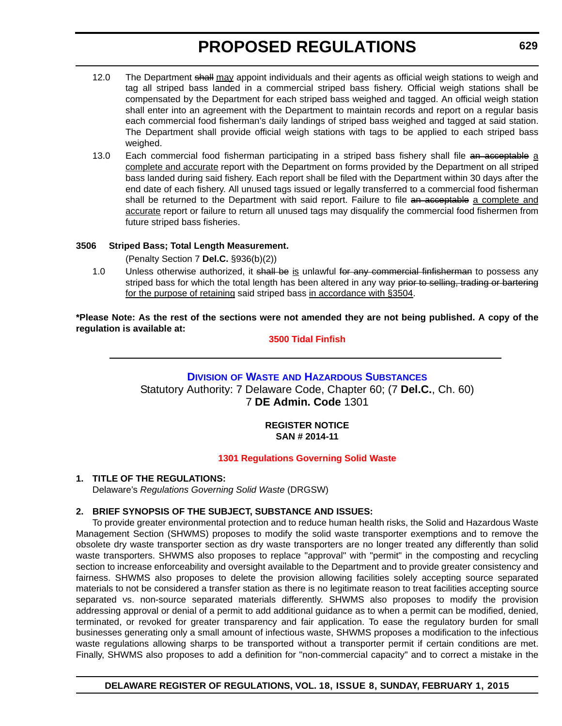- <span id="page-31-0"></span>12.0 The Department shall may appoint individuals and their agents as official weigh stations to weigh and tag all striped bass landed in a commercial striped bass fishery. Official weigh stations shall be compensated by the Department for each striped bass weighed and tagged. An official weigh station shall enter into an agreement with the Department to maintain records and report on a regular basis each commercial food fisherman's daily landings of striped bass weighed and tagged at said station. The Department shall provide official weigh stations with tags to be applied to each striped bass weighed.
- 13.0 Each commercial food fisherman participating in a striped bass fishery shall file an acceptable a complete and accurate report with the Department on forms provided by the Department on all striped bass landed during said fishery. Each report shall be filed with the Department within 30 days after the end date of each fishery. All unused tags issued or legally transferred to a commercial food fisherman shall be returned to the Department with said report. Failure to file an acceptable a complete and accurate report or failure to return all unused tags may disqualify the commercial food fishermen from future striped bass fisheries.

#### **3506 Striped Bass; Total Length Measurement.**

(Penalty Section 7 **Del.C.** §936(b)(2))

1.0 Unless otherwise authorized, it shall be is unlawful for any commercial finfisherman to possess any striped bass for which the total length has been altered in any way prior to selling, trading or bartering for the purpose of retaining said striped bass in accordance with §3504.

**\*Please Note: As the rest of the sections were not amended they are not being published. A copy of the regulation is available at:**

**[3500 Tidal Finfish](http://regulations.delaware.gov/register/february2015/proposed/18 DE Reg 624 02-01-15.htm)**

### **DIVISION OF WASTE [AND HAZARDOUS SUBSTANCES](http://www.dnrec.delaware.gov/dwhs/Pages/default.aspx)** Statutory Authority: 7 Delaware Code, Chapter 60; (7 **Del.C.**, Ch. 60) 7 **DE Admin. Code** 1301

#### **REGISTER NOTICE SAN # 2014-11**

#### **[1301 Regulations Governing Solid Waste](#page-3-0)**

#### **1. TITLE OF THE REGULATIONS:**

Delaware's *Regulations Governing Solid Waste* (DRGSW)

#### **2. BRIEF SYNOPSIS OF THE SUBJECT, SUBSTANCE AND ISSUES:**

To provide greater environmental protection and to reduce human health risks, the Solid and Hazardous Waste Management Section (SHWMS) proposes to modify the solid waste transporter exemptions and to remove the obsolete dry waste transporter section as dry waste transporters are no longer treated any differently than solid waste transporters. SHWMS also proposes to replace "approval" with "permit" in the composting and recycling section to increase enforceability and oversight available to the Department and to provide greater consistency and fairness. SHWMS also proposes to delete the provision allowing facilities solely accepting source separated materials to not be considered a transfer station as there is no legitimate reason to treat facilities accepting source separated vs. non-source separated materials differently. SHWMS also proposes to modify the provision addressing approval or denial of a permit to add additional guidance as to when a permit can be modified, denied, terminated, or revoked for greater transparency and fair application. To ease the regulatory burden for small businesses generating only a small amount of infectious waste, SHWMS proposes a modification to the infectious waste regulations allowing sharps to be transported without a transporter permit if certain conditions are met. Finally, SHWMS also proposes to add a definition for "non-commercial capacity" and to correct a mistake in the

#### **DELAWARE REGISTER OF REGULATIONS, VOL. 18, ISSUE 8, SUNDAY, FEBRUARY 1, 2015**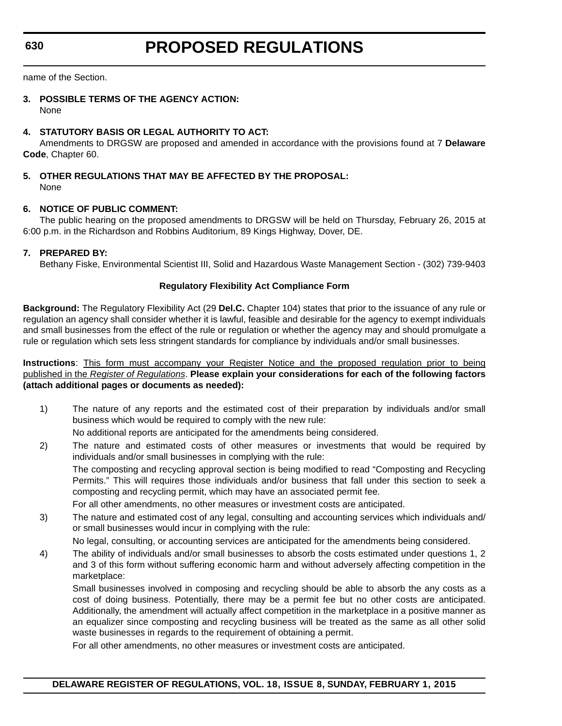**630**

# **PROPOSED REGULATIONS**

name of the Section.

#### **3. POSSIBLE TERMS OF THE AGENCY ACTION:** None

#### **4. STATUTORY BASIS OR LEGAL AUTHORITY TO ACT:**

Amendments to DRGSW are proposed and amended in accordance with the provisions found at 7 **Delaware Code**, Chapter 60.

#### **5. OTHER REGULATIONS THAT MAY BE AFFECTED BY THE PROPOSAL:** None

#### **6. NOTICE OF PUBLIC COMMENT:**

The public hearing on the proposed amendments to DRGSW will be held on Thursday, February 26, 2015 at 6:00 p.m. in the Richardson and Robbins Auditorium, 89 Kings Highway, Dover, DE.

#### **7. PREPARED BY:**

Bethany Fiske, Environmental Scientist III, Solid and Hazardous Waste Management Section - (302) 739-9403

#### **Regulatory Flexibility Act Compliance Form**

**Background:** The Regulatory Flexibility Act (29 **Del.C.** Chapter 104) states that prior to the issuance of any rule or regulation an agency shall consider whether it is lawful, feasible and desirable for the agency to exempt individuals and small businesses from the effect of the rule or regulation or whether the agency may and should promulgate a rule or regulation which sets less stringent standards for compliance by individuals and/or small businesses.

**Instructions**: This form must accompany your Register Notice and the proposed regulation prior to being published in the *Register of Regulations*. **Please explain your considerations for each of the following factors (attach additional pages or documents as needed):**

- 1) The nature of any reports and the estimated cost of their preparation by individuals and/or small business which would be required to comply with the new rule:
	- No additional reports are anticipated for the amendments being considered.
- 2) The nature and estimated costs of other measures or investments that would be required by individuals and/or small businesses in complying with the rule: The composting and recycling approval section is being modified to read "Composting and Recycling Permits." This will requires those individuals and/or business that fall under this section to seek a composting and recycling permit, which may have an associated permit fee. For all other amendments, no other measures or investment costs are anticipated.
- 3) The nature and estimated cost of any legal, consulting and accounting services which individuals and/ or small businesses would incur in complying with the rule:

No legal, consulting, or accounting services are anticipated for the amendments being considered.

4) The ability of individuals and/or small businesses to absorb the costs estimated under questions 1, 2 and 3 of this form without suffering economic harm and without adversely affecting competition in the marketplace:

Small businesses involved in composing and recycling should be able to absorb the any costs as a cost of doing business. Potentially, there may be a permit fee but no other costs are anticipated. Additionally, the amendment will actually affect competition in the marketplace in a positive manner as an equalizer since composting and recycling business will be treated as the same as all other solid waste businesses in regards to the requirement of obtaining a permit.

For all other amendments, no other measures or investment costs are anticipated.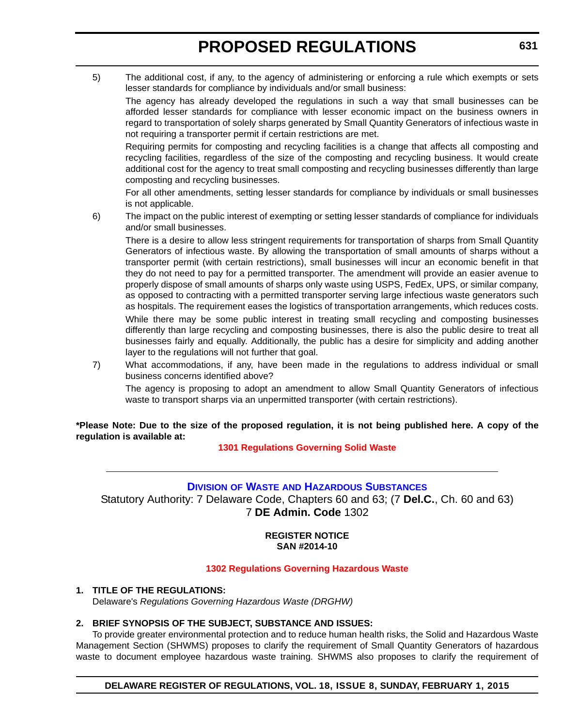<span id="page-33-0"></span>5) The additional cost, if any, to the agency of administering or enforcing a rule which exempts or sets lesser standards for compliance by individuals and/or small business:

The agency has already developed the regulations in such a way that small businesses can be afforded lesser standards for compliance with lesser economic impact on the business owners in regard to transportation of solely sharps generated by Small Quantity Generators of infectious waste in not requiring a transporter permit if certain restrictions are met.

Requiring permits for composting and recycling facilities is a change that affects all composting and recycling facilities, regardless of the size of the composting and recycling business. It would create additional cost for the agency to treat small composting and recycling businesses differently than large composting and recycling businesses.

For all other amendments, setting lesser standards for compliance by individuals or small businesses is not applicable.

6) The impact on the public interest of exempting or setting lesser standards of compliance for individuals and/or small businesses.

There is a desire to allow less stringent requirements for transportation of sharps from Small Quantity Generators of infectious waste. By allowing the transportation of small amounts of sharps without a transporter permit (with certain restrictions), small businesses will incur an economic benefit in that they do not need to pay for a permitted transporter. The amendment will provide an easier avenue to properly dispose of small amounts of sharps only waste using USPS, FedEx, UPS, or similar company, as opposed to contracting with a permitted transporter serving large infectious waste generators such as hospitals. The requirement eases the logistics of transportation arrangements, which reduces costs.

While there may be some public interest in treating small recycling and composting businesses differently than large recycling and composting businesses, there is also the public desire to treat all businesses fairly and equally. Additionally, the public has a desire for simplicity and adding another layer to the regulations will not further that goal.

7) What accommodations, if any, have been made in the regulations to address individual or small business concerns identified above?

The agency is proposing to adopt an amendment to allow Small Quantity Generators of infectious waste to transport sharps via an unpermitted transporter (with certain restrictions).

**\*Please Note: Due to the size of the proposed regulation, it is not being published here. A copy of the regulation is available at:**

**[1301 Regulations Governing Solid Waste](http://regulations.delaware.gov/register/february2015/proposed/18 DE Reg 629 02-01-15.htm)**

#### **DIVISION OF WASTE [AND HAZARDOUS SUBSTANCES](http://www.dnrec.delaware.gov/dwhs/Pages/default.aspx)**

Statutory Authority: 7 Delaware Code, Chapters 60 and 63; (7 **Del.C.**, Ch. 60 and 63) 7 **DE Admin. Code** 1302

> **REGISTER NOTICE SAN #2014-10**

#### **[1302 Regulations Governing Hazardous Waste](#page-3-0)**

**1. TITLE OF THE REGULATIONS:** Delaware's *Regulations Governing Hazardous Waste (DRGHW)*

#### **2. BRIEF SYNOPSIS OF THE SUBJECT, SUBSTANCE AND ISSUES:**

To provide greater environmental protection and to reduce human health risks, the Solid and Hazardous Waste Management Section (SHWMS) proposes to clarify the requirement of Small Quantity Generators of hazardous waste to document employee hazardous waste training. SHWMS also proposes to clarify the requirement of

**DELAWARE REGISTER OF REGULATIONS, VOL. 18, ISSUE 8, SUNDAY, FEBRUARY 1, 2015**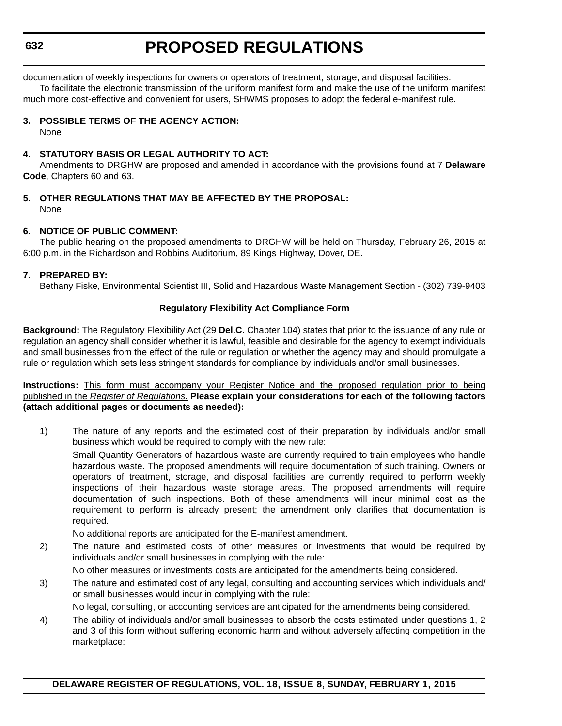documentation of weekly inspections for owners or operators of treatment, storage, and disposal facilities.

To facilitate the electronic transmission of the uniform manifest form and make the use of the uniform manifest much more cost-effective and convenient for users, SHWMS proposes to adopt the federal e-manifest rule.

#### **3. POSSIBLE TERMS OF THE AGENCY ACTION:**

None

#### **4. STATUTORY BASIS OR LEGAL AUTHORITY TO ACT:**

Amendments to DRGHW are proposed and amended in accordance with the provisions found at 7 **Delaware Code**, Chapters 60 and 63.

#### **5. OTHER REGULATIONS THAT MAY BE AFFECTED BY THE PROPOSAL:** None

#### **6. NOTICE OF PUBLIC COMMENT:**

The public hearing on the proposed amendments to DRGHW will be held on Thursday, February 26, 2015 at 6:00 p.m. in the Richardson and Robbins Auditorium, 89 Kings Highway, Dover, DE.

#### **7. PREPARED BY:**

Bethany Fiske, Environmental Scientist III, Solid and Hazardous Waste Management Section - (302) 739-9403

#### **Regulatory Flexibility Act Compliance Form**

**Background:** The Regulatory Flexibility Act (29 **Del.C.** Chapter 104) states that prior to the issuance of any rule or regulation an agency shall consider whether it is lawful, feasible and desirable for the agency to exempt individuals and small businesses from the effect of the rule or regulation or whether the agency may and should promulgate a rule or regulation which sets less stringent standards for compliance by individuals and/or small businesses.

**Instructions:** This form must accompany your Register Notice and the proposed regulation prior to being published in the *Register of Regulations*. **Please explain your considerations for each of the following factors (attach additional pages or documents as needed):**

1) The nature of any reports and the estimated cost of their preparation by individuals and/or small business which would be required to comply with the new rule: Small Quantity Generators of hazardous waste are currently required to train employees who handle hazardous waste. The proposed amendments will require documentation of such training. Owners or operators of treatment, storage, and disposal facilities are currently required to perform weekly inspections of their hazardous waste storage areas. The proposed amendments will require documentation of such inspections. Both of these amendments will incur minimal cost as the requirement to perform is already present; the amendment only clarifies that documentation is required.

No additional reports are anticipated for the E-manifest amendment.

2) The nature and estimated costs of other measures or investments that would be required by individuals and/or small businesses in complying with the rule:

No other measures or investments costs are anticipated for the amendments being considered.

3) The nature and estimated cost of any legal, consulting and accounting services which individuals and/ or small businesses would incur in complying with the rule:

No legal, consulting, or accounting services are anticipated for the amendments being considered.

4) The ability of individuals and/or small businesses to absorb the costs estimated under questions 1, 2 and 3 of this form without suffering economic harm and without adversely affecting competition in the marketplace: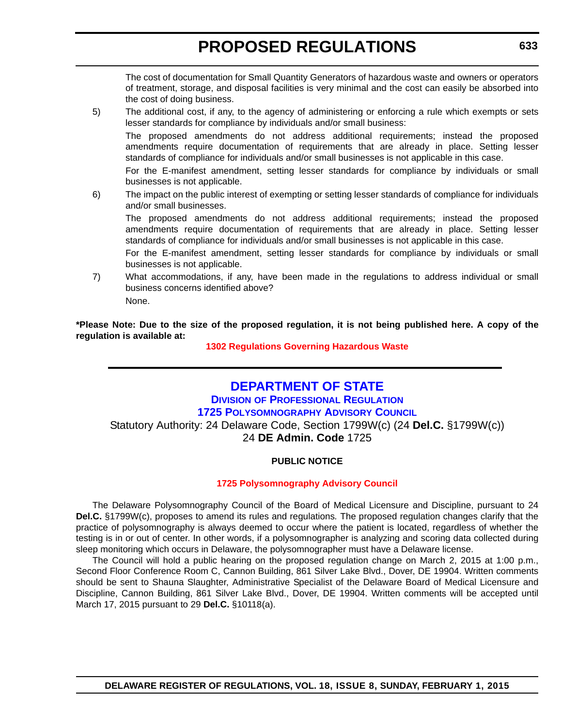<span id="page-35-0"></span>The cost of documentation for Small Quantity Generators of hazardous waste and owners or operators of treatment, storage, and disposal facilities is very minimal and the cost can easily be absorbed into the cost of doing business.

5) The additional cost, if any, to the agency of administering or enforcing a rule which exempts or sets lesser standards for compliance by individuals and/or small business:

The proposed amendments do not address additional requirements; instead the proposed amendments require documentation of requirements that are already in place. Setting lesser standards of compliance for individuals and/or small businesses is not applicable in this case.

For the E-manifest amendment, setting lesser standards for compliance by individuals or small businesses is not applicable.

6) The impact on the public interest of exempting or setting lesser standards of compliance for individuals and/or small businesses.

The proposed amendments do not address additional requirements; instead the proposed amendments require documentation of requirements that are already in place. Setting lesser standards of compliance for individuals and/or small businesses is not applicable in this case.

For the E-manifest amendment, setting lesser standards for compliance by individuals or small businesses is not applicable.

7) What accommodations, if any, have been made in the regulations to address individual or small business concerns identified above? None.

**\*Please Note: Due to the size of the proposed regulation, it is not being published here. A copy of the regulation is available at:**

#### **[1302 Regulations Governing Hazardous Waste](http://regulations.delaware.gov/register/february2015/proposed/18 DE Reg 631 02-01-15.htm)**

### **DEPARTMENT OF STATE**

### **DIVISION OF PROFESSIONAL REGULATION [1725 POLYSOMNOGRAPHY ADVISORY COUNCIL](http://dpr.delaware.gov/)** Statutory Authority: 24 Delaware Code, Section 1799W(c) (24 **Del.C.** §1799W(c)) 24 **DE Admin. Code** 1725

#### **PUBLIC NOTICE**

#### **[1725 Polysomnography Advisory Council](#page-3-0)**

The Delaware Polysomnography Council of the Board of Medical Licensure and Discipline, pursuant to 24 **Del.C.** §1799W(c), proposes to amend its rules and regulations*.* The proposed regulation changes clarify that the practice of polysomnography is always deemed to occur where the patient is located, regardless of whether the testing is in or out of center. In other words, if a polysomnographer is analyzing and scoring data collected during sleep monitoring which occurs in Delaware, the polysomnographer must have a Delaware license.

The Council will hold a public hearing on the proposed regulation change on March 2, 2015 at 1:00 p.m., Second Floor Conference Room C, Cannon Building, 861 Silver Lake Blvd., Dover, DE 19904. Written comments should be sent to Shauna Slaughter, Administrative Specialist of the Delaware Board of Medical Licensure and Discipline, Cannon Building, 861 Silver Lake Blvd., Dover, DE 19904. Written comments will be accepted until March 17, 2015 pursuant to 29 **Del.C.** §10118(a).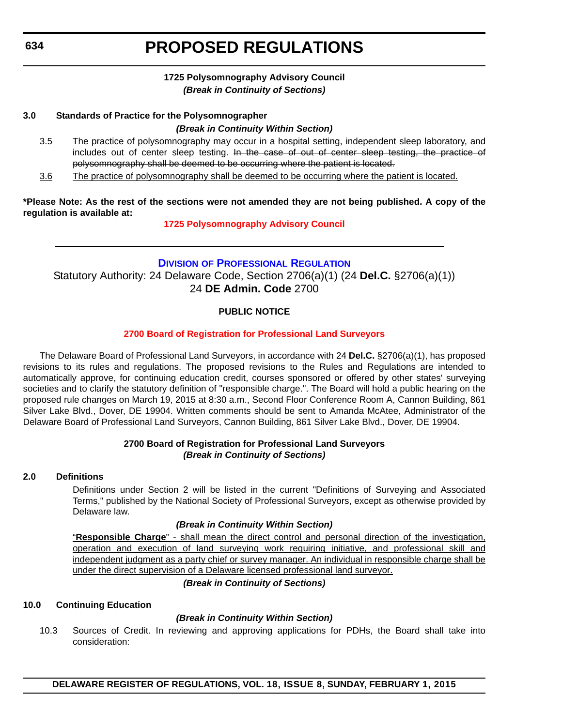#### **1725 Polysomnography Advisory Council** *(Break in Continuity of Sections)*

#### <span id="page-36-0"></span>**3.0 Standards of Practice for the Polysomnographer**

#### *(Break in Continuity Within Section)*

- 3.5 The practice of polysomnography may occur in a hospital setting, independent sleep laboratory, and includes out of center sleep testing. In the case of out of center sleep testing, the practice of polysomnography shall be deemed to be occurring where the patient is located.
- 3.6 The practice of polysomnography shall be deemed to be occurring where the patient is located.

**\*Please Note: As the rest of the sections were not amended they are not being published. A copy of the regulation is available at:**

#### **[1725 Polysomnography Advisory Council](http://regulations.delaware.gov/register/february2015/proposed/18 DE Reg 633 02-01-15.htm)**

### **[D](http://dpr.delaware.gov/)IVISION [OF PROFESSIONAL REGULATION](http://dpr.delaware.gov/)** Statutory Authority: 24 Delaware Code, Section 2706(a)(1) (24 **Del.C.** §2706(a)(1)) 24 **DE Admin. Code** 2700

#### **PUBLIC NOTICE**

#### **[2700 Board of Registration for Professional Land Surveyors](#page-3-0)**

The Delaware Board of Professional Land Surveyors, in accordance with 24 **Del.C.** §2706(a)(1), has proposed revisions to its rules and regulations. The proposed revisions to the Rules and Regulations are intended to automatically approve, for continuing education credit, courses sponsored or offered by other states' surveying societies and to clarify the statutory definition of "responsible charge.". The Board will hold a public hearing on the proposed rule changes on March 19, 2015 at 8:30 a.m., Second Floor Conference Room A, Cannon Building, 861 Silver Lake Blvd., Dover, DE 19904. Written comments should be sent to Amanda McAtee, Administrator of the Delaware Board of Professional Land Surveyors, Cannon Building, 861 Silver Lake Blvd., Dover, DE 19904.

#### **2700 Board of Registration for Professional Land Surveyors** *(Break in Continuity of Sections)*

#### **2.0 Definitions**

Definitions under Section 2 will be listed in the current "Definitions of Surveying and Associated Terms," published by the National Society of Professional Surveyors, except as otherwise provided by Delaware law.

#### *(Break in Continuity Within Section)*

"**Responsible Charge**" - shall mean the direct control and personal direction of the investigation, operation and execution of land surveying work requiring initiative, and professional skill and independent judgment as a party chief or survey manager. An individual in responsible charge shall be under the direct supervision of a Delaware licensed professional land surveyor.

#### *(Break in Continuity of Sections)*

#### **10.0 Continuing Education**

#### *(Break in Continuity Within Section)*

10.3 Sources of Credit. In reviewing and approving applications for PDHs, the Board shall take into consideration: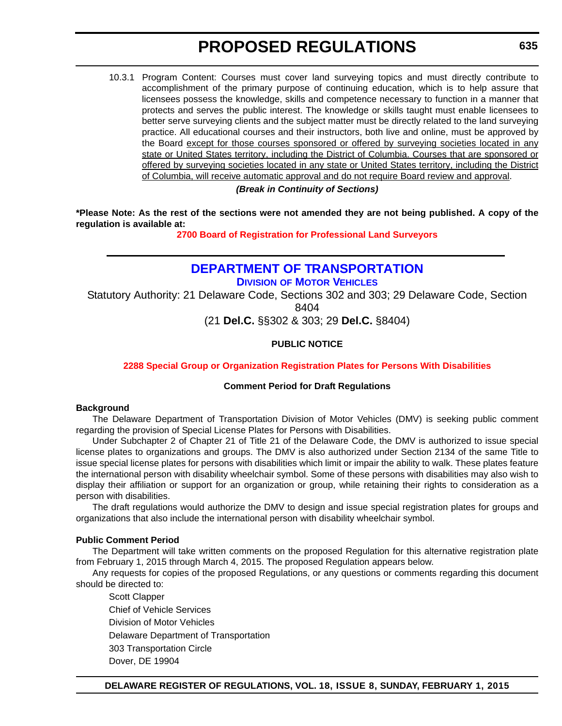<span id="page-37-0"></span>10.3.1 Program Content: Courses must cover land surveying topics and must directly contribute to accomplishment of the primary purpose of continuing education, which is to help assure that licensees possess the knowledge, skills and competence necessary to function in a manner that protects and serves the public interest. The knowledge or skills taught must enable licensees to better serve surveying clients and the subject matter must be directly related to the land surveying practice. All educational courses and their instructors, both live and online, must be approved by the Board except for those courses sponsored or offered by surveying societies located in any state or United States territory, including the District of Columbia. Courses that are sponsored or offered by surveying societies located in any state or United States territory, including the District of Columbia, will receive automatic approval and do not require Board review and approval. *(Break in Continuity of Sections)*

**\*Please Note: As the rest of the sections were not amended they are not being published. A copy of the regulation is available at:**

**[2700 Board of Registration for Professional Land Surveyors](http://regulations.delaware.gov/register/february2015/proposed/18 DE Reg 634 02-01-15.htm)**

### **[DEPARTMENT OF TRANSPORTATION](http://www.dmv.de.gov/)**

**DIVISION OF MOTOR VEHICLES**

Statutory Authority: 21 Delaware Code, Sections 302 and 303; 29 Delaware Code, Section 8404

(21 **Del.C.** §§302 & 303; 29 **Del.C.** §8404)

#### **PUBLIC NOTICE**

#### **[2288 Special Group or Organization Registration Plates for Persons With Disabilities](#page-4-0)**

#### **Comment Period for Draft Regulations**

#### **Background**

The Delaware Department of Transportation Division of Motor Vehicles (DMV) is seeking public comment regarding the provision of Special License Plates for Persons with Disabilities.

Under Subchapter 2 of Chapter 21 of Title 21 of the Delaware Code, the DMV is authorized to issue special license plates to organizations and groups. The DMV is also authorized under Section 2134 of the same Title to issue special license plates for persons with disabilities which limit or impair the ability to walk. These plates feature the international person with disability wheelchair symbol. Some of these persons with disabilities may also wish to display their affiliation or support for an organization or group, while retaining their rights to consideration as a person with disabilities.

The draft regulations would authorize the DMV to design and issue special registration plates for groups and organizations that also include the international person with disability wheelchair symbol.

#### **Public Comment Period**

The Department will take written comments on the proposed Regulation for this alternative registration plate from February 1, 2015 through March 4, 2015. The proposed Regulation appears below.

Any requests for copies of the proposed Regulations, or any questions or comments regarding this document should be directed to:

Scott Clapper Chief of Vehicle Services Division of Motor Vehicles Delaware Department of Transportation 303 Transportation Circle Dover, DE 19904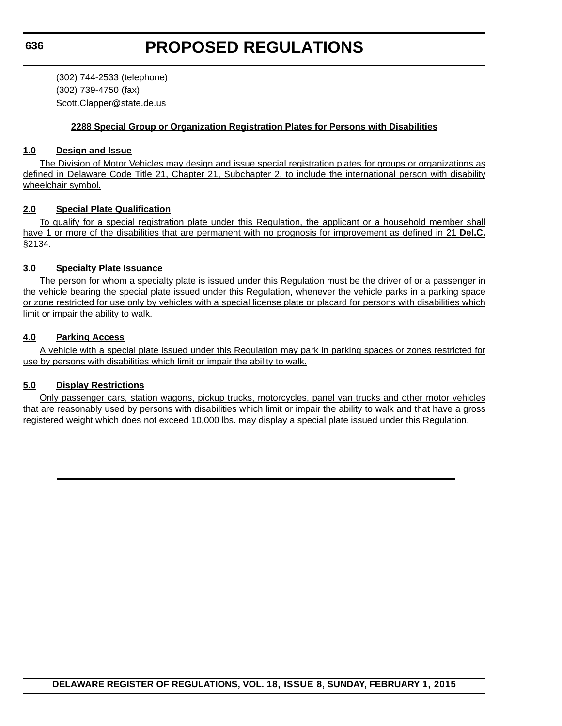(302) 744-2533 (telephone) (302) 739-4750 (fax) Scott.Clapper@state.de.us

#### **2288 Special Group or Organization Registration Plates for Persons with Disabilities**

#### **1.0 Design and Issue**

The Division of Motor Vehicles may design and issue special registration plates for groups or organizations as defined in Delaware Code Title 21, Chapter 21, Subchapter 2, to include the international person with disability wheelchair symbol.

#### **2.0 Special Plate Qualification**

To qualify for a special registration plate under this Regulation, the applicant or a household member shall have 1 or more of the disabilities that are permanent with no prognosis for improvement as defined in 21 **Del.C.** §2134.

#### **3.0 Specialty Plate Issuance**

The person for whom a specialty plate is issued under this Regulation must be the driver of or a passenger in the vehicle bearing the special plate issued under this Regulation, whenever the vehicle parks in a parking space or zone restricted for use only by vehicles with a special license plate or placard for persons with disabilities which limit or impair the ability to walk.

#### **4.0 Parking Access**

A vehicle with a special plate issued under this Regulation may park in parking spaces or zones restricted for use by persons with disabilities which limit or impair the ability to walk.

#### **5.0 Display Restrictions**

Only passenger cars, station wagons, pickup trucks, motorcycles, panel van trucks and other motor vehicles that are reasonably used by persons with disabilities which limit or impair the ability to walk and that have a gross registered weight which does not exceed 10,000 lbs. may display a special plate issued under this Regulation.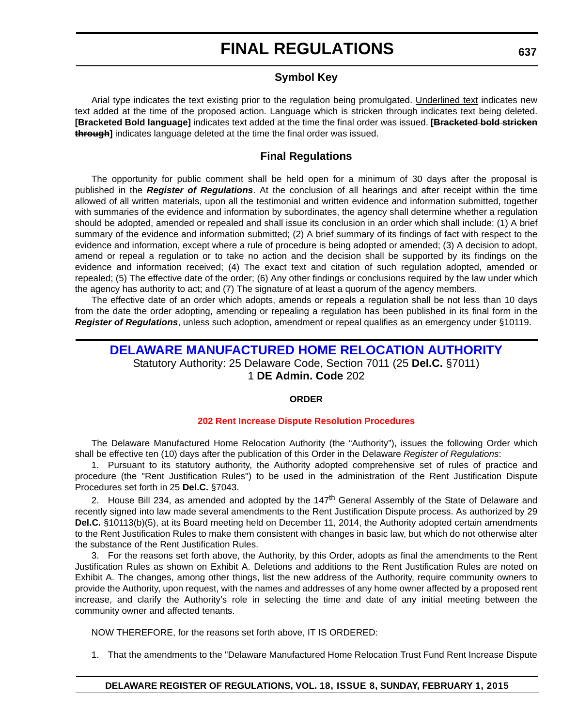#### **Symbol Key**

<span id="page-39-0"></span>Arial type indicates the text existing prior to the regulation being promulgated. Underlined text indicates new text added at the time of the proposed action. Language which is stricken through indicates text being deleted. **[Bracketed Bold language]** indicates text added at the time the final order was issued. **[Bracketed bold stricken through]** indicates language deleted at the time the final order was issued.

#### **Final Regulations**

The opportunity for public comment shall be held open for a minimum of 30 days after the proposal is published in the *Register of Regulations*. At the conclusion of all hearings and after receipt within the time allowed of all written materials, upon all the testimonial and written evidence and information submitted, together with summaries of the evidence and information by subordinates, the agency shall determine whether a regulation should be adopted, amended or repealed and shall issue its conclusion in an order which shall include: (1) A brief summary of the evidence and information submitted; (2) A brief summary of its findings of fact with respect to the evidence and information, except where a rule of procedure is being adopted or amended; (3) A decision to adopt, amend or repeal a regulation or to take no action and the decision shall be supported by its findings on the evidence and information received; (4) The exact text and citation of such regulation adopted, amended or repealed; (5) The effective date of the order; (6) Any other findings or conclusions required by the law under which the agency has authority to act; and (7) The signature of at least a quorum of the agency members.

The effective date of an order which adopts, amends or repeals a regulation shall be not less than 10 days from the date the order adopting, amending or repealing a regulation has been published in its final form in the *Register of Regulations*, unless such adoption, amendment or repeal qualifies as an emergency under §10119.

### **[DELAWARE MANUFACTURED HOME RELOCATION AUTHORITY](http://demhra.delaware.gov/)** Statutory Authority: 25 Delaware Code, Section 7011 (25 **Del.C.** §7011) 1 **DE Admin. Code** 202

#### **ORDER**

#### **[202 Rent Increase Dispute Resolution Procedures](#page-4-0)**

The Delaware Manufactured Home Relocation Authority (the "Authority"), issues the following Order which shall be effective ten (10) days after the publication of this Order in the Delaware *Register of Regulations*:

1. Pursuant to its statutory authority, the Authority adopted comprehensive set of rules of practice and procedure (the "Rent Justification Rules") to be used in the administration of the Rent Justification Dispute Procedures set forth in 25 **Del.C.** §7043.

2. House Bill 234, as amended and adopted by the 147<sup>th</sup> General Assembly of the State of Delaware and recently signed into law made several amendments to the Rent Justification Dispute process. As authorized by 29 **Del.C.** §10113(b)(5), at its Board meeting held on December 11, 2014, the Authority adopted certain amendments to the Rent Justification Rules to make them consistent with changes in basic law, but which do not otherwise alter the substance of the Rent Justification Rules.

3. For the reasons set forth above, the Authority, by this Order, adopts as final the amendments to the Rent Justification Rules as shown on Exhibit A. Deletions and additions to the Rent Justification Rules are noted on Exhibit A. The changes, among other things, list the new address of the Authority, require community owners to provide the Authority, upon request, with the names and addresses of any home owner affected by a proposed rent increase, and clarify the Authority's role in selecting the time and date of any initial meeting between the community owner and affected tenants.

NOW THEREFORE, for the reasons set forth above, IT IS ORDERED:

1. That the amendments to the "Delaware Manufactured Home Relocation Trust Fund Rent Increase Dispute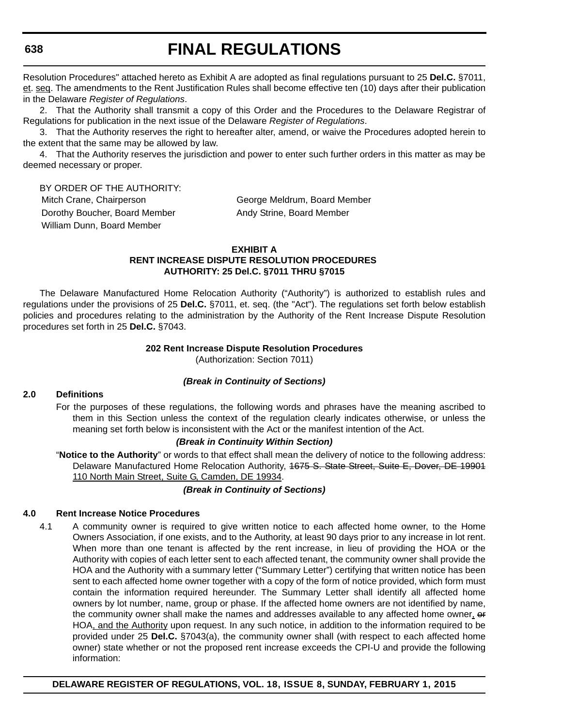Resolution Procedures" attached hereto as Exhibit A are adopted as final regulations pursuant to 25 **Del.C.** §7011, et. seq. The amendments to the Rent Justification Rules shall become effective ten (10) days after their publication in the Delaware *Register of Regulations*.

2. That the Authority shall transmit a copy of this Order and the Procedures to the Delaware Registrar of Regulations for publication in the next issue of the Delaware *Register of Regulations*.

3. That the Authority reserves the right to hereafter alter, amend, or waive the Procedures adopted herein to the extent that the same may be allowed by law.

4. That the Authority reserves the jurisdiction and power to enter such further orders in this matter as may be deemed necessary or proper.

BY ORDER OF THE AUTHORITY: Mitch Crane, Chairperson George Meldrum, Board Member Dorothy Boucher, Board Member Andy Strine, Board Member William Dunn, Board Member

#### **EXHIBIT A RENT INCREASE DISPUTE RESOLUTION PROCEDURES AUTHORITY: 25 Del.C. §7011 THRU §7015**

The Delaware Manufactured Home Relocation Authority ("Authority") is authorized to establish rules and regulations under the provisions of 25 **Del.C.** §7011, et. seq. (the "Act"). The regulations set forth below establish policies and procedures relating to the administration by the Authority of the Rent Increase Dispute Resolution procedures set forth in 25 **Del.C.** §7043.

#### **202 Rent Increase Dispute Resolution Procedures**

(Authorization: Section 7011)

#### *(Break in Continuity of Sections)*

#### **2.0 Definitions**

For the purposes of these regulations, the following words and phrases have the meaning ascribed to them in this Section unless the context of the regulation clearly indicates otherwise, or unless the meaning set forth below is inconsistent with the Act or the manifest intention of the Act.

#### *(Break in Continuity Within Section)*

"**Notice to the Authority**" or words to that effect shall mean the delivery of notice to the following address: Delaware Manufactured Home Relocation Authority, 4675 S. State Street, Suite E, Dover, DE 19901 110 North Main Street, Suite G, Camden, DE 19934.

#### *(Break in Continuity of Sections)*

#### **4.0 Rent Increase Notice Procedures**

4.1 A community owner is required to give written notice to each affected home owner, to the Home Owners Association, if one exists, and to the Authority, at least 90 days prior to any increase in lot rent. When more than one tenant is affected by the rent increase, in lieu of providing the HOA or the Authority with copies of each letter sent to each affected tenant, the community owner shall provide the HOA and the Authority with a summary letter ("Summary Letter") certifying that written notice has been sent to each affected home owner together with a copy of the form of notice provided, which form must contain the information required hereunder. The Summary Letter shall identify all affected home owners by lot number, name, group or phase. If the affected home owners are not identified by name, the community owner shall make the names and addresses available to any affected home owner, or HOA, and the Authority upon request. In any such notice, in addition to the information required to be provided under 25 **Del.C.** §7043(a), the community owner shall (with respect to each affected home owner) state whether or not the proposed rent increase exceeds the CPI-U and provide the following information:

**DELAWARE REGISTER OF REGULATIONS, VOL. 18, ISSUE 8, SUNDAY, FEBRUARY 1, 2015**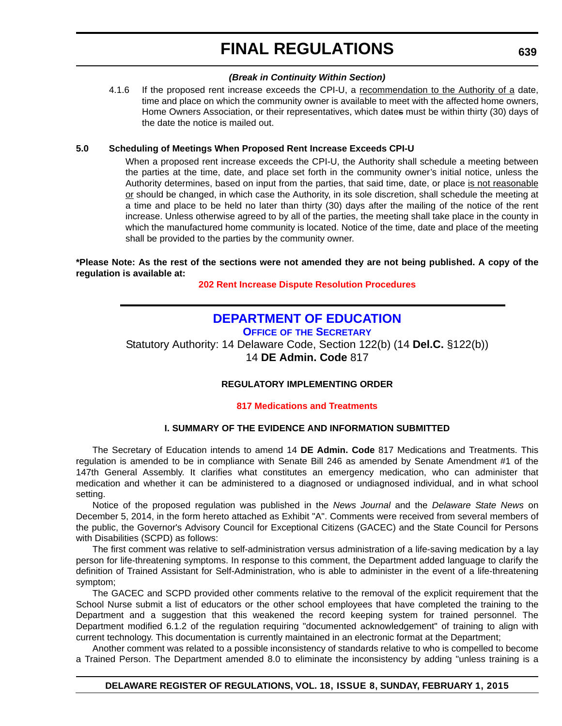#### *(Break in Continuity Within Section)*

<span id="page-41-0"></span>4.1.6 If the proposed rent increase exceeds the CPI-U, a recommendation to the Authority of a date, time and place on which the community owner is available to meet with the affected home owners, Home Owners Association, or their representatives, which dates must be within thirty (30) days of the date the notice is mailed out.

#### **5.0 Scheduling of Meetings When Proposed Rent Increase Exceeds CPI-U**

When a proposed rent increase exceeds the CPI-U, the Authority shall schedule a meeting between the parties at the time, date, and place set forth in the community owner's initial notice, unless the Authority determines, based on input from the parties, that said time, date, or place is not reasonable or should be changed, in which case the Authority, in its sole discretion, shall schedule the meeting at a time and place to be held no later than thirty (30) days after the mailing of the notice of the rent increase. Unless otherwise agreed to by all of the parties, the meeting shall take place in the county in which the manufactured home community is located. Notice of the time, date and place of the meeting shall be provided to the parties by the community owner.

#### **\*Please Note: As the rest of the sections were not amended they are not being published. A copy of the regulation is available at:**

**[202 Rent Increase Dispute Resolution Procedures](http://regulations.delaware.gov/register/february2015/final/18 DE Reg 637 02-01-15.htm)**

### **[DEPARTMENT OF EDUCATION](http://www.doe.k12.de.us/site/default.aspx?PageID=1)**

**OFFICE OF THE SECRETARY**

Statutory Authority: 14 Delaware Code, Section 122(b) (14 **Del.C.** §122(b)) 14 **DE Admin. Code** 817

#### **REGULATORY IMPLEMENTING ORDER**

**[817 Medications and Treatments](#page-4-0)**

#### **I. SUMMARY OF THE EVIDENCE AND INFORMATION SUBMITTED**

The Secretary of Education intends to amend 14 **DE Admin. Code** 817 Medications and Treatments. This regulation is amended to be in compliance with Senate Bill 246 as amended by Senate Amendment #1 of the 147th General Assembly. It clarifies what constitutes an emergency medication, who can administer that medication and whether it can be administered to a diagnosed or undiagnosed individual, and in what school setting.

Notice of the proposed regulation was published in the *News Journal* and the *Delaware State News* on December 5, 2014, in the form hereto attached as Exhibit "A". Comments were received from several members of the public, the Governor's Advisory Council for Exceptional Citizens (GACEC) and the State Council for Persons with Disabilities (SCPD) as follows:

The first comment was relative to self-administration versus administration of a life-saving medication by a lay person for life-threatening symptoms. In response to this comment, the Department added language to clarify the definition of Trained Assistant for Self-Administration, who is able to administer in the event of a life-threatening symptom;

The GACEC and SCPD provided other comments relative to the removal of the explicit requirement that the School Nurse submit a list of educators or the other school employees that have completed the training to the Department and a suggestion that this weakened the record keeping system for trained personnel. The Department modified 6.1.2 of the regulation requiring "documented acknowledgement" of training to align with current technology. This documentation is currently maintained in an electronic format at the Department;

Another comment was related to a possible inconsistency of standards relative to who is compelled to become a Trained Person. The Department amended 8.0 to eliminate the inconsistency by adding "unless training is a

#### **DELAWARE REGISTER OF REGULATIONS, VOL. 18, ISSUE 8, SUNDAY, FEBRUARY 1, 2015**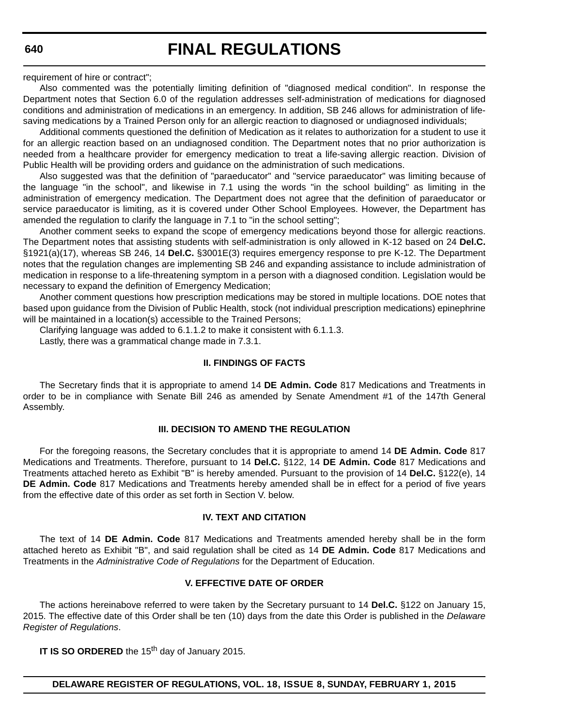requirement of hire or contract";

Also commented was the potentially limiting definition of "diagnosed medical condition". In response the Department notes that Section 6.0 of the regulation addresses self-administration of medications for diagnosed conditions and administration of medications in an emergency. In addition, SB 246 allows for administration of lifesaving medications by a Trained Person only for an allergic reaction to diagnosed or undiagnosed individuals;

Additional comments questioned the definition of Medication as it relates to authorization for a student to use it for an allergic reaction based on an undiagnosed condition. The Department notes that no prior authorization is needed from a healthcare provider for emergency medication to treat a life-saving allergic reaction. Division of Public Health will be providing orders and guidance on the administration of such medications.

Also suggested was that the definition of "paraeducator" and "service paraeducator" was limiting because of the language "in the school", and likewise in 7.1 using the words "in the school building" as limiting in the administration of emergency medication. The Department does not agree that the definition of paraeducator or service paraeducator is limiting, as it is covered under Other School Employees. However, the Department has amended the regulation to clarify the language in 7.1 to "in the school setting";

Another comment seeks to expand the scope of emergency medications beyond those for allergic reactions. The Department notes that assisting students with self-administration is only allowed in K-12 based on 24 **Del.C.** §1921(a)(17), whereas SB 246, 14 **Del.C.** §3001E(3) requires emergency response to pre K-12. The Department notes that the regulation changes are implementing SB 246 and expanding assistance to include administration of medication in response to a life-threatening symptom in a person with a diagnosed condition. Legislation would be necessary to expand the definition of Emergency Medication;

Another comment questions how prescription medications may be stored in multiple locations. DOE notes that based upon guidance from the Division of Public Health, stock (not individual prescription medications) epinephrine will be maintained in a location(s) accessible to the Trained Persons;

Clarifying language was added to 6.1.1.2 to make it consistent with 6.1.1.3.

Lastly, there was a grammatical change made in 7.3.1.

#### **II. FINDINGS OF FACTS**

The Secretary finds that it is appropriate to amend 14 **DE Admin. Code** 817 Medications and Treatments in order to be in compliance with Senate Bill 246 as amended by Senate Amendment #1 of the 147th General Assembly.

#### **III. DECISION TO AMEND THE REGULATION**

For the foregoing reasons, the Secretary concludes that it is appropriate to amend 14 **DE Admin. Code** 817 Medications and Treatments. Therefore, pursuant to 14 **Del.C.** §122, 14 **DE Admin. Code** 817 Medications and Treatments attached hereto as Exhibit "B" is hereby amended. Pursuant to the provision of 14 **Del.C.** §122(e), 14 **DE Admin. Code** 817 Medications and Treatments hereby amended shall be in effect for a period of five years from the effective date of this order as set forth in Section V. below.

#### **IV. TEXT AND CITATION**

The text of 14 **DE Admin. Code** 817 Medications and Treatments amended hereby shall be in the form attached hereto as Exhibit "B", and said regulation shall be cited as 14 **DE Admin. Code** 817 Medications and Treatments in the *Administrative Code of Regulations* for the Department of Education.

#### **V. EFFECTIVE DATE OF ORDER**

The actions hereinabove referred to were taken by the Secretary pursuant to 14 **Del.C.** §122 on January 15, 2015. The effective date of this Order shall be ten (10) days from the date this Order is published in the *Delaware Register of Regulations*.

**IT IS SO ORDERED** the 15<sup>th</sup> day of January 2015.

#### **DELAWARE REGISTER OF REGULATIONS, VOL. 18, ISSUE 8, SUNDAY, FEBRUARY 1, 2015**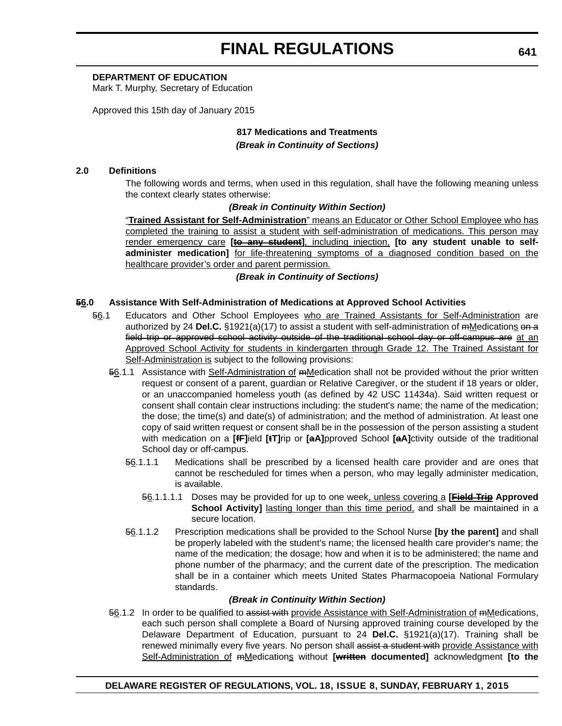#### **DEPARTMENT OF EDUCATION**

Mark T. Murphy, Secretary of Education

Approved this 15th day of January 2015

#### **817 Medications and Treatments** *(Break in Continuity of Sections)*

#### **2.0 Definitions**

The following words and terms, when used in this regulation, shall have the following meaning unless the context clearly states otherwise:

#### *(Break in Continuity Within Section)*

"**Trained Assistant for Self-Administration**" means an Educator or Other School Employee who has completed the training to assist a student with self-administration of medications. This person may render emergency care [to any student], including injection, [to any student unable to self**administer medication]** for life-threatening symptoms of a diagnosed condition based on the healthcare provider's order and parent permission.

#### *(Break in Continuity of Sections)*

#### **56.0 Assistance With Self-Administration of Medications at Approved School Activities**

- 56.1 Educators and Other School Employees who are Trained Assistants for Self-Administration are authorized by 24 Del.C. §1921(a)(17) to assist a student with self-administration of mMedications on a field trip or approved school activity outside of the traditional school day or off-campus are at an Approved School Activity for students in kindergarten through Grade 12. The Trained Assistant for Self-Administration is subject to the following provisions:
	- 56.1.1 Assistance with Self-Administration of mMedication shall not be provided without the prior written request or consent of a parent, guardian or Relative Caregiver, or the student if 18 years or older, or an unaccompanied homeless youth (as defined by 42 USC 11434a). Said written request or consent shall contain clear instructions including: the student's name; the name of the medication; the dose; the time(s) and date(s) of administration; and the method of administration. At least one copy of said written request or consent shall be in the possession of the person assisting a student with medication on a **[fF]**ield **[tT]**rip or **[aA]**pproved School **[aA]**ctivity outside of the traditional School day or off-campus.
		- 56.1.1.1 Medications shall be prescribed by a licensed health care provider and are ones that cannot be rescheduled for times when a person, who may legally administer medication, is available.
			- 56.1.1.1.1 Doses may be provided for up to one week, unless covering a **[Field Trip Approved School Activity]** lasting longer than this time period, and shall be maintained in a secure location.
		- 56.1.1.2 Prescription medications shall be provided to the School Nurse **[by the parent]** and shall be properly labeled with the student's name; the licensed health care provider's name; the name of the medication; the dosage; how and when it is to be administered; the name and phone number of the pharmacy; and the current date of the prescription. The medication shall be in a container which meets United States Pharmacopoeia National Formulary standards.

#### *(Break in Continuity Within Section)*

56.1.2 In order to be qualified to assist with provide Assistance with Self-Administration of mMedications, each such person shall complete a Board of Nursing approved training course developed by the Delaware Department of Education, pursuant to 24 **Del.C.** §1921(a)(17). Training shall be renewed minimally every five years. No person shall assist a student with provide Assistance with Self-Administration of mMedications without **[written documented]** acknowledgment **[to the**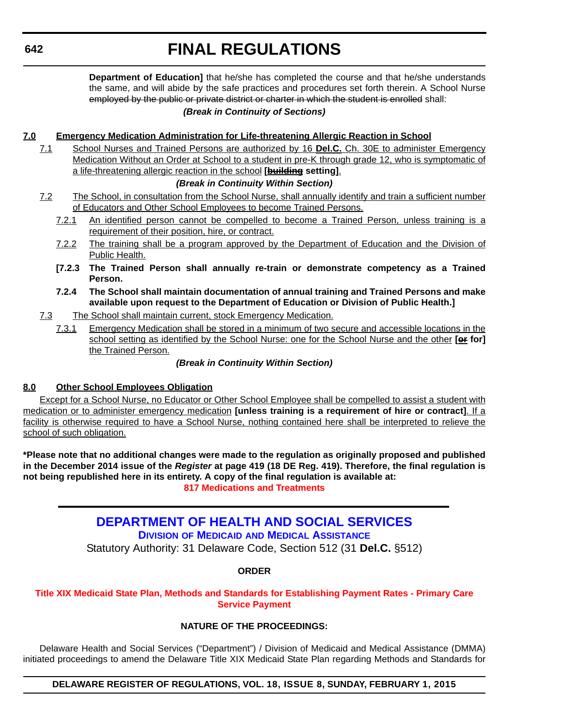<span id="page-44-0"></span>**Department of Education]** that he/she has completed the course and that he/she understands the same, and will abide by the safe practices and procedures set forth therein. A School Nurse employed by the public or private district or charter in which the student is enrolled shall:

#### *(Break in Continuity of Sections)*

#### **7.0 Emergency Medication Administration for Life-threatening Allergic Reaction in School**

7.1 School Nurses and Trained Persons are authorized by 16 **Del.C.** Ch. 30E to administer Emergency Medication Without an Order at School to a student in pre-K through grade 12, who is symptomatic of a life-threatening allergic reaction in the school **[building setting]**.

#### *(Break in Continuity Within Section)*

- 7.2 The School, in consultation from the School Nurse, shall annually identify and train a sufficient number of Educators and Other School Employees to become Trained Persons.
	- 7.2.1 An identified person cannot be compelled to become a Trained Person, unless training is a requirement of their position, hire, or contract.
	- 7.2.2 The training shall be a program approved by the Department of Education and the Division of Public Health.
	- **[7.2.3 The Trained Person shall annually re-train or demonstrate competency as a Trained Person.**
	- **7.2.4 The School shall maintain documentation of annual training and Trained Persons and make available upon request to the Department of Education or Division of Public Health.]**
- 7.3 The School shall maintain current, stock Emergency Medication.
	- 7.3.1 Emergency Medication shall be stored in a minimum of two secure and accessible locations in the school setting as identified by the School Nurse: one for the School Nurse and the other **[or for]** the Trained Person.

#### *(Break in Continuity Within Section)*

#### **8.0 Other School Employees Obligation**

Except for a School Nurse, no Educator or Other School Employee shall be compelled to assist a student with medication or to administer emergency medication **[unless training is a requirement of hire or contract]**. If a facility is otherwise required to have a School Nurse, nothing contained here shall be interpreted to relieve the school of such obligation.

**\*Please note that no additional changes were made to the regulation as originally proposed and published in the December 2014 issue of the** *Register* **at page 419 (18 DE Reg. 419). Therefore, the final regulation is not being republished here in its entirety. A copy of the final regulation is available at: [817 Medications and Treatments](http://regulations.delaware.gov/register/february2015/final/18 DE Reg 639 02-01-15.htm)**

### **[DEPARTMENT OF HEALTH AND SOCIAL SERVICES](http://www.dhss.delaware.gov/dhss/dmma/)**

**DIVISION OF MEDICAID AND MEDICAL ASSISTANCE**

Statutory Authority: 31 Delaware Code, Section 512 (31 **Del.C.** §512)

#### **ORDER**

#### **[Title XIX Medicaid State Plan, Methods and Standards for Establishing Payment Rates - Primary Care](#page-4-0)  Service Payment**

#### **NATURE OF THE PROCEEDINGS:**

Delaware Health and Social Services ("Department") / Division of Medicaid and Medical Assistance (DMMA) initiated proceedings to amend the Delaware Title XIX Medicaid State Plan regarding Methods and Standards for

#### **DELAWARE REGISTER OF REGULATIONS, VOL. 18, ISSUE 8, SUNDAY, FEBRUARY 1, 2015**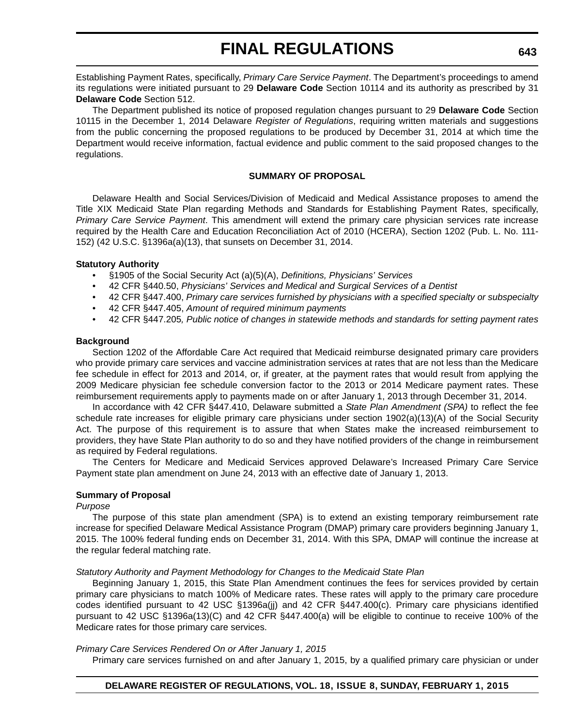Establishing Payment Rates, specifically, *Primary Care Service Payment*. The Department's proceedings to amend its regulations were initiated pursuant to 29 **Delaware Code** Section 10114 and its authority as prescribed by 31 **Delaware Code** Section 512.

The Department published its notice of proposed regulation changes pursuant to 29 **Delaware Code** Section 10115 in the December 1, 2014 Delaware *Register of Regulations*, requiring written materials and suggestions from the public concerning the proposed regulations to be produced by December 31, 2014 at which time the Department would receive information, factual evidence and public comment to the said proposed changes to the regulations.

#### **SUMMARY OF PROPOSAL**

Delaware Health and Social Services/Division of Medicaid and Medical Assistance proposes to amend the Title XIX Medicaid State Plan regarding Methods and Standards for Establishing Payment Rates, specifically, *Primary Care Service Payment*. This amendment will extend the primary care physician services rate increase required by the Health Care and Education Reconciliation Act of 2010 (HCERA), Section 1202 (Pub. L. No. 111- 152) (42 U.S.C. §1396a(a)(13), that sunsets on December 31, 2014.

#### **Statutory Authority**

- §1905 of the Social Security Act (a)(5)(A), *Definitions, Physicians' Services*
- 42 CFR §440.50, *Physicians' Services and Medical and Surgical Services of a Dentist*
- 42 CFR §447.400, *Primary care services furnished by physicians with a specified specialty or subspecialty*
- 42 CFR §447.405, *Amount of required minimum payments*
- 42 CFR §447.205*, Public notice of changes in statewide methods and standards for setting payment rates*

#### **Background**

Section 1202 of the Affordable Care Act required that Medicaid reimburse designated primary care providers who provide primary care services and vaccine administration services at rates that are not less than the Medicare fee schedule in effect for 2013 and 2014, or, if greater, at the payment rates that would result from applying the 2009 Medicare physician fee schedule conversion factor to the 2013 or 2014 Medicare payment rates. These reimbursement requirements apply to payments made on or after January 1, 2013 through December 31, 2014.

In accordance with 42 CFR §447.410, Delaware submitted a *State Plan Amendment (SPA)* to reflect the fee schedule rate increases for eligible primary care physicians under section 1902(a)(13)(A) of the Social Security Act. The purpose of this requirement is to assure that when States make the increased reimbursement to providers, they have State Plan authority to do so and they have notified providers of the change in reimbursement as required by Federal regulations.

The Centers for Medicare and Medicaid Services approved Delaware's Increased Primary Care Service Payment state plan amendment on June 24, 2013 with an effective date of January 1, 2013.

#### **Summary of Proposal**

#### *Purpose*

The purpose of this state plan amendment (SPA) is to extend an existing temporary reimbursement rate increase for specified Delaware Medical Assistance Program (DMAP) primary care providers beginning January 1, 2015. The 100% federal funding ends on December 31, 2014. With this SPA, DMAP will continue the increase at the regular federal matching rate.

#### *Statutory Authority and Payment Methodology for Changes to the Medicaid State Plan*

Beginning January 1, 2015, this State Plan Amendment continues the fees for services provided by certain primary care physicians to match 100% of Medicare rates. These rates will apply to the primary care procedure codes identified pursuant to 42 USC §1396a(jj) and 42 CFR §447.400(c). Primary care physicians identified pursuant to 42 USC §1396a(13)(C) and 42 CFR §447.400(a) will be eligible to continue to receive 100% of the Medicare rates for those primary care services.

#### *Primary Care Services Rendered On or After January 1, 2015*

Primary care services furnished on and after January 1, 2015, by a qualified primary care physician or under

#### **DELAWARE REGISTER OF REGULATIONS, VOL. 18, ISSUE 8, SUNDAY, FEBRUARY 1, 2015**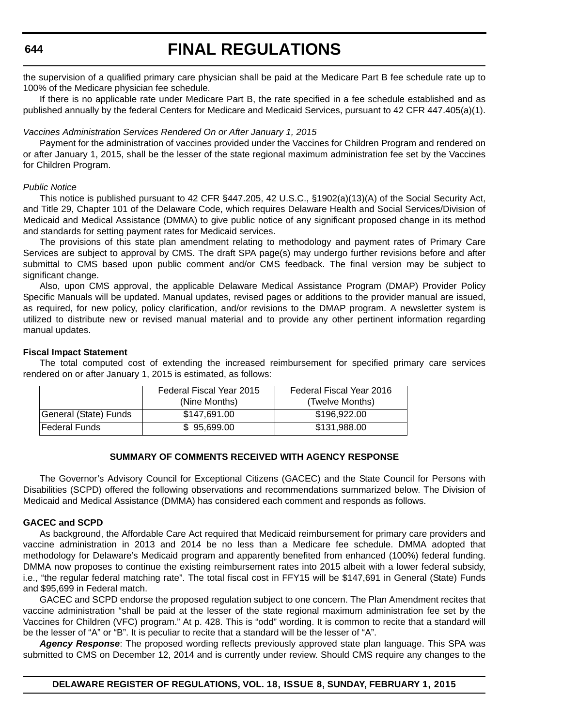**644**

# **FINAL REGULATIONS**

the supervision of a qualified primary care physician shall be paid at the Medicare Part B fee schedule rate up to 100% of the Medicare physician fee schedule.

If there is no applicable rate under Medicare Part B, the rate specified in a fee schedule established and as published annually by the federal Centers for Medicare and Medicaid Services, pursuant to 42 CFR 447.405(a)(1).

#### *Vaccines Administration Services Rendered On or After January 1, 2015*

Payment for the administration of vaccines provided under the Vaccines for Children Program and rendered on or after January 1, 2015, shall be the lesser of the state regional maximum administration fee set by the Vaccines for Children Program.

#### *Public Notice*

This notice is published pursuant to 42 CFR §447.205, 42 U.S.C., §1902(a)(13)(A) of the Social Security Act, and Title 29, Chapter 101 of the Delaware Code, which requires Delaware Health and Social Services/Division of Medicaid and Medical Assistance (DMMA) to give public notice of any significant proposed change in its method and standards for setting payment rates for Medicaid services.

The provisions of this state plan amendment relating to methodology and payment rates of Primary Care Services are subject to approval by CMS. The draft SPA page(s) may undergo further revisions before and after submittal to CMS based upon public comment and/or CMS feedback. The final version may be subject to significant change.

Also, upon CMS approval, the applicable Delaware Medical Assistance Program (DMAP) Provider Policy Specific Manuals will be updated. Manual updates, revised pages or additions to the provider manual are issued, as required, for new policy, policy clarification, and/or revisions to the DMAP program. A newsletter system is utilized to distribute new or revised manual material and to provide any other pertinent information regarding manual updates.

#### **Fiscal Impact Statement**

The total computed cost of extending the increased reimbursement for specified primary care services rendered on or after January 1, 2015 is estimated, as follows:

|                       | Federal Fiscal Year 2015<br>(Nine Months) | Federal Fiscal Year 2016<br>(Twelve Months) |
|-----------------------|-------------------------------------------|---------------------------------------------|
| General (State) Funds | \$147.691.00                              | \$196.922.00                                |
| l Federal Funds       | \$95,699.00                               | \$131,988.00                                |

#### **SUMMARY OF COMMENTS RECEIVED WITH AGENCY RESPONSE**

The Governor's Advisory Council for Exceptional Citizens (GACEC) and the State Council for Persons with Disabilities (SCPD) offered the following observations and recommendations summarized below. The Division of Medicaid and Medical Assistance (DMMA) has considered each comment and responds as follows.

#### **GACEC and SCPD**

As background, the Affordable Care Act required that Medicaid reimbursement for primary care providers and vaccine administration in 2013 and 2014 be no less than a Medicare fee schedule. DMMA adopted that methodology for Delaware's Medicaid program and apparently benefited from enhanced (100%) federal funding. DMMA now proposes to continue the existing reimbursement rates into 2015 albeit with a lower federal subsidy, i.e., "the regular federal matching rate". The total fiscal cost in FFY15 will be \$147,691 in General (State) Funds and \$95,699 in Federal match.

GACEC and SCPD endorse the proposed regulation subject to one concern. The Plan Amendment recites that vaccine administration "shall be paid at the lesser of the state regional maximum administration fee set by the Vaccines for Children (VFC) program." At p. 428. This is "odd" wording. It is common to recite that a standard will be the lesser of "A" or "B". It is peculiar to recite that a standard will be the lesser of "A".

*Agency Response*: The proposed wording reflects previously approved state plan language. This SPA was submitted to CMS on December 12, 2014 and is currently under review. Should CMS require any changes to the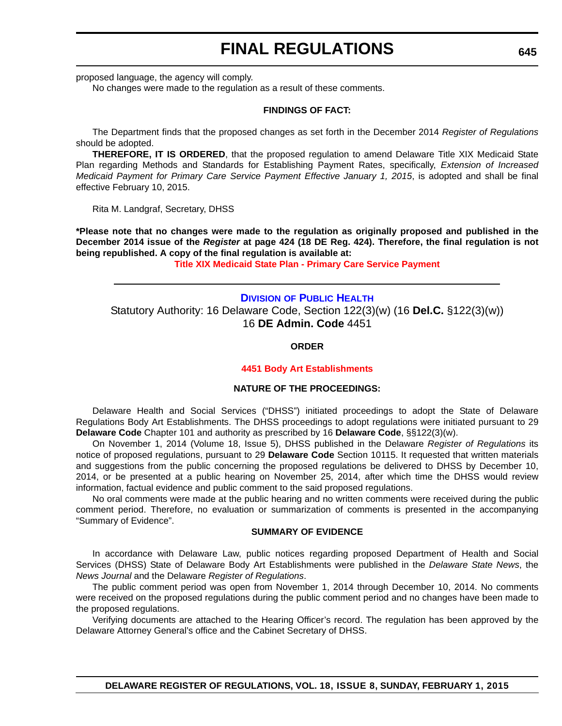<span id="page-47-0"></span>proposed language, the agency will comply.

No changes were made to the regulation as a result of these comments.

#### **FINDINGS OF FACT:**

The Department finds that the proposed changes as set forth in the December 2014 *Register of Regulations* should be adopted.

**THEREFORE, IT IS ORDERED**, that the proposed regulation to amend Delaware Title XIX Medicaid State Plan regarding Methods and Standards for Establishing Payment Rates, specifically, *Extension of Increased Medicaid Payment for Primary Care Service Payment Effective January 1, 2015*, is adopted and shall be final effective February 10, 2015.

Rita M. Landgraf, Secretary, DHSS

**\*Please note that no changes were made to the regulation as originally proposed and published in the December 2014 issue of the** *Register* **at page 424 (18 DE Reg. 424). Therefore, the final regulation is not being republished. A copy of the final regulation is available at:**

**[Title XIX Medicaid State Plan - Primary Care Service Payment](http://regulations.delaware.gov/register/february2015/final/18 DE Reg 642 02-01-15.htm)**

**DIVISION [OF PUBLIC HEALTH](http://www.dhss.delaware.gov/dhss/dph/index.html)** Statutory Authority: 16 Delaware Code, Section 122(3)(w) (16 **Del.C.** §122(3)(w)) 16 **DE Admin. Code** 4451

#### **ORDER**

#### **[4451 Body Art Establishments](#page-4-0)**

#### **NATURE OF THE PROCEEDINGS:**

Delaware Health and Social Services ("DHSS") initiated proceedings to adopt the State of Delaware Regulations Body Art Establishments. The DHSS proceedings to adopt regulations were initiated pursuant to 29 **Delaware Code** Chapter 101 and authority as prescribed by 16 **Delaware Code**, §§122(3)(w).

On November 1, 2014 (Volume 18, Issue 5), DHSS published in the Delaware *Register of Regulations* its notice of proposed regulations, pursuant to 29 **Delaware Code** Section 10115. It requested that written materials and suggestions from the public concerning the proposed regulations be delivered to DHSS by December 10, 2014, or be presented at a public hearing on November 25, 2014, after which time the DHSS would review information, factual evidence and public comment to the said proposed regulations.

No oral comments were made at the public hearing and no written comments were received during the public comment period. Therefore, no evaluation or summarization of comments is presented in the accompanying "Summary of Evidence".

#### **SUMMARY OF EVIDENCE**

In accordance with Delaware Law, public notices regarding proposed Department of Health and Social Services (DHSS) State of Delaware Body Art Establishments were published in the *Delaware State News*, the *News Journal* and the Delaware *Register of Regulations*.

The public comment period was open from November 1, 2014 through December 10, 2014. No comments were received on the proposed regulations during the public comment period and no changes have been made to the proposed regulations.

Verifying documents are attached to the Hearing Officer's record. The regulation has been approved by the Delaware Attorney General's office and the Cabinet Secretary of DHSS.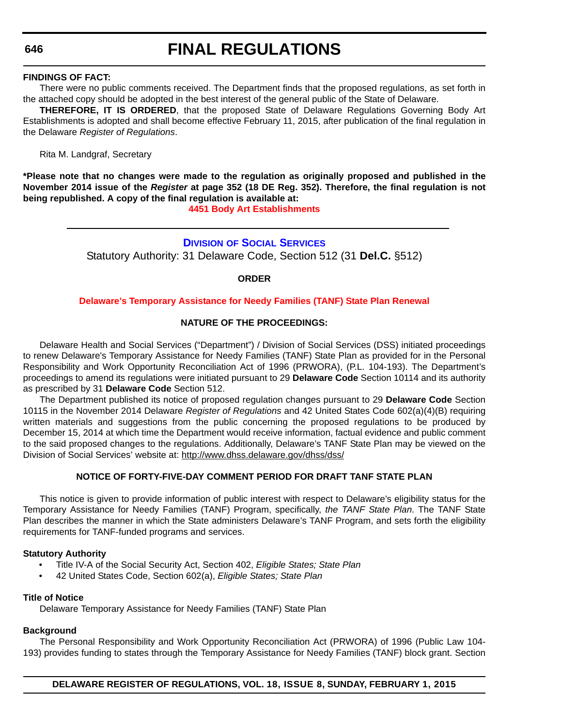#### <span id="page-48-0"></span>**646**

# **FINAL REGULATIONS**

#### **FINDINGS OF FACT:**

There were no public comments received. The Department finds that the proposed regulations, as set forth in the attached copy should be adopted in the best interest of the general public of the State of Delaware.

**THEREFORE, IT IS ORDERED**, that the proposed State of Delaware Regulations Governing Body Art Establishments is adopted and shall become effective February 11, 2015, after publication of the final regulation in the Delaware *Register of Regulations*.

Rita M. Landgraf, Secretary

**\*Please note that no changes were made to the regulation as originally proposed and published in the November 2014 issue of the** *Register* **at page 352 (18 DE Reg. 352). Therefore, the final regulation is not being republished. A copy of the final regulation is available at:**

**[4451 Body Art Establishments](http://regulations.delaware.gov/register/february2015/final/18 DE Reg 645 02-01-15.htm)**

#### **DIVISION [OF SOCIAL SERVICES](http://www.dhss.delaware.gov/dhss/dss/)** Statutory Authority: 31 Delaware Code, Section 512 (31 **Del.C.** §512)

#### **ORDER**

#### **[Delaware's Temporary Assistance for Needy Families \(TANF\) State Plan Renewal](#page-4-0)**

#### **NATURE OF THE PROCEEDINGS:**

Delaware Health and Social Services ("Department") / Division of Social Services (DSS) initiated proceedings to renew Delaware's Temporary Assistance for Needy Families (TANF) State Plan as provided for in the Personal Responsibility and Work Opportunity Reconciliation Act of 1996 (PRWORA), (P.L. 104-193). The Department's proceedings to amend its regulations were initiated pursuant to 29 **Delaware Code** Section 10114 and its authority as prescribed by 31 **Delaware Code** Section 512.

The Department published its notice of proposed regulation changes pursuant to 29 **Delaware Code** Section 10115 in the November 2014 Delaware *Register of Regulations* and 42 United States Code 602(a)(4)(B) requiring written materials and suggestions from the public concerning the proposed regulations to be produced by December 15, 2014 at which time the Department would receive information, factual evidence and public comment to the said proposed changes to the regulations. Additionally, Delaware's TANF State Plan may be viewed on the Division of Social Services' website at: <http://www.dhss.delaware.gov/dhss/dss/>

#### **NOTICE OF FORTY-FIVE-DAY COMMENT PERIOD FOR DRAFT TANF STATE PLAN**

This notice is given to provide information of public interest with respect to Delaware's eligibility status for the Temporary Assistance for Needy Families (TANF) Program, specifically, *the TANF State Plan*. The TANF State Plan describes the manner in which the State administers Delaware's TANF Program, and sets forth the eligibility requirements for TANF-funded programs and services.

#### **Statutory Authority**

- Title IV-A of the Social Security Act, Section 402, *Eligible States; State Plan*
- 42 United States Code, Section 602(a), *Eligible States; State Plan*

#### **Title of Notice**

Delaware Temporary Assistance for Needy Families (TANF) State Plan

#### **Background**

The Personal Responsibility and Work Opportunity Reconciliation Act (PRWORA) of 1996 (Public Law 104- 193) provides funding to states through the Temporary Assistance for Needy Families (TANF) block grant. Section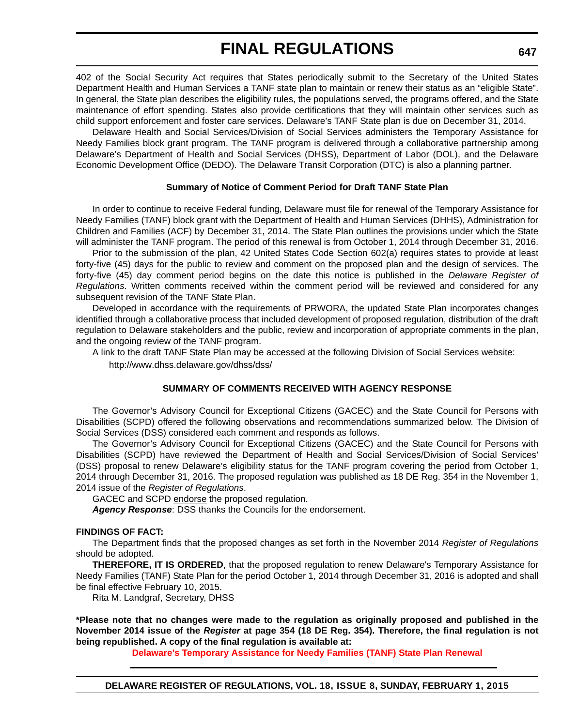402 of the Social Security Act requires that States periodically submit to the Secretary of the United States Department Health and Human Services a TANF state plan to maintain or renew their status as an "eligible State". In general, the State plan describes the eligibility rules, the populations served, the programs offered, and the State maintenance of effort spending. States also provide certifications that they will maintain other services such as child support enforcement and foster care services. Delaware's TANF State plan is due on December 31, 2014.

Delaware Health and Social Services/Division of Social Services administers the Temporary Assistance for Needy Families block grant program. The TANF program is delivered through a collaborative partnership among Delaware's Department of Health and Social Services (DHSS), Department of Labor (DOL), and the Delaware Economic Development Office (DEDO). The Delaware Transit Corporation (DTC) is also a planning partner.

#### **Summary of Notice of Comment Period for Draft TANF State Plan**

In order to continue to receive Federal funding, Delaware must file for renewal of the Temporary Assistance for Needy Families (TANF) block grant with the Department of Health and Human Services (DHHS), Administration for Children and Families (ACF) by December 31, 2014. The State Plan outlines the provisions under which the State will administer the TANF program. The period of this renewal is from October 1, 2014 through December 31, 2016.

Prior to the submission of the plan, 42 United States Code Section 602(a) requires states to provide at least forty-five (45) days for the public to review and comment on the proposed plan and the design of services. The forty-five (45) day comment period begins on the date this notice is published in the *Delaware Register of Regulations*. Written comments received within the comment period will be reviewed and considered for any subsequent revision of the TANF State Plan.

Developed in accordance with the requirements of PRWORA, the updated State Plan incorporates changes identified through a collaborative process that included development of proposed regulation, distribution of the draft regulation to Delaware stakeholders and the public, review and incorporation of appropriate comments in the plan, and the ongoing review of the TANF program.

A link to the draft TANF State Plan may be accessed at the following Division of Social Services website:

http://www.dhss.delaware.gov/dhss/dss/

#### **SUMMARY OF COMMENTS RECEIVED WITH AGENCY RESPONSE**

The Governor's Advisory Council for Exceptional Citizens (GACEC) and the State Council for Persons with Disabilities (SCPD) offered the following observations and recommendations summarized below. The Division of Social Services (DSS) considered each comment and responds as follows.

The Governor's Advisory Council for Exceptional Citizens (GACEC) and the State Council for Persons with Disabilities (SCPD) have reviewed the Department of Health and Social Services/Division of Social Services' (DSS) proposal to renew Delaware's eligibility status for the TANF program covering the period from October 1, 2014 through December 31, 2016. The proposed regulation was published as 18 DE Reg. 354 in the November 1, 2014 issue of the *Register of Regulations*.

GACEC and SCPD endorse the proposed regulation.

*Agency Response*: DSS thanks the Councils for the endorsement.

#### **FINDINGS OF FACT:**

The Department finds that the proposed changes as set forth in the November 2014 *Register of Regulations* should be adopted.

**THEREFORE, IT IS ORDERED**, that the proposed regulation to renew Delaware's Temporary Assistance for Needy Families (TANF) State Plan for the period October 1, 2014 through December 31, 2016 is adopted and shall be final effective February 10, 2015.

Rita M. Landgraf, Secretary, DHSS

**\*Please note that no changes were made to the regulation as originally proposed and published in the November 2014 issue of the** *Register* **at page 354 (18 DE Reg. 354). Therefore, the final regulation is not being republished. A copy of the final regulation is available at:**

**[Delaware's Temporary Assistance for Needy Families \(TANF\) State Plan Renewal](http://regulations.delaware.gov/register/february2015/final/18 DE Reg 646 02-01-15.htm)**

**647**

**DELAWARE REGISTER OF REGULATIONS, VOL. 18, ISSUE 8, SUNDAY, FEBRUARY 1, 2015**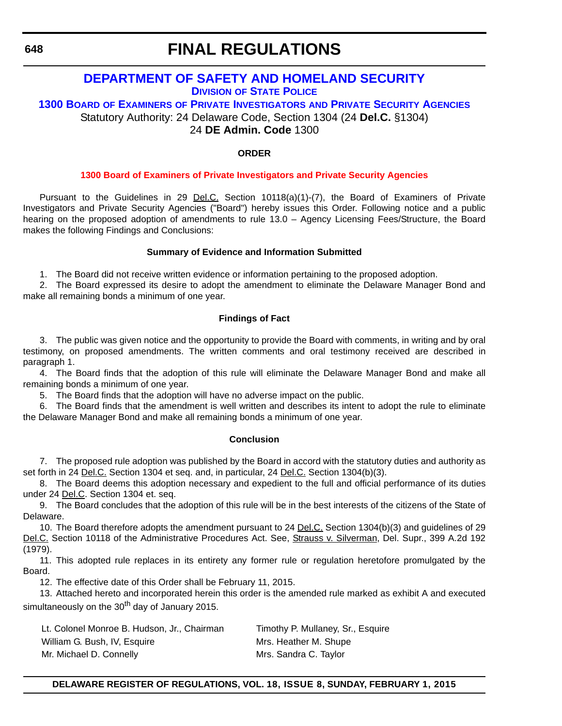<span id="page-50-0"></span>**648**

### **FINAL REGULATIONS**

### **[DEPARTMENT OF SAFETY AND HOMELAND SECURITY](http://dsp.delaware.gov/) DIVISION OF STATE POLICE**

**1300 BOARD OF EXAMINERS OF PRIVATE INVESTIGATORS AND PRIVATE SECURITY AGENCIES** Statutory Authority: 24 Delaware Code, Section 1304 (24 **Del.C.** §1304)

24 **DE Admin. Code** 1300

#### **ORDER**

#### **[1300 Board of Examiners of Private Investigators and Private Security Agencies](#page-4-0)**

Pursuant to the Guidelines in 29 Del.C. Section 10118(a)(1)-(7), the Board of Examiners of Private Investigators and Private Security Agencies ("Board") hereby issues this Order. Following notice and a public hearing on the proposed adoption of amendments to rule 13.0 – Agency Licensing Fees/Structure, the Board makes the following Findings and Conclusions:

#### **Summary of Evidence and Information Submitted**

1. The Board did not receive written evidence or information pertaining to the proposed adoption.

2. The Board expressed its desire to adopt the amendment to eliminate the Delaware Manager Bond and make all remaining bonds a minimum of one year.

#### **Findings of Fact**

3. The public was given notice and the opportunity to provide the Board with comments, in writing and by oral testimony, on proposed amendments. The written comments and oral testimony received are described in paragraph 1.

4. The Board finds that the adoption of this rule will eliminate the Delaware Manager Bond and make all remaining bonds a minimum of one year.

5. The Board finds that the adoption will have no adverse impact on the public.

6. The Board finds that the amendment is well written and describes its intent to adopt the rule to eliminate the Delaware Manager Bond and make all remaining bonds a minimum of one year.

#### **Conclusion**

7. The proposed rule adoption was published by the Board in accord with the statutory duties and authority as set forth in 24 Del.C. Section 1304 et seq. and, in particular, 24 Del.C. Section 1304(b)(3).

8. The Board deems this adoption necessary and expedient to the full and official performance of its duties under 24 Del.C. Section 1304 et. seq.

9. The Board concludes that the adoption of this rule will be in the best interests of the citizens of the State of Delaware.

10. The Board therefore adopts the amendment pursuant to 24 **Del.C.** Section 1304(b)(3) and guidelines of 29 Del.C. Section 10118 of the Administrative Procedures Act. See, Strauss v. Silverman, Del. Supr., 399 A.2d 192 (1979).

11. This adopted rule replaces in its entirety any former rule or regulation heretofore promulgated by the Board.

12. The effective date of this Order shall be February 11, 2015.

13. Attached hereto and incorporated herein this order is the amended rule marked as exhibit A and executed simultaneously on the  $30<sup>th</sup>$  day of January 2015.

Lt. Colonel Monroe B. Hudson, Jr., Chairman Timothy P. Mullaney, Sr., Esquire William G. Bush, IV, Esquire Music Mrs. Heather M. Shupe Mr. Michael D. Connelly Mrs. Sandra C. Taylor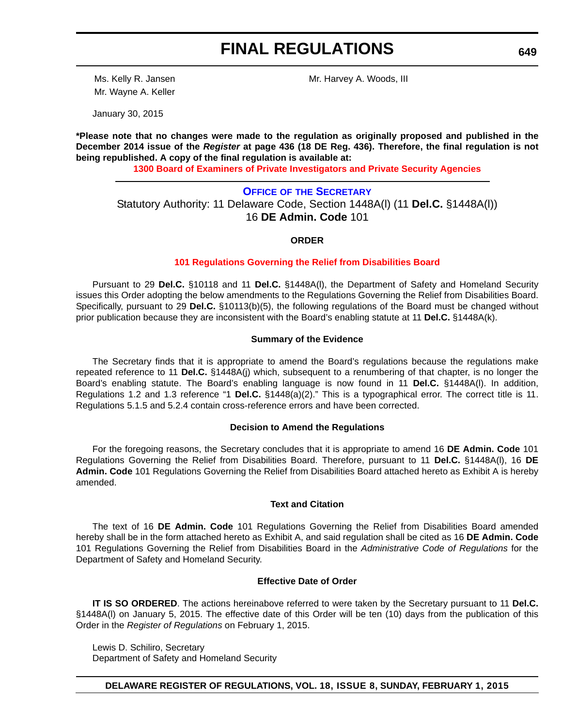<span id="page-51-0"></span>Mr. Wayne A. Keller

Ms. Kelly R. Jansen Mr. Harvey A. Woods, III

January 30, 2015

**\*Please note that no changes were made to the regulation as originally proposed and published in the December 2014 issue of the** *Register* **at page 436 (18 DE Reg. 436). Therefore, the final regulation is not being republished. A copy of the final regulation is available at:**

**[1300 Board of Examiners of Private Investigators and Private Security Agencies](http://regulations.delaware.gov/register/february2015/final/18 DE Reg 648 02-01-15.htm)**

**OFFICE OF [THE SECRETARY](http://dshs.delaware.gov/contact.shtml)** Statutory Authority: 11 Delaware Code, Section 1448A(l) (11 **Del.C.** §1448A(l)) 16 **DE Admin. Code** 101

**ORDER**

#### **[101 Regulations Governing the Relief from Disabilities Board](#page-4-0)**

Pursuant to 29 **Del.C.** §10118 and 11 **Del.C.** §1448A(l), the Department of Safety and Homeland Security issues this Order adopting the below amendments to the Regulations Governing the Relief from Disabilities Board. Specifically, pursuant to 29 **Del.C.** §10113(b)(5), the following regulations of the Board must be changed without prior publication because they are inconsistent with the Board's enabling statute at 11 **Del.C.** §1448A(k).

#### **Summary of the Evidence**

The Secretary finds that it is appropriate to amend the Board's regulations because the regulations make repeated reference to 11 **Del.C.** §1448A(j) which, subsequent to a renumbering of that chapter, is no longer the Board's enabling statute. The Board's enabling language is now found in 11 **Del.C.** §1448A(l). In addition, Regulations 1.2 and 1.3 reference "1 **Del.C.** §1448(a)(2)." This is a typographical error. The correct title is 11. Regulations 5.1.5 and 5.2.4 contain cross-reference errors and have been corrected.

#### **Decision to Amend the Regulations**

For the foregoing reasons, the Secretary concludes that it is appropriate to amend 16 **DE Admin. Code** 101 Regulations Governing the Relief from Disabilities Board. Therefore, pursuant to 11 **Del.C.** §1448A(l), 16 **DE Admin. Code** 101 Regulations Governing the Relief from Disabilities Board attached hereto as Exhibit A is hereby amended.

#### **Text and Citation**

The text of 16 **DE Admin. Code** 101 Regulations Governing the Relief from Disabilities Board amended hereby shall be in the form attached hereto as Exhibit A, and said regulation shall be cited as 16 **DE Admin. Code** 101 Regulations Governing the Relief from Disabilities Board in the *Administrative Code of Regulations* for the Department of Safety and Homeland Security.

#### **Effective Date of Order**

**IT IS SO ORDERED**. The actions hereinabove referred to were taken by the Secretary pursuant to 11 **Del.C.** §1448A(l) on January 5, 2015. The effective date of this Order will be ten (10) days from the publication of this Order in the *Register of Regulations* on February 1, 2015.

Lewis D. Schiliro, Secretary Department of Safety and Homeland Security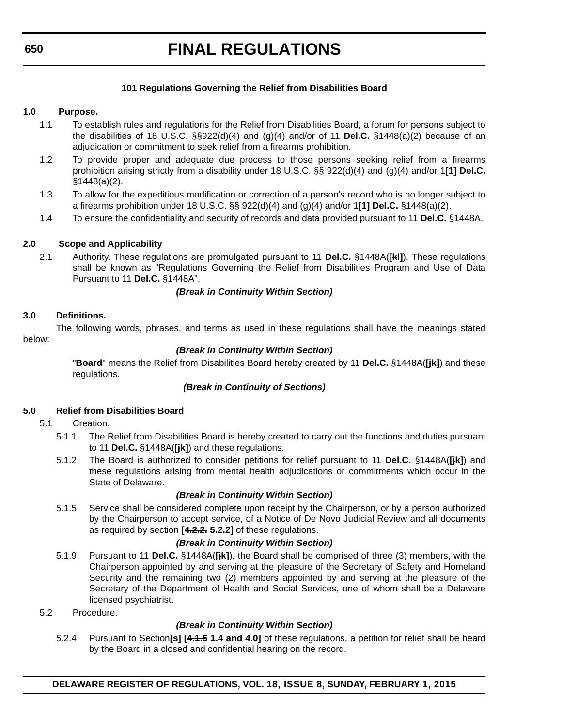#### **650**

# **FINAL REGULATIONS**

#### **101 Regulations Governing the Relief from Disabilities Board**

#### **1.0 Purpose.**

- 1.1 To establish rules and regulations for the Relief from Disabilities Board, a forum for persons subject to the disabilities of 18 U.S.C. §§922(d)(4) and (g)(4) and/or of 11 **Del.C.** §1448(a)(2) because of an adjudication or commitment to seek relief from a firearms prohibition.
- 1.2 To provide proper and adequate due process to those persons seeking relief from a firearms prohibition arising strictly from a disability under 18 U.S.C. §§ 922(d)(4) and (g)(4) and/or 1**[1] Del.C.** §1448(a)(2).
- 1.3 To allow for the expeditious modification or correction of a person's record who is no longer subject to a firearms prohibition under 18 U.S.C. §§ 922(d)(4) and (g)(4) and/or 1**[1] Del.C.** §1448(a)(2).
- 1.4 To ensure the confidentiality and security of records and data provided pursuant to 11 **Del.C.** §1448A.

#### **2.0 Scope and Applicability**

2.1 Authority. These regulations are promulgated pursuant to 11 **Del.C.** §1448A(**[kl]**). These regulations shall be known as "Regulations Governing the Relief from Disabilities Program and Use of Data Pursuant to 11 **Del.C.** §1448A".

#### *(Break in Continuity Within Section)*

#### **3.0 Definitions.**

The following words, phrases, and terms as used in these regulations shall have the meanings stated below:

#### *(Break in Continuity Within Section)*

"**Board**" means the Relief from Disabilities Board hereby created by 11 **Del.C.** §1448A(**[jk]**) and these regulations.

#### *(Break in Continuity of Sections)*

#### **5.0 Relief from Disabilities Board**

#### 5.1 Creation.

- 5.1.1 The Relief from Disabilities Board is hereby created to carry out the functions and duties pursuant to 11 **Del.C.** §1448A(**[jk]**) and these regulations.
- 5.1.2 The Board is authorized to consider petitions for relief pursuant to 11 **Del.C.** §1448A(**[jk]**) and these regulations arising from mental health adjudications or commitments which occur in the State of Delaware.

#### *(Break in Continuity Within Section)*

5.1.5 Service shall be considered complete upon receipt by the Chairperson, or by a person authorized by the Chairperson to accept service, of a Notice of De Novo Judicial Review and all documents as required by section **[4.2.2. 5.2.2]** of these regulations.

#### *(Break in Continuity Within Section)*

- 5.1.9 Pursuant to 11 **Del.C.** §1448A(**[jk]**), the Board shall be comprised of three (3) members, with the Chairperson appointed by and serving at the pleasure of the Secretary of Safety and Homeland Security and the remaining two (2) members appointed by and serving at the pleasure of the Secretary of the Department of Health and Social Services, one of whom shall be a Delaware licensed psychiatrist.
- 5.2 Procedure.

#### *(Break in Continuity Within Section)*

5.2.4 Pursuant to Section**[s] [4.1.5 1.4 and 4.0]** of these regulations, a petition for relief shall be heard by the Board in a closed and confidential hearing on the record.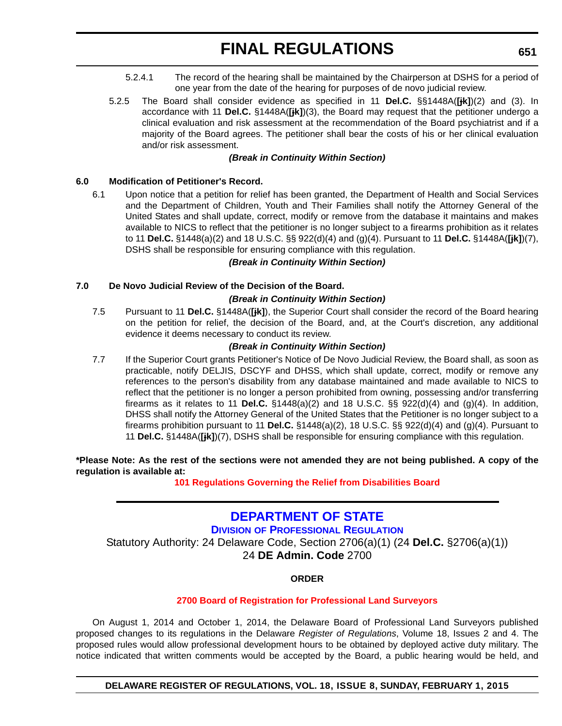- <span id="page-53-0"></span>5.2.4.1 The record of the hearing shall be maintained by the Chairperson at DSHS for a period of one year from the date of the hearing for purposes of de novo judicial review.
- 5.2.5 The Board shall consider evidence as specified in 11 **Del.C.** §§1448A(**[jk]**)(2) and (3). In accordance with 11 **Del.C.** §1448A(**[jk]**)(3), the Board may request that the petitioner undergo a clinical evaluation and risk assessment at the recommendation of the Board psychiatrist and if a majority of the Board agrees. The petitioner shall bear the costs of his or her clinical evaluation and/or risk assessment.

#### *(Break in Continuity Within Section)*

#### **6.0 Modification of Petitioner's Record.**

6.1 Upon notice that a petition for relief has been granted, the Department of Health and Social Services and the Department of Children, Youth and Their Families shall notify the Attorney General of the United States and shall update, correct, modify or remove from the database it maintains and makes available to NICS to reflect that the petitioner is no longer subject to a firearms prohibition as it relates to 11 **Del.C.** §1448(a)(2) and 18 U.S.C. §§ 922(d)(4) and (g)(4). Pursuant to 11 **Del.C.** §1448A(**[jk]**)(7), DSHS shall be responsible for ensuring compliance with this regulation.

#### *(Break in Continuity Within Section)*

#### **7.0 De Novo Judicial Review of the Decision of the Board.**

#### *(Break in Continuity Within Section)*

7.5 Pursuant to 11 **Del.C.** §1448A(**[jk]**), the Superior Court shall consider the record of the Board hearing on the petition for relief, the decision of the Board, and, at the Court's discretion, any additional evidence it deems necessary to conduct its review.

#### *(Break in Continuity Within Section)*

7.7 If the Superior Court grants Petitioner's Notice of De Novo Judicial Review, the Board shall, as soon as practicable, notify DELJIS, DSCYF and DHSS, which shall update, correct, modify or remove any references to the person's disability from any database maintained and made available to NICS to reflect that the petitioner is no longer a person prohibited from owning, possessing and/or transferring firearms as it relates to 11 **Del.C.** §1448(a)(2) and 18 U.S.C. §§ 922(d)(4) and (g)(4). In addition, DHSS shall notify the Attorney General of the United States that the Petitioner is no longer subject to a firearms prohibition pursuant to 11 **Del.C.** §1448(a)(2), 18 U.S.C. §§ 922(d)(4) and (g)(4). Pursuant to 11 **Del.C.** §1448A(**[jk]**)(7), DSHS shall be responsible for ensuring compliance with this regulation.

#### **\*Please Note: As the rest of the sections were not amended they are not being published. A copy of the regulation is available at:**

**[101 Regulations Governing the Relief from Disabilities Board](http://regulations.delaware.gov/register/february2015/final/18 DE Reg 649 02-01-15.htm)**

### **[DEPARTMENT OF STATE](http://dpr.delaware.gov/)**

**DIVISION OF PROFESSIONAL REGULATION**

Statutory Authority: 24 Delaware Code, Section 2706(a)(1) (24 **Del.C.** §2706(a)(1)) 24 **DE Admin. Code** 2700

#### **ORDER**

#### **[2700 Board of Registration for Professional Land Surveyors](#page-4-0)**

On August 1, 2014 and October 1, 2014, the Delaware Board of Professional Land Surveyors published proposed changes to its regulations in the Delaware *Register of Regulations*, Volume 18, Issues 2 and 4. The proposed rules would allow professional development hours to be obtained by deployed active duty military. The notice indicated that written comments would be accepted by the Board, a public hearing would be held, and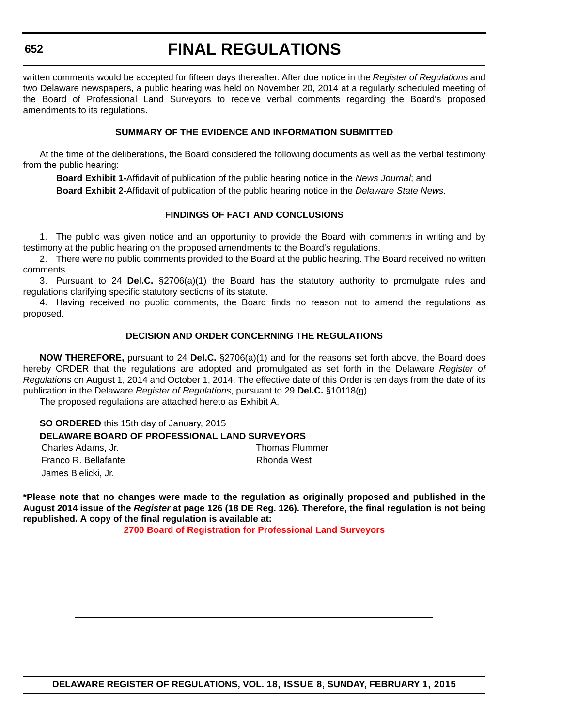written comments would be accepted for fifteen days thereafter. After due notice in the *Register of Regulations* and two Delaware newspapers, a public hearing was held on November 20, 2014 at a regularly scheduled meeting of the Board of Professional Land Surveyors to receive verbal comments regarding the Board's proposed amendments to its regulations.

#### **SUMMARY OF THE EVIDENCE AND INFORMATION SUBMITTED**

At the time of the deliberations, the Board considered the following documents as well as the verbal testimony from the public hearing:

**Board Exhibit 1-**Affidavit of publication of the public hearing notice in the *News Journal*; and

**Board Exhibit 2-**Affidavit of publication of the public hearing notice in the *Delaware State News*.

#### **FINDINGS OF FACT AND CONCLUSIONS**

1. The public was given notice and an opportunity to provide the Board with comments in writing and by testimony at the public hearing on the proposed amendments to the Board's regulations.

2. There were no public comments provided to the Board at the public hearing. The Board received no written comments.

3. Pursuant to 24 **Del.C.** §2706(a)(1) the Board has the statutory authority to promulgate rules and regulations clarifying specific statutory sections of its statute.

4. Having received no public comments, the Board finds no reason not to amend the regulations as proposed.

#### **DECISION AND ORDER CONCERNING THE REGULATIONS**

**NOW THEREFORE,** pursuant to 24 **Del.C.** §2706(a)(1) and for the reasons set forth above, the Board does hereby ORDER that the regulations are adopted and promulgated as set forth in the Delaware *Register of Regulations* on August 1, 2014 and October 1, 2014. The effective date of this Order is ten days from the date of its publication in the Delaware *Register of Regulations*, pursuant to 29 **Del.C.** §10118(g).

The proposed regulations are attached hereto as Exhibit A.

**SO ORDERED** this 15th day of January, 2015 **DELAWARE BOARD OF PROFESSIONAL LAND SURVEYORS** Charles Adams, Jr. Thomas Plummer Franco R. Bellafante **Rhonda** West James Bielicki, Jr.

**\*Please note that no changes were made to the regulation as originally proposed and published in the August 2014 issue of the** *Register* **at page 126 (18 DE Reg. 126). Therefore, the final regulation is not being republished. A copy of the final regulation is available at:**

**[2700 Board of Registration for Professional Land Surveyors](http://regulations.delaware.gov/register/february2015/final/18 DE Reg 651 02-01-15.htm)**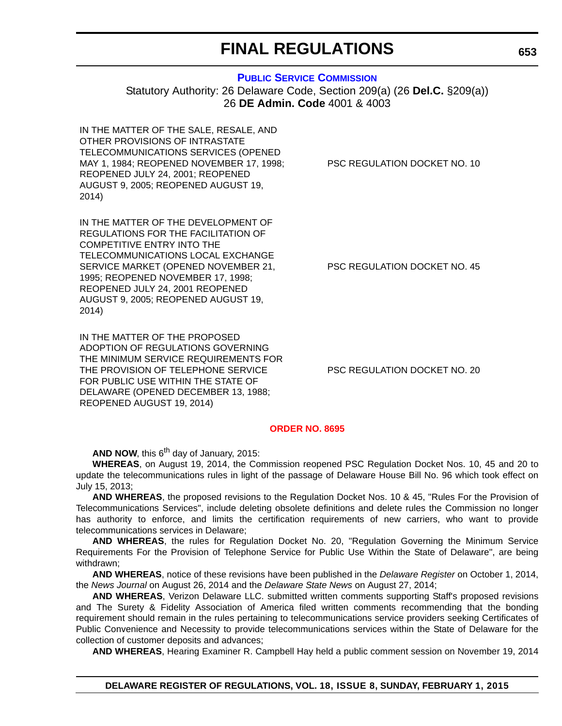#### **[PUBLIC SERVICE COMMISSION](http://depsc.delaware.gov/)**

<span id="page-55-0"></span>Statutory Authority: 26 Delaware Code, Section 209(a) (26 **Del.C.** §209(a)) 26 **DE Admin. Code** 4001 & 4003

IN THE MATTER OF THE SALE, RESALE, AND OTHER PROVISIONS OF INTRASTATE TELECOMMUNICATIONS SERVICES (OPENED MAY 1, 1984; REOPENED NOVEMBER 17, 1998; REOPENED JULY 24, 2001; REOPENED AUGUST 9, 2005; REOPENED AUGUST 19, 2014)

IN THE MATTER OF THE DEVELOPMENT OF REGULATIONS FOR THE FACILITATION OF COMPETITIVE ENTRY INTO THE TELECOMMUNICATIONS LOCAL EXCHANGE SERVICE MARKET (OPENED NOVEMBER 21, 1995; REOPENED NOVEMBER 17, 1998; REOPENED JULY 24, 2001 REOPENED AUGUST 9, 2005; REOPENED AUGUST 19, 2014)

IN THE MATTER OF THE PROPOSED ADOPTION OF REGULATIONS GOVERNING THE MINIMUM SERVICE REQUIREMENTS FOR THE PROVISION OF TELEPHONE SERVICE FOR PUBLIC USE WITHIN THE STATE OF DELAWARE (OPENED DECEMBER 13, 1988; REOPENED AUGUST 19, 2014)

PSC REGULATION DOCKET NO. 10

PSC REGULATION DOCKET NO. 45

PSC REGULATION DOCKET NO. 20

#### **[ORDER NO. 8695](#page-4-0)**

**AND NOW, this**  $6^{th}$  **day of January, 2015:** 

**WHEREAS**, on August 19, 2014, the Commission reopened PSC Regulation Docket Nos. 10, 45 and 20 to update the telecommunications rules in light of the passage of Delaware House Bill No. 96 which took effect on July 15, 2013;

**AND WHEREAS**, the proposed revisions to the Regulation Docket Nos. 10 & 45, "Rules For the Provision of Telecommunications Services", include deleting obsolete definitions and delete rules the Commission no longer has authority to enforce, and limits the certification requirements of new carriers, who want to provide telecommunications services in Delaware;

**AND WHEREAS**, the rules for Regulation Docket No. 20, "Regulation Governing the Minimum Service Requirements For the Provision of Telephone Service for Public Use Within the State of Delaware", are being withdrawn;

**AND WHEREAS**, notice of these revisions have been published in the *Delaware Register* on October 1, 2014, the *News Journal* on August 26, 2014 and the *Delaware State News* on August 27, 2014;

**AND WHEREAS**, Verizon Delaware LLC. submitted written comments supporting Staff's proposed revisions and The Surety & Fidelity Association of America filed written comments recommending that the bonding requirement should remain in the rules pertaining to telecommunications service providers seeking Certificates of Public Convenience and Necessity to provide telecommunications services within the State of Delaware for the collection of customer deposits and advances;

**AND WHEREAS**, Hearing Examiner R. Campbell Hay held a public comment session on November 19, 2014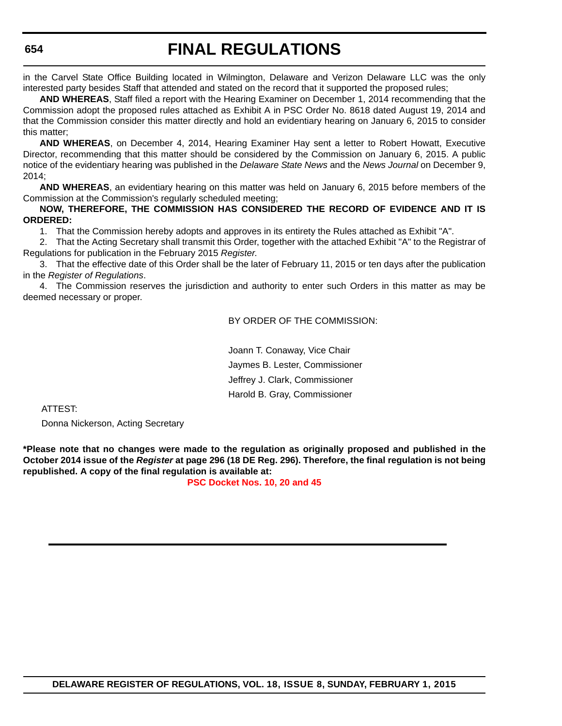in the Carvel State Office Building located in Wilmington, Delaware and Verizon Delaware LLC was the only interested party besides Staff that attended and stated on the record that it supported the proposed rules;

**AND WHEREAS**, Staff filed a report with the Hearing Examiner on December 1, 2014 recommending that the Commission adopt the proposed rules attached as Exhibit A in PSC Order No. 8618 dated August 19, 2014 and that the Commission consider this matter directly and hold an evidentiary hearing on January 6, 2015 to consider this matter;

**AND WHEREAS**, on December 4, 2014, Hearing Examiner Hay sent a letter to Robert Howatt, Executive Director, recommending that this matter should be considered by the Commission on January 6, 2015. A public notice of the evidentiary hearing was published in the *Delaware State News* and the *News Journal* on December 9, 2014;

**AND WHEREAS**, an evidentiary hearing on this matter was held on January 6, 2015 before members of the Commission at the Commission's regularly scheduled meeting;

#### **NOW, THEREFORE, THE COMMISSION HAS CONSIDERED THE RECORD OF EVIDENCE AND IT IS ORDERED:**

1. That the Commission hereby adopts and approves in its entirety the Rules attached as Exhibit "A".

2. That the Acting Secretary shall transmit this Order, together with the attached Exhibit "A" to the Registrar of Regulations for publication in the February 2015 *Register*.

3. That the effective date of this Order shall be the later of February 11, 2015 or ten days after the publication in the *Register of Regulations*.

4. The Commission reserves the jurisdiction and authority to enter such Orders in this matter as may be deemed necessary or proper.

BY ORDER OF THE COMMISSION:

Joann T. Conaway, Vice Chair Jaymes B. Lester, Commissioner Jeffrey J. Clark, Commissioner Harold B. Gray, Commissioner

ATTEST:

Donna Nickerson, Acting Secretary

**\*Please note that no changes were made to the regulation as originally proposed and published in the October 2014 issue of the** *Register* **at page 296 (18 DE Reg. 296). Therefore, the final regulation is not being republished. A copy of the final regulation is available at:**

#### **[PSC Docket Nos. 10, 20 and 45](http://regulations.delaware.gov/register/february2015/final/18 DE Reg 653 02-01-15.htm)**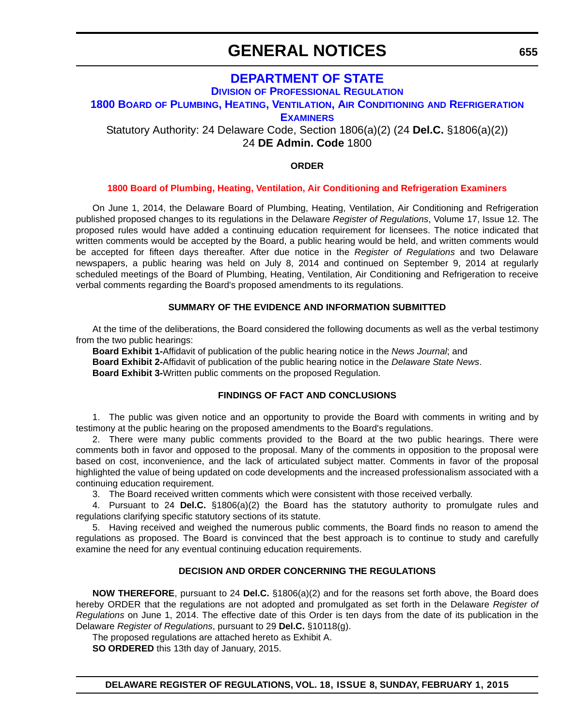### **GENERAL NOTICES**

### **DEPARTMENT OF STATE**

**DIVISION OF PROFESSIONAL REGULATION**

#### <span id="page-57-0"></span>**1800 BOARD [OF PLUMBING, HEATING, VENTILATION, AIR CONDITIONING](http://dpr.delaware.gov/) AND REFRIGERATION**

**EXAMINERS**

Statutory Authority: 24 Delaware Code, Section 1806(a)(2) (24 **Del.C.** §1806(a)(2)) 24 **DE Admin. Code** 1800

#### **ORDER**

#### **[1800 Board of Plumbing, Heating, Ventilation, Air Conditioning and Refrigeration Examiners](#page-4-0)**

On June 1, 2014, the Delaware Board of Plumbing, Heating, Ventilation, Air Conditioning and Refrigeration published proposed changes to its regulations in the Delaware *Register of Regulations*, Volume 17, Issue 12. The proposed rules would have added a continuing education requirement for licensees. The notice indicated that written comments would be accepted by the Board, a public hearing would be held, and written comments would be accepted for fifteen days thereafter. After due notice in the *Register of Regulations* and two Delaware newspapers, a public hearing was held on July 8, 2014 and continued on September 9, 2014 at regularly scheduled meetings of the Board of Plumbing, Heating, Ventilation, Air Conditioning and Refrigeration to receive verbal comments regarding the Board's proposed amendments to its regulations.

#### **SUMMARY OF THE EVIDENCE AND INFORMATION SUBMITTED**

At the time of the deliberations, the Board considered the following documents as well as the verbal testimony from the two public hearings:

**Board Exhibit 1-**Affidavit of publication of the public hearing notice in the *News Journal*; and **Board Exhibit 2-**Affidavit of publication of the public hearing notice in the *Delaware State News*. **Board Exhibit 3-**Written public comments on the proposed Regulation.

#### **FINDINGS OF FACT AND CONCLUSIONS**

1. The public was given notice and an opportunity to provide the Board with comments in writing and by testimony at the public hearing on the proposed amendments to the Board's regulations.

2. There were many public comments provided to the Board at the two public hearings. There were comments both in favor and opposed to the proposal. Many of the comments in opposition to the proposal were based on cost, inconvenience, and the lack of articulated subject matter. Comments in favor of the proposal highlighted the value of being updated on code developments and the increased professionalism associated with a continuing education requirement.

3. The Board received written comments which were consistent with those received verbally.

4. Pursuant to 24 **Del.C.** §1806(a)(2) the Board has the statutory authority to promulgate rules and regulations clarifying specific statutory sections of its statute.

5. Having received and weighed the numerous public comments, the Board finds no reason to amend the regulations as proposed. The Board is convinced that the best approach is to continue to study and carefully examine the need for any eventual continuing education requirements.

#### **DECISION AND ORDER CONCERNING THE REGULATIONS**

**NOW THEREFORE**, pursuant to 24 **Del.C.** §1806(a)(2) and for the reasons set forth above, the Board does hereby ORDER that the regulations are not adopted and promulgated as set forth in the Delaware *Register of Regulations* on June 1, 2014. The effective date of this Order is ten days from the date of its publication in the Delaware *Register of Regulations*, pursuant to 29 **Del.C.** §10118(g).

The proposed regulations are attached hereto as Exhibit A.

**SO ORDERED** this 13th day of January, 2015.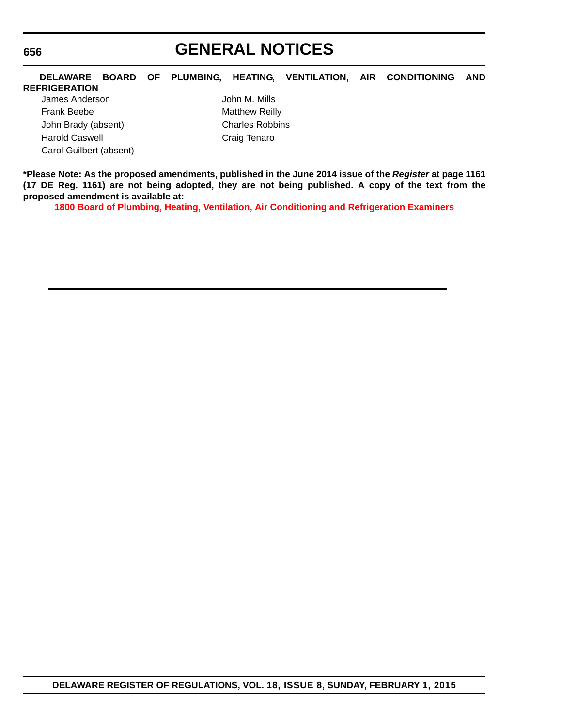#### **656**

### **GENERAL NOTICES**

### **DELAWARE BOARD OF PLUMBING, HEATING, VENTILATION, AIR CONDITIONING AND**

#### **REFRIGERATION** James Anderson John M. Mills Frank Beebe Matthew Reilly John Brady (absent) Charles Robbins Harold Caswell **Cassacter Craig Tenaro** Carol Guilbert (absent)

**\*Please Note: As the proposed amendments, published in the June 2014 issue of the** *Register* **at page 1161 (17 DE Reg. 1161) are not being adopted, they are not being published. A copy of the text from the proposed amendment is available at:**

**[1800 Board of Plumbing, Heating, Ventilation, Air Conditioning and Refrigeration Examiners](http://regulations.delaware.gov/register/february2015/general/18 DE Reg 655 02-01-15.htm)**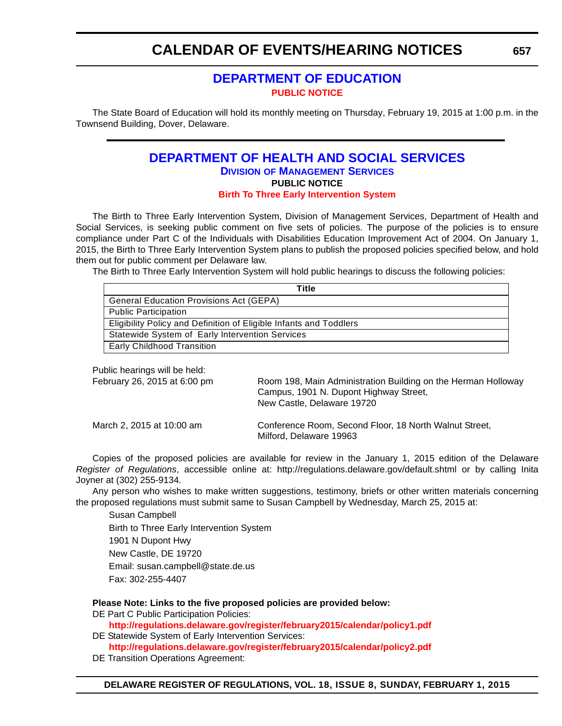### **[DEPARTMENT OF EDUCATION](http://www.doe.k12.de.us/site/default.aspx?PageID=1) [PUBLIC NOTICE](#page-4-0)**

<span id="page-59-0"></span>The State Board of Education will hold its monthly meeting on Thursday, February 19, 2015 at 1:00 p.m. in the Townsend Building, Dover, Delaware.

#### **[DEPARTMENT OF HEALTH AND SOCIAL SERVICES](http://www.dhss.delaware.gov/dhss/dms/index.html) DIVISION OF MANAGEMENT SERVICES PUBLIC NOTICE [Birth To Three Early Intervention System](#page-4-0)**

The Birth to Three Early Intervention System, Division of Management Services, Department of Health and Social Services, is seeking public comment on five sets of policies. The purpose of the policies is to ensure compliance under Part C of the Individuals with Disabilities Education Improvement Act of 2004. On January 1, 2015, the Birth to Three Early Intervention System plans to publish the proposed policies specified below, and hold them out for public comment per Delaware law.

The Birth to Three Early Intervention System will hold public hearings to discuss the following policies:

Public hearings will be held:

| February 26, 2015 at 6:00 pm | Room 198, Main Administration Building on the Herman Holloway<br>Campus, 1901 N. Dupont Highway Street,<br>New Castle, Delaware 19720 |
|------------------------------|---------------------------------------------------------------------------------------------------------------------------------------|
| March 2, 2015 at 10:00 am    | Conference Room, Second Floor, 18 North Walnut Street,<br>Milford, Delaware 19963                                                     |

Copies of the proposed policies are available for review in the January 1, 2015 edition of the Delaware *Register of Regulations*, accessible online at: http://regulations.delaware.gov/default.shtml or by calling Inita Joyner at (302) 255-9134.

Any person who wishes to make written suggestions, testimony, briefs or other written materials concerning the proposed regulations must submit same to Susan Campbell by Wednesday, March 25, 2015 at:

Susan Campbell Birth to Three Early Intervention System 1901 N Dupont Hwy New Castle, DE 19720 Email: susan.campbell@state.de.us Fax: 302-255-4407

**Please Note: Links to the five proposed policies are provided below:**

DE Part C Public Participation Policies:

**http://regulations.delaware.gov/register/february2015/calendar/policy1.pdf** DE Statewide System of Early Intervention Services:

**http://regulations.delaware.gov/register/february2015/calendar/policy2.pdf**

DE Transition Operations Agreement: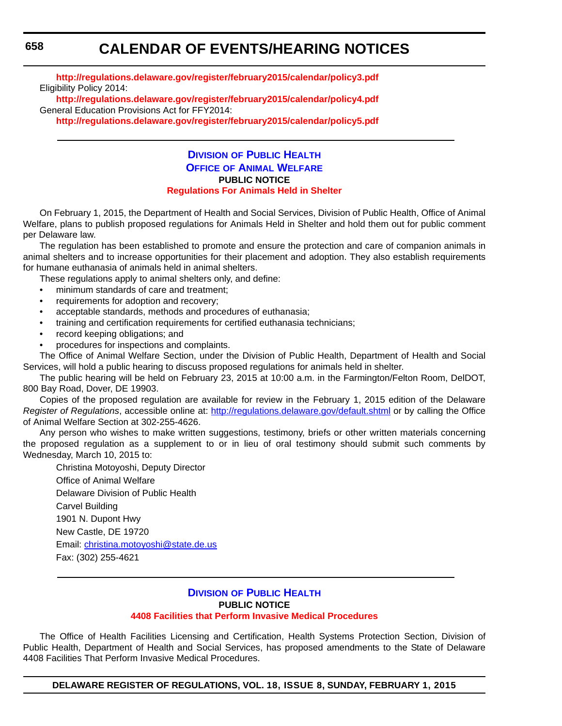**http://regulations.delaware.gov/register/february2015/calendar/policy3.pdf** Eligibility Policy 2014: **http://regulations.delaware.gov/register/february2015/calendar/policy4.pdf**

General Education Provisions Act for FFY2014: **http://regulations.delaware.gov/register/february2015/calendar/policy5.pdf**

#### **DIVISION OF PUBLIC HEALTH OFFICE [OF ANIMAL WELFARE](http://www.dhss.delaware.gov/dhss/dph/index.html) PUBLIC NOTICE [Regulations For Animals Held in Shelter](#page-4-0)**

On February 1, 2015, the Department of Health and Social Services, Division of Public Health, Office of Animal Welfare, plans to publish proposed regulations for Animals Held in Shelter and hold them out for public comment per Delaware law.

The regulation has been established to promote and ensure the protection and care of companion animals in animal shelters and to increase opportunities for their placement and adoption. They also establish requirements for humane euthanasia of animals held in animal shelters.

These regulations apply to animal shelters only, and define:

- minimum standards of care and treatment;
- requirements for adoption and recovery;
- acceptable standards, methods and procedures of euthanasia;
- training and certification requirements for certified euthanasia technicians;
- record keeping obligations; and
- procedures for inspections and complaints.

The Office of Animal Welfare Section, under the Division of Public Health, Department of Health and Social Services, will hold a public hearing to discuss proposed regulations for animals held in shelter.

The public hearing will be held on February 23, 2015 at 10:00 a.m. in the Farmington/Felton Room, DelDOT, 800 Bay Road, Dover, DE 19903.

Copies of the proposed regulation are available for review in the February 1, 2015 edition of the Delaware *Register of Regulations*, accessible online at: http://regulations.delaware.gov/default.shtml or by calling the Office of Animal Welfare Section at 302-255-4626.

Any person who wishes to make written suggestions, testimony, briefs or other written materials concerning the proposed regulation as a supplement to or in lieu of oral testimony should submit such comments by Wednesday, March 10, 2015 to:

Christina Motoyoshi, Deputy Director Office of Animal Welfare Delaware Division of Public Health Carvel Building 1901 N. Dupont Hwy New Castle, DE 19720 Email: christina.motoyoshi@state.de.us Fax: (302) 255-4621

#### **DIVISION [OF PUBLIC HEALTH](http://www.dhss.delaware.gov/dhss/dph/index.html) PUBLIC NOTICE [4408 Facilities that Perform Invasive Medical Procedures](#page-4-0)**

The Office of Health Facilities Licensing and Certification, Health Systems Protection Section, Division of Public Health, Department of Health and Social Services, has proposed amendments to the State of Delaware 4408 Facilities That Perform Invasive Medical Procedures.

**DELAWARE REGISTER OF REGULATIONS, VOL. 18, ISSUE 8, SUNDAY, FEBRUARY 1, 2015**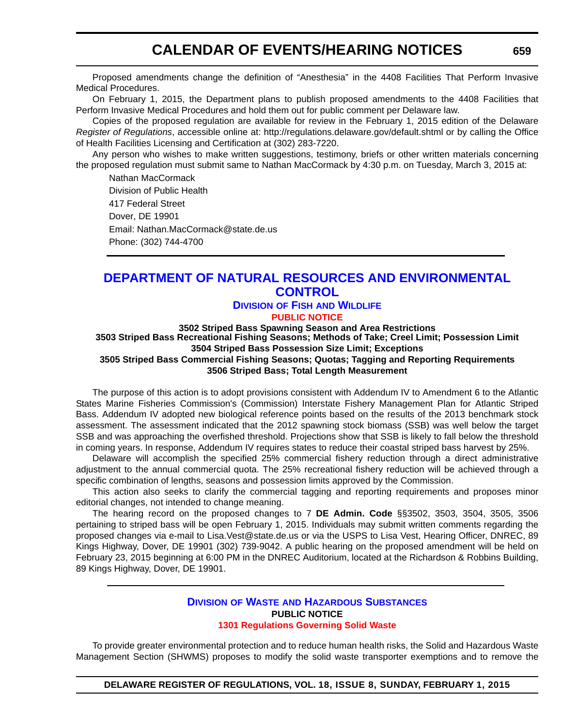<span id="page-61-0"></span>Proposed amendments change the definition of "Anesthesia" in the 4408 Facilities That Perform Invasive Medical Procedures.

On February 1, 2015, the Department plans to publish proposed amendments to the 4408 Facilities that Perform Invasive Medical Procedures and hold them out for public comment per Delaware law.

Copies of the proposed regulation are available for review in the February 1, 2015 edition of the Delaware *Register of Regulations*, accessible online at:<http://regulations.delaware.gov/default.shtml>or by calling the Office of Health Facilities Licensing and Certification at (302) 283-7220.

Any person who wishes to make written suggestions, testimony, briefs or other written materials concerning the proposed regulation must submit same to Nathan MacCormack by 4:30 p.m. on Tuesday, March 3, 2015 at:

Nathan MacCormack Division of Public Health 417 Federal Street Dover, DE 19901 Email: Nathan.MacCormack@state.de.us Phone: (302) 744-4700

### **[DEPARTMENT OF NATURAL RESOURCES AND ENVIRONMENTAL](http://www.dnrec.delaware.gov/fw/Pages/FWPortal.aspx)  CONTROL**

#### **DIVISION OF FISH AND WILDLIFE [PUBLIC NOTICE](#page-4-0)**

**3502 Striped Bass Spawning Season and Area Restrictions**

**3503 Striped Bass Recreational Fishing Seasons; Methods of Take; Creel Limit; Possession Limit 3504 Striped Bass Possession Size Limit; Exceptions**

**3505 Striped Bass Commercial Fishing Seasons; Quotas; Tagging and Reporting Requirements 3506 Striped Bass; Total Length Measurement**

The purpose of this action is to adopt provisions consistent with Addendum IV to Amendment 6 to the Atlantic States Marine Fisheries Commission's (Commission) Interstate Fishery Management Plan for Atlantic Striped Bass. Addendum IV adopted new biological reference points based on the results of the 2013 benchmark stock assessment. The assessment indicated that the 2012 spawning stock biomass (SSB) was well below the target SSB and was approaching the overfished threshold. Projections show that SSB is likely to fall below the threshold in coming years. In response, Addendum IV requires states to reduce their coastal striped bass harvest by 25%.

Delaware will accomplish the specified 25% commercial fishery reduction through a direct administrative adjustment to the annual commercial quota. The 25% recreational fishery reduction will be achieved through a specific combination of lengths, seasons and possession limits approved by the Commission.

This action also seeks to clarify the commercial tagging and reporting requirements and proposes minor editorial changes, not intended to change meaning.

The hearing record on the proposed changes to 7 **DE Admin. Code** §§3502, 3503, 3504, 3505, 3506 pertaining to striped bass will be open February 1, 2015. Individuals may submit written comments regarding the proposed changes via e-mail to Lisa.Vest@state.de.us or via the USPS to Lisa Vest, Hearing Officer, DNREC, 89 Kings Highway, Dover, DE 19901 (302) 739-9042. A public hearing on the proposed amendment will be held on February 23, 2015 beginning at 6:00 PM in the DNREC Auditorium, located at the Richardson & Robbins Building, 89 Kings Highway, Dover, DE 19901.

#### **DIVISION OF WASTE [AND HAZARDOUS SUBSTANCES](http://www.dnrec.delaware.gov/dwhs/Pages/default.aspx) PUBLIC NOTICE [1301 Regulations Governing Solid Waste](#page-4-0)**

To provide greater environmental protection and to reduce human health risks, the Solid and Hazardous Waste Management Section (SHWMS) proposes to modify the solid waste transporter exemptions and to remove the

**DELAWARE REGISTER OF REGULATIONS, VOL. 18, ISSUE 8, SUNDAY, FEBRUARY 1, 2015**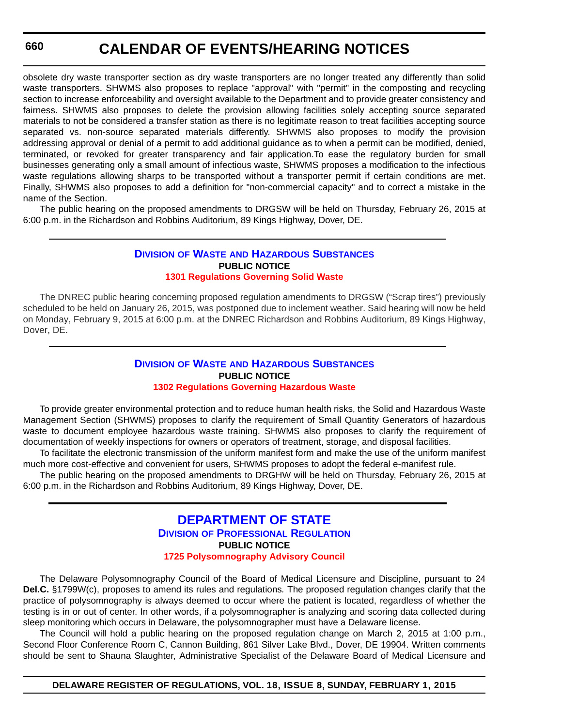<span id="page-62-0"></span>obsolete dry waste transporter section as dry waste transporters are no longer treated any differently than solid waste transporters. SHWMS also proposes to replace "approval" with "permit" in the composting and recycling section to increase enforceability and oversight available to the Department and to provide greater consistency and fairness. SHWMS also proposes to delete the provision allowing facilities solely accepting source separated materials to not be considered a transfer station as there is no legitimate reason to treat facilities accepting source separated vs. non-source separated materials differently. SHWMS also proposes to modify the provision addressing approval or denial of a permit to add additional guidance as to when a permit can be modified, denied, terminated, or revoked for greater transparency and fair application.To ease the regulatory burden for small businesses generating only a small amount of infectious waste, SHWMS proposes a modification to the infectious waste regulations allowing sharps to be transported without a transporter permit if certain conditions are met. Finally, SHWMS also proposes to add a definition for "non-commercial capacity" and to correct a mistake in the name of the Section.

The public hearing on the proposed amendments to DRGSW will be held on Thursday, February 26, 2015 at 6:00 p.m. in the Richardson and Robbins Auditorium, 89 Kings Highway, Dover, DE.

#### **DIVISION OF WASTE [AND HAZARDOUS SUBSTANCES](http://www.dnrec.delaware.gov/dwhs/Pages/default.aspx) PUBLIC NOTICE [1301 Regulations Governing Solid Waste](#page-4-0)**

The DNREC public hearing concerning proposed regulation amendments to DRGSW ("Scrap tires") previously scheduled to be held on January 26, 2015, was postponed due to inclement weather. Said hearing will now be held on Monday, February 9, 2015 at 6:00 p.m. at the DNREC Richardson and Robbins Auditorium, 89 Kings Highway, Dover, DE.

#### **DIVISION OF WASTE [AND HAZARDOUS SUBSTANCES](http://www.dnrec.delaware.gov/dwhs/Pages/default.aspx) PUBLIC NOTICE [1302 Regulations Governing Hazardous Waste](#page-4-0)**

To provide greater environmental protection and to reduce human health risks, the Solid and Hazardous Waste Management Section (SHWMS) proposes to clarify the requirement of Small Quantity Generators of hazardous waste to document employee hazardous waste training. SHWMS also proposes to clarify the requirement of documentation of weekly inspections for owners or operators of treatment, storage, and disposal facilities.

To facilitate the electronic transmission of the uniform manifest form and make the use of the uniform manifest much more cost-effective and convenient for users, SHWMS proposes to adopt the federal e-manifest rule.

The public hearing on the proposed amendments to DRGHW will be held on Thursday, February 26, 2015 at 6:00 p.m. in the Richardson and Robbins Auditorium, 89 Kings Highway, Dover, DE.

#### **[DEPARTMENT OF STATE](http://dpr.delaware.gov/) DIVISION OF PROFESSIONAL REGULATION PUBLIC NOTICE [1725 Polysomnography Advisory Council](#page-4-0)**

The Delaware Polysomnography Council of the Board of Medical Licensure and Discipline, pursuant to 24 **Del.C.** §1799W(c), proposes to amend its rules and regulations*.* The proposed regulation changes clarify that the practice of polysomnography is always deemed to occur where the patient is located, regardless of whether the testing is in or out of center. In other words, if a polysomnographer is analyzing and scoring data collected during sleep monitoring which occurs in Delaware, the polysomnographer must have a Delaware license.

The Council will hold a public hearing on the proposed regulation change on March 2, 2015 at 1:00 p.m., Second Floor Conference Room C, Cannon Building, 861 Silver Lake Blvd., Dover, DE 19904. Written comments should be sent to Shauna Slaughter, Administrative Specialist of the Delaware Board of Medical Licensure and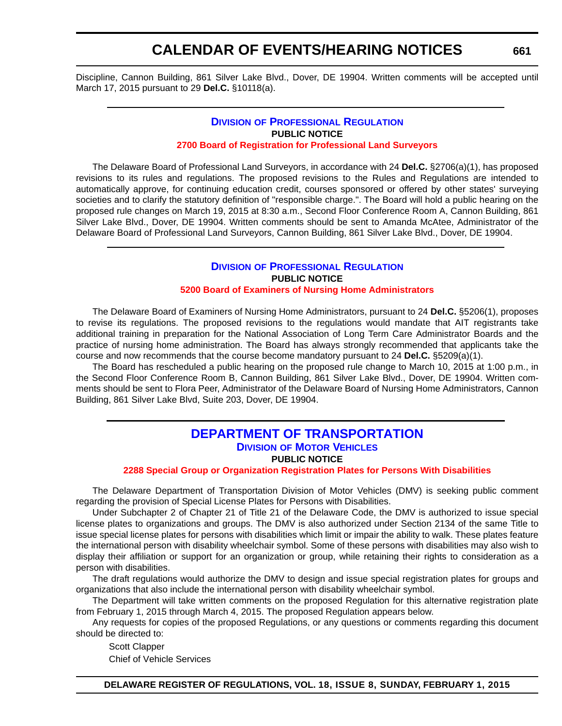<span id="page-63-0"></span>Discipline, Cannon Building, 861 Silver Lake Blvd., Dover, DE 19904. Written comments will be accepted until March 17, 2015 pursuant to 29 **Del.C.** §10118(a).

#### **DIVISION [OF PROFESSIONAL REGULATION](http://dpr.delaware.gov/) PUBLIC NOTICE [2700 Board of Registration for Professional Land Surveyors](#page-4-0)**

The Delaware Board of Professional Land Surveyors, in accordance with 24 **Del.C.** §2706(a)(1), has proposed revisions to its rules and regulations. The proposed revisions to the Rules and Regulations are intended to automatically approve, for continuing education credit, courses sponsored or offered by other states' surveying societies and to clarify the statutory definition of "responsible charge.". The Board will hold a public hearing on the proposed rule changes on March 19, 2015 at 8:30 a.m., Second Floor Conference Room A, Cannon Building, 861 Silver Lake Blvd., Dover, DE 19904. Written comments should be sent to Amanda McAtee, Administrator of the Delaware Board of Professional Land Surveyors, Cannon Building, 861 Silver Lake Blvd., Dover, DE 19904.

#### **DIVISION [OF PROFESSIONAL REGULATION](http://dpr.delaware.gov/) PUBLIC NOTICE [5200 Board of Examiners of Nursing Home Administrators](#page-4-0)**

The Delaware Board of Examiners of Nursing Home Administrators, pursuant to 24 **Del.C.** §5206(1), proposes to revise its regulations. The proposed revisions to the regulations would mandate that AIT registrants take additional training in preparation for the National Association of Long Term Care Administrator Boards and the practice of nursing home administration. The Board has always strongly recommended that applicants take the course and now recommends that the course become mandatory pursuant to 24 **Del.C.** §5209(a)(1).

The Board has rescheduled a public hearing on the proposed rule change to March 10, 2015 at 1:00 p.m., in the Second Floor Conference Room B, Cannon Building, 861 Silver Lake Blvd., Dover, DE 19904. Written comments should be sent to Flora Peer, Administrator of the Delaware Board of Nursing Home Administrators, Cannon Building, 861 Silver Lake Blvd, Suite 203, Dover, DE 19904.

#### **[DEPARTMENT OF TRANSPORTATION](http://www.dmv.de.gov/) DIVISION OF MOTOR VEHICLES PUBLIC NOTICE**

**[2288 Special Group or Organization Registration Plates for Persons With Disabilities](#page-4-0)**

The Delaware Department of Transportation Division of Motor Vehicles (DMV) is seeking public comment regarding the provision of Special License Plates for Persons with Disabilities.

Under Subchapter 2 of Chapter 21 of Title 21 of the Delaware Code, the DMV is authorized to issue special license plates to organizations and groups. The DMV is also authorized under Section 2134 of the same Title to issue special license plates for persons with disabilities which limit or impair the ability to walk. These plates feature the international person with disability wheelchair symbol. Some of these persons with disabilities may also wish to display their affiliation or support for an organization or group, while retaining their rights to consideration as a person with disabilities.

The draft regulations would authorize the DMV to design and issue special registration plates for groups and organizations that also include the international person with disability wheelchair symbol.

The Department will take written comments on the proposed Regulation for this alternative registration plate from February 1, 2015 through March 4, 2015. The proposed Regulation appears below.

Any requests for copies of the proposed Regulations, or any questions or comments regarding this document should be directed to:

Scott Clapper Chief of Vehicle Services